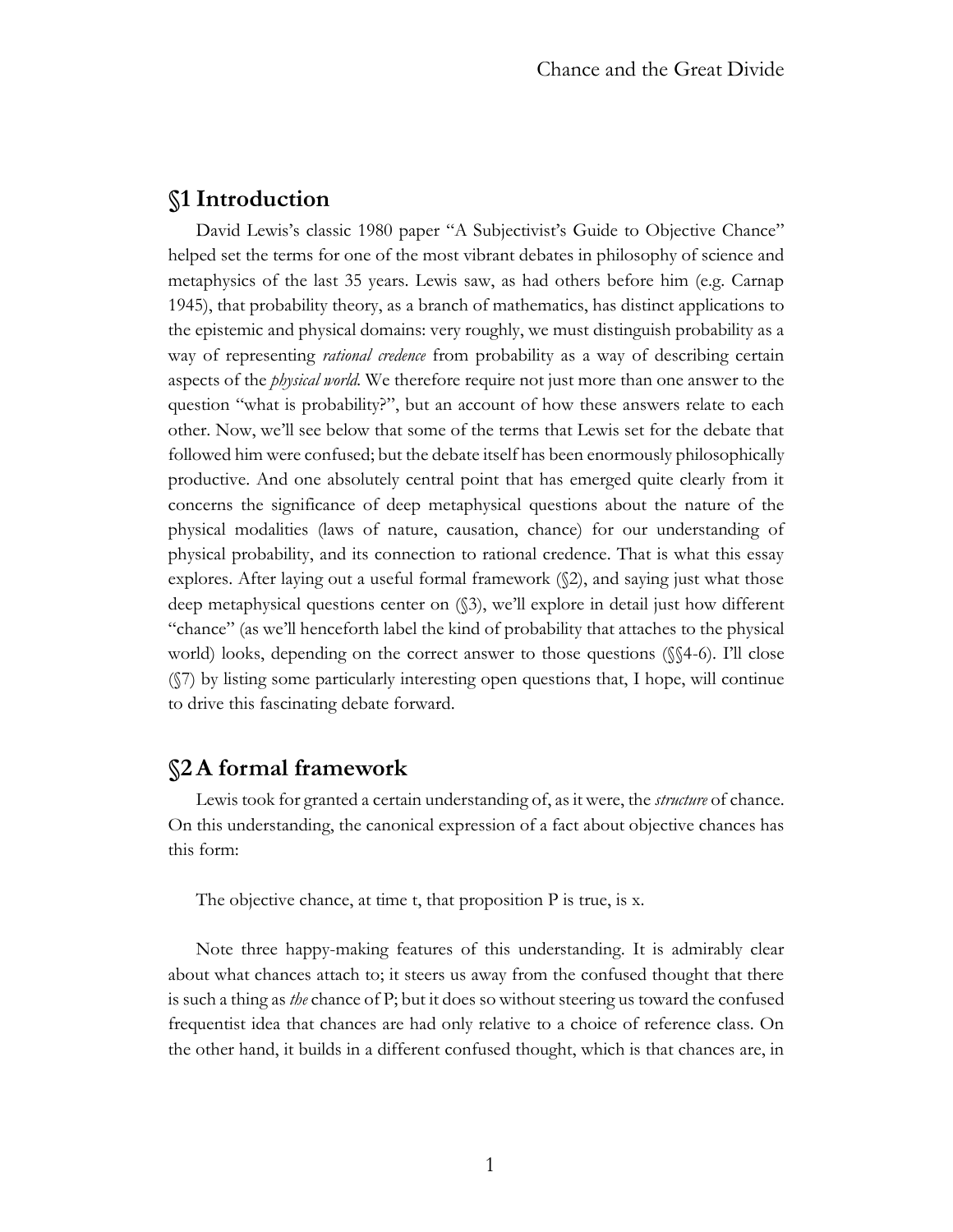# **§1 Introduction**

David Lewis's classic 1980 paper "A Subjectivist's Guide to Objective Chance" helped set the terms for one of the most vibrant debates in philosophy of science and metaphysics of the last 35 years. Lewis saw, as had others before him (e.g. Carnap 1945), that probability theory, as a branch of mathematics, has distinct applications to the epistemic and physical domains: very roughly, we must distinguish probability as a way of representing *rational credence* from probability as a way of describing certain aspects of the *physical world.* We therefore require not just more than one answer to the question "what is probability?", but an account of how these answers relate to each other. Now, we'll see below that some of the terms that Lewis set for the debate that followed him were confused; but the debate itself has been enormously philosophically productive. And one absolutely central point that has emerged quite clearly from it concerns the significance of deep metaphysical questions about the nature of the physical modalities (laws of nature, causation, chance) for our understanding of physical probability, and its connection to rational credence. That is what this essay explores. After laying out a useful formal framework (§2), and saying just what those deep metaphysical questions center on (§3), we'll explore in detail just how different "chance" (as we'll henceforth label the kind of probability that attaches to the physical world) looks, depending on the correct answer to those questions (§§4-6). I'll close (§7) by listing some particularly interesting open questions that, I hope, will continue to drive this fascinating debate forward.

# **§2A formal framework**

Lewis took for granted a certain understanding of, as it were, the *structure* of chance. On this understanding, the canonical expression of a fact about objective chances has this form:

The objective chance, at time t, that proposition P is true, is x.

Note three happy-making features of this understanding. It is admirably clear about what chances attach to; it steers us away from the confused thought that there is such a thing as *the* chance of P; but it does so without steering us toward the confused frequentist idea that chances are had only relative to a choice of reference class. On the other hand, it builds in a different confused thought, which is that chances are, in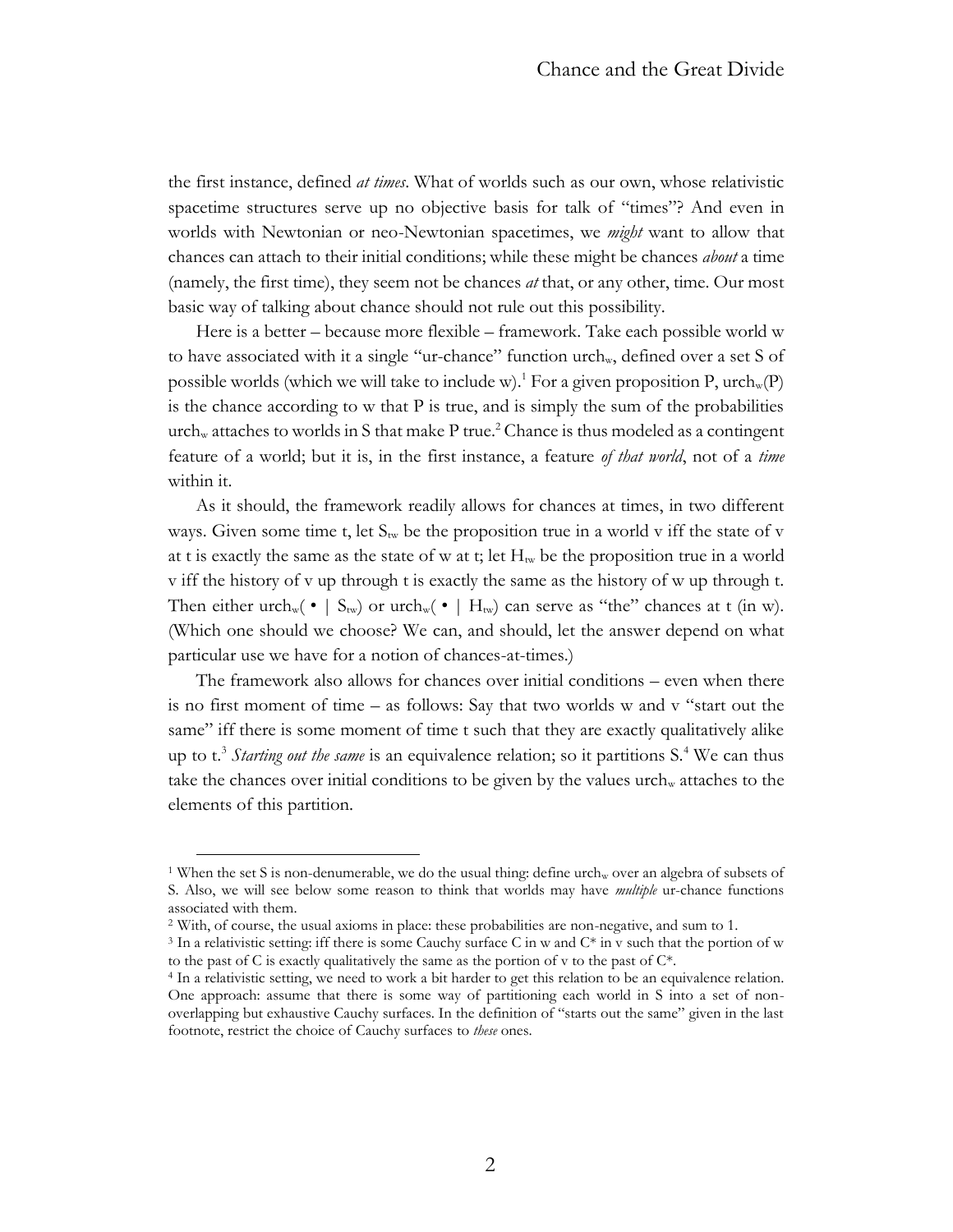the first instance, defined *at times*. What of worlds such as our own, whose relativistic spacetime structures serve up no objective basis for talk of "times"? And even in worlds with Newtonian or neo-Newtonian spacetimes, we *might* want to allow that chances can attach to their initial conditions; while these might be chances *about* a time (namely, the first time), they seem not be chances *at* that, or any other, time. Our most basic way of talking about chance should not rule out this possibility.

Here is a better – because more flexible – framework. Take each possible world w to have associated with it a single "ur-chance" function urchw, defined over a set S of possible worlds (which we will take to include w).<sup>1</sup> For a given proposition P,  $urch_w(P)$ is the chance according to  $w$  that  $P$  is true, and is simply the sum of the probabilities urch<sub>w</sub> attaches to worlds in S that make P true.<sup>2</sup> Chance is thus modeled as a contingent feature of a world; but it is, in the first instance, a feature *of that world*, not of a *time* within it.

As it should, the framework readily allows for chances at times, in two different ways. Given some time t, let  $S_{tw}$  be the proposition true in a world v iff the state of v at t is exactly the same as the state of w at t; let  $H_{tw}$  be the proposition true in a world v iff the history of v up through t is exactly the same as the history of w up through t. Then either urch<sub>w</sub>( • |  $S_{tw}$ ) or urch<sub>w</sub>( • |  $H_{tw}$ ) can serve as "the" chances at t (in w). (Which one should we choose? We can, and should, let the answer depend on what particular use we have for a notion of chances-at-times.)

The framework also allows for chances over initial conditions – even when there is no first moment of time – as follows: Say that two worlds w and v "start out the same" iff there is some moment of time t such that they are exactly qualitatively alike up to t.<sup>3</sup> Starting out the same is an equivalence relation; so it partitions S.<sup>4</sup> We can thus take the chances over initial conditions to be given by the values  $\text{urch}_{w}$  attaches to the elements of this partition.

<sup>&</sup>lt;sup>1</sup> When the set S is non-denumerable, we do the usual thing: define urch<sub>w</sub> over an algebra of subsets of S. Also, we will see below some reason to think that worlds may have *multiple* ur-chance functions associated with them.

<sup>2</sup> With, of course, the usual axioms in place: these probabilities are non-negative, and sum to 1.

<sup>&</sup>lt;sup>3</sup> In a relativistic setting: iff there is some Cauchy surface C in w and  $C^*$  in v such that the portion of w to the past of C is exactly qualitatively the same as the portion of v to the past of  $C^*$ .

<sup>4</sup> In a relativistic setting, we need to work a bit harder to get this relation to be an equivalence relation. One approach: assume that there is some way of partitioning each world in S into a set of nonoverlapping but exhaustive Cauchy surfaces. In the definition of "starts out the same" given in the last footnote, restrict the choice of Cauchy surfaces to *these* ones.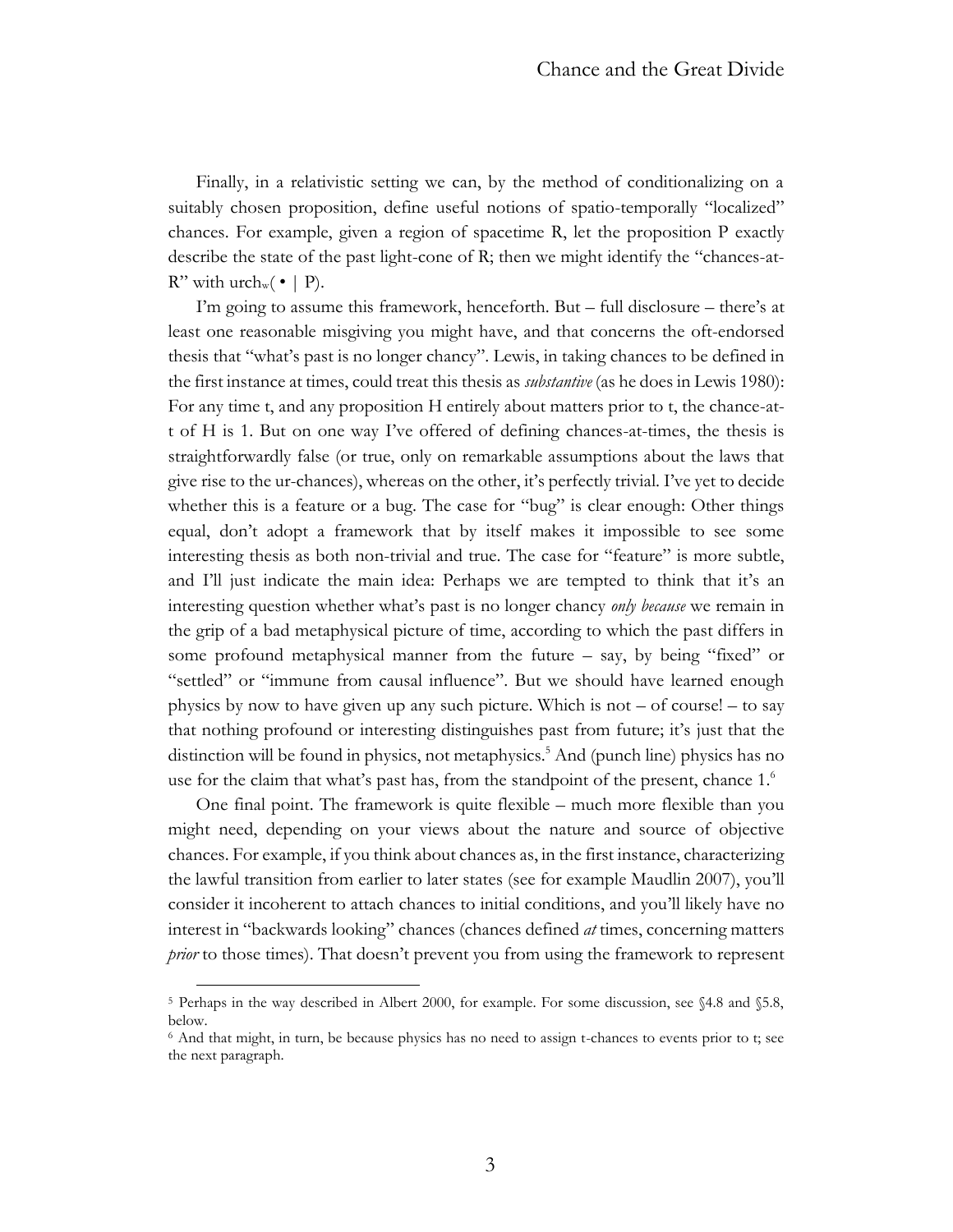Finally, in a relativistic setting we can, by the method of conditionalizing on a suitably chosen proposition, define useful notions of spatio-temporally "localized" chances. For example, given a region of spacetime R, let the proposition P exactly describe the state of the past light-cone of R; then we might identify the "chances-at-R" with  $\text{urch}_{w}(\bullet | P)$ .

I'm going to assume this framework, henceforth. But – full disclosure – there's at least one reasonable misgiving you might have, and that concerns the oft-endorsed thesis that "what's past is no longer chancy". Lewis, in taking chances to be defined in the first instance at times, could treat this thesis as *substantive* (as he does in Lewis 1980): For any time t, and any proposition H entirely about matters prior to t, the chance-att of H is 1. But on one way I've offered of defining chances-at-times, the thesis is straightforwardly false (or true, only on remarkable assumptions about the laws that give rise to the ur-chances), whereas on the other, it's perfectly trivial. I've yet to decide whether this is a feature or a bug. The case for "bug" is clear enough: Other things equal, don't adopt a framework that by itself makes it impossible to see some interesting thesis as both non-trivial and true. The case for "feature" is more subtle, and I'll just indicate the main idea: Perhaps we are tempted to think that it's an interesting question whether what's past is no longer chancy *only because* we remain in the grip of a bad metaphysical picture of time, according to which the past differs in some profound metaphysical manner from the future – say, by being "fixed" or "settled" or "immune from causal influence". But we should have learned enough physics by now to have given up any such picture. Which is not – of course! – to say that nothing profound or interesting distinguishes past from future; it's just that the distinction will be found in physics, not metaphysics.<sup>5</sup> And (punch line) physics has no use for the claim that what's past has, from the standpoint of the present, chance 1.<sup>6</sup>

One final point. The framework is quite flexible – much more flexible than you might need, depending on your views about the nature and source of objective chances. For example, if you think about chances as, in the first instance, characterizing the lawful transition from earlier to later states (see for example Maudlin 2007), you'll consider it incoherent to attach chances to initial conditions, and you'll likely have no interest in "backwards looking" chances (chances defined *at* times, concerning matters *prior* to those times). That doesn't prevent you from using the framework to represent

<sup>5</sup> Perhaps in the way described in Albert 2000, for example. For some discussion, see §4.8 and §5.8, below.

<sup>6</sup> And that might, in turn, be because physics has no need to assign t-chances to events prior to t; see the next paragraph.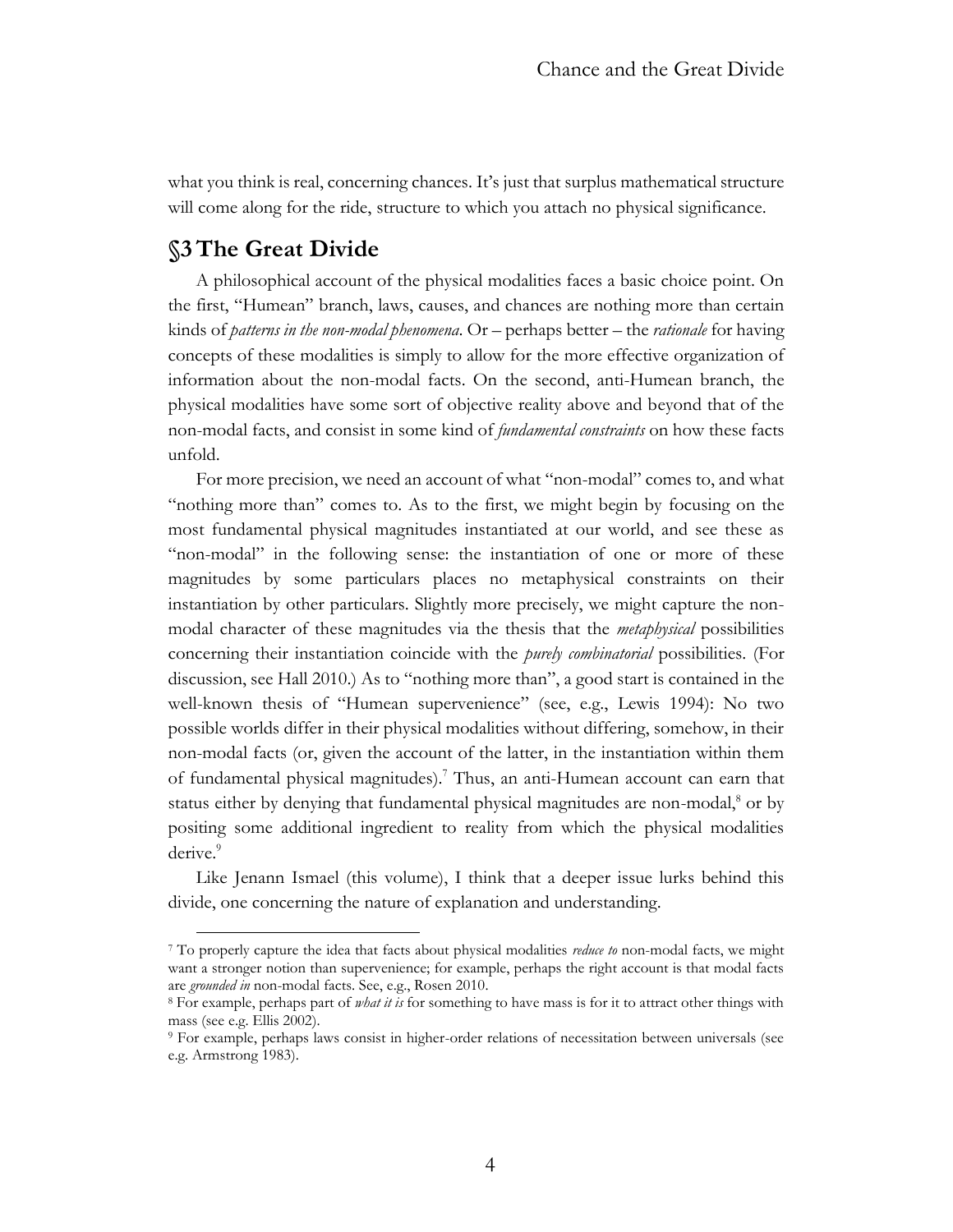what you think is real, concerning chances. It's just that surplus mathematical structure will come along for the ride, structure to which you attach no physical significance.

# **§3The Great Divide**

A philosophical account of the physical modalities faces a basic choice point. On the first, "Humean" branch, laws, causes, and chances are nothing more than certain kinds of *patterns in the non-modal phenomena*. Or – perhaps better – the *rationale* for having concepts of these modalities is simply to allow for the more effective organization of information about the non-modal facts. On the second, anti-Humean branch, the physical modalities have some sort of objective reality above and beyond that of the non-modal facts, and consist in some kind of *fundamental constraints* on how these facts unfold.

For more precision, we need an account of what "non-modal" comes to, and what "nothing more than" comes to. As to the first, we might begin by focusing on the most fundamental physical magnitudes instantiated at our world, and see these as "non-modal" in the following sense: the instantiation of one or more of these magnitudes by some particulars places no metaphysical constraints on their instantiation by other particulars. Slightly more precisely, we might capture the nonmodal character of these magnitudes via the thesis that the *metaphysical* possibilities concerning their instantiation coincide with the *purely combinatorial* possibilities. (For discussion, see Hall 2010.) As to "nothing more than", a good start is contained in the well-known thesis of "Humean supervenience" (see, e.g., Lewis 1994): No two possible worlds differ in their physical modalities without differing, somehow, in their non-modal facts (or, given the account of the latter, in the instantiation within them of fundamental physical magnitudes).<sup>7</sup> Thus, an anti-Humean account can earn that status either by denying that fundamental physical magnitudes are non-modal,<sup>8</sup> or by positing some additional ingredient to reality from which the physical modalities derive.<sup>9</sup>

Like Jenann Ismael (this volume), I think that a deeper issue lurks behind this divide, one concerning the nature of explanation and understanding.

<sup>7</sup> To properly capture the idea that facts about physical modalities *reduce to* non-modal facts, we might want a stronger notion than supervenience; for example, perhaps the right account is that modal facts are *grounded in* non-modal facts. See, e.g., Rosen 2010.

<sup>8</sup> For example, perhaps part of *what it is* for something to have mass is for it to attract other things with mass (see e.g. Ellis 2002).

<sup>9</sup> For example, perhaps laws consist in higher-order relations of necessitation between universals (see e.g. Armstrong 1983).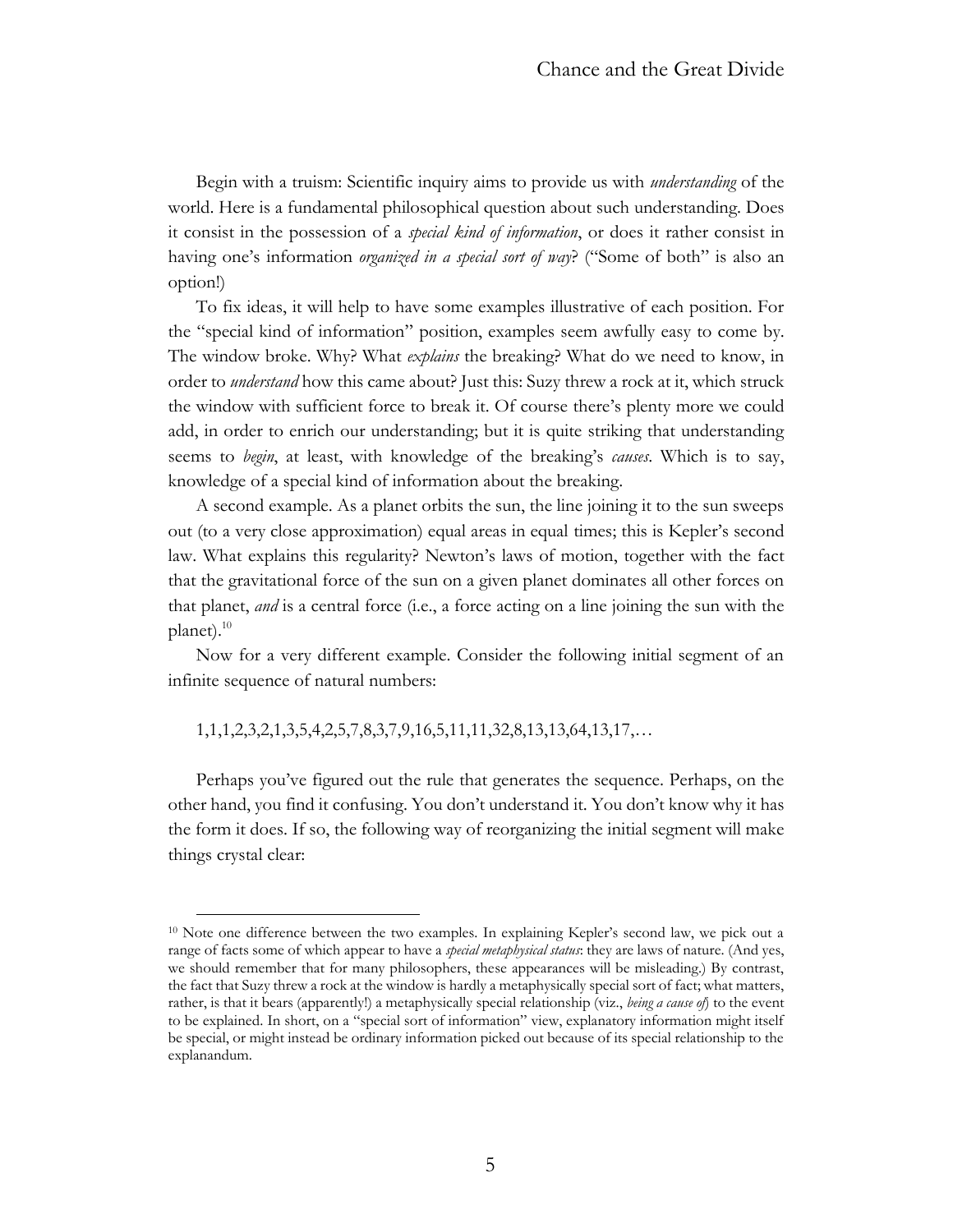Begin with a truism: Scientific inquiry aims to provide us with *understanding* of the world. Here is a fundamental philosophical question about such understanding. Does it consist in the possession of a *special kind of information*, or does it rather consist in having one's information *organized in a special sort of way*? ("Some of both" is also an option!)

To fix ideas, it will help to have some examples illustrative of each position. For the "special kind of information" position, examples seem awfully easy to come by. The window broke. Why? What *explains* the breaking? What do we need to know, in order to *understand* how this came about? Just this: Suzy threw a rock at it, which struck the window with sufficient force to break it. Of course there's plenty more we could add, in order to enrich our understanding; but it is quite striking that understanding seems to *begin*, at least, with knowledge of the breaking's *causes*. Which is to say, knowledge of a special kind of information about the breaking.

A second example. As a planet orbits the sun, the line joining it to the sun sweeps out (to a very close approximation) equal areas in equal times; this is Kepler's second law. What explains this regularity? Newton's laws of motion, together with the fact that the gravitational force of the sun on a given planet dominates all other forces on that planet, *and* is a central force (i.e., a force acting on a line joining the sun with the planet).<sup>10</sup>

Now for a very different example. Consider the following initial segment of an infinite sequence of natural numbers:

### 1,1,1,2,3,2,1,3,5,4,2,5,7,8,3,7,9,16,5,11,11,32,8,13,13,64,13,17,…

Perhaps you've figured out the rule that generates the sequence. Perhaps, on the other hand, you find it confusing. You don't understand it. You don't know why it has the form it does. If so, the following way of reorganizing the initial segment will make things crystal clear:

<sup>&</sup>lt;sup>10</sup> Note one difference between the two examples. In explaining Kepler's second law, we pick out a range of facts some of which appear to have a *special metaphysical status*: they are laws of nature. (And yes, we should remember that for many philosophers, these appearances will be misleading.) By contrast, the fact that Suzy threw a rock at the window is hardly a metaphysically special sort of fact; what matters, rather, is that it bears (apparently!) a metaphysically special relationship (viz., *being a cause of*) to the event to be explained. In short, on a "special sort of information" view, explanatory information might itself be special, or might instead be ordinary information picked out because of its special relationship to the explanandum.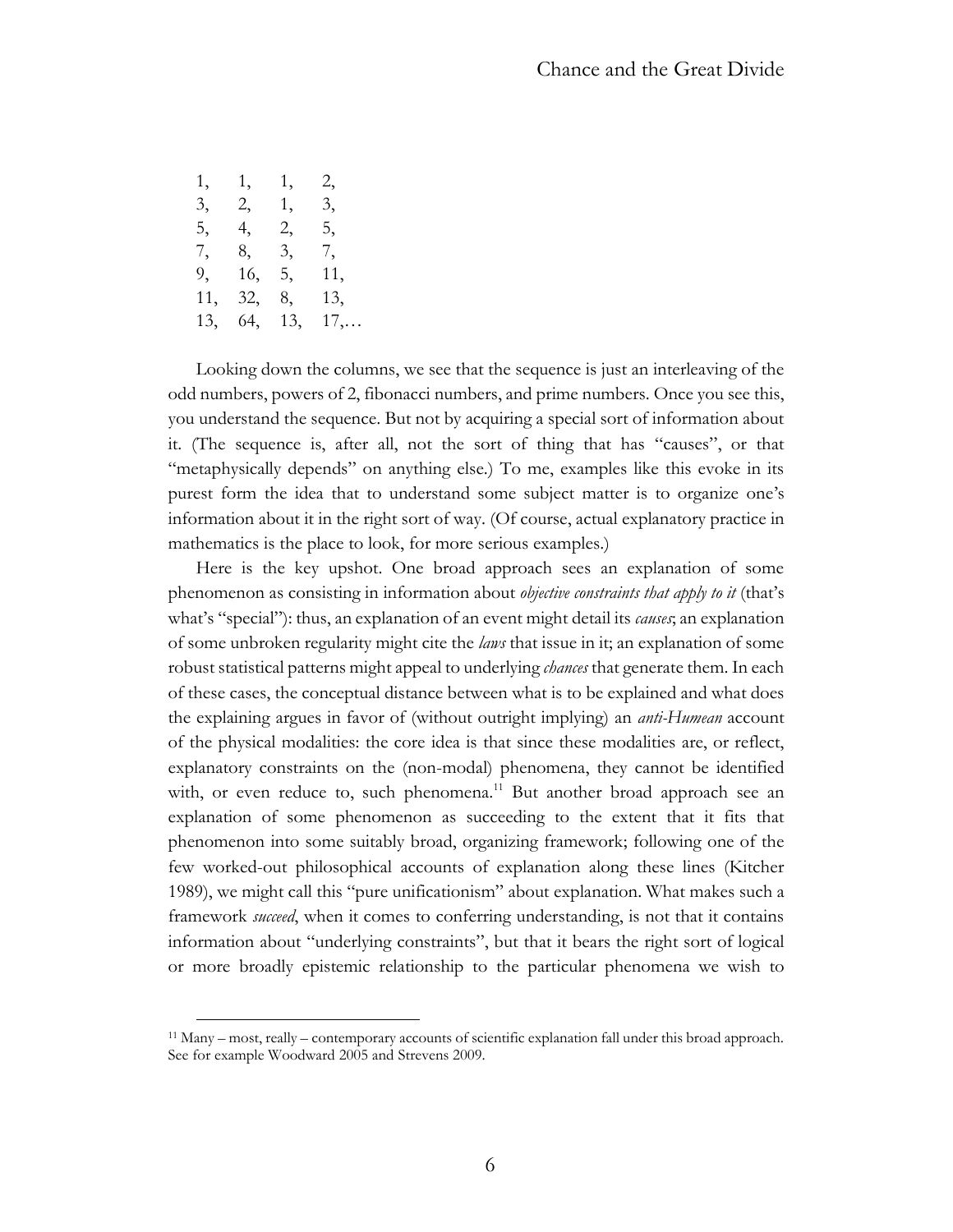| 1,  | 1,  | 1,  | 2,           |
|-----|-----|-----|--------------|
| 3,  | 2,  | 1,  | 3,           |
| 5,  | 4,  | 2,  | 5,           |
| 7,  | 8,  | 3,  | 7,           |
| 9,  | 16, | 5,  | 11,          |
| 11, | 32, | 8,  | 13,          |
| 13, | 64, | 13, | $17, \ldots$ |

Looking down the columns, we see that the sequence is just an interleaving of the odd numbers, powers of 2, fibonacci numbers, and prime numbers. Once you see this, you understand the sequence. But not by acquiring a special sort of information about it. (The sequence is, after all, not the sort of thing that has "causes", or that "metaphysically depends" on anything else.) To me, examples like this evoke in its purest form the idea that to understand some subject matter is to organize one's information about it in the right sort of way. (Of course, actual explanatory practice in mathematics is the place to look, for more serious examples.)

Here is the key upshot. One broad approach sees an explanation of some phenomenon as consisting in information about *objective constraints that apply to it* (that's what's "special"): thus, an explanation of an event might detail its *causes*; an explanation of some unbroken regularity might cite the *laws* that issue in it; an explanation of some robust statistical patterns might appeal to underlying *chances* that generate them. In each of these cases, the conceptual distance between what is to be explained and what does the explaining argues in favor of (without outright implying) an *anti-Humean* account of the physical modalities: the core idea is that since these modalities are, or reflect, explanatory constraints on the (non-modal) phenomena, they cannot be identified with, or even reduce to, such phenomena.<sup>11</sup> But another broad approach see an explanation of some phenomenon as succeeding to the extent that it fits that phenomenon into some suitably broad, organizing framework; following one of the few worked-out philosophical accounts of explanation along these lines (Kitcher 1989), we might call this "pure unificationism" about explanation. What makes such a framework *succeed*, when it comes to conferring understanding, is not that it contains information about "underlying constraints", but that it bears the right sort of logical or more broadly epistemic relationship to the particular phenomena we wish to

<sup>11</sup> Many – most, really – contemporary accounts of scientific explanation fall under this broad approach. See for example Woodward 2005 and Strevens 2009.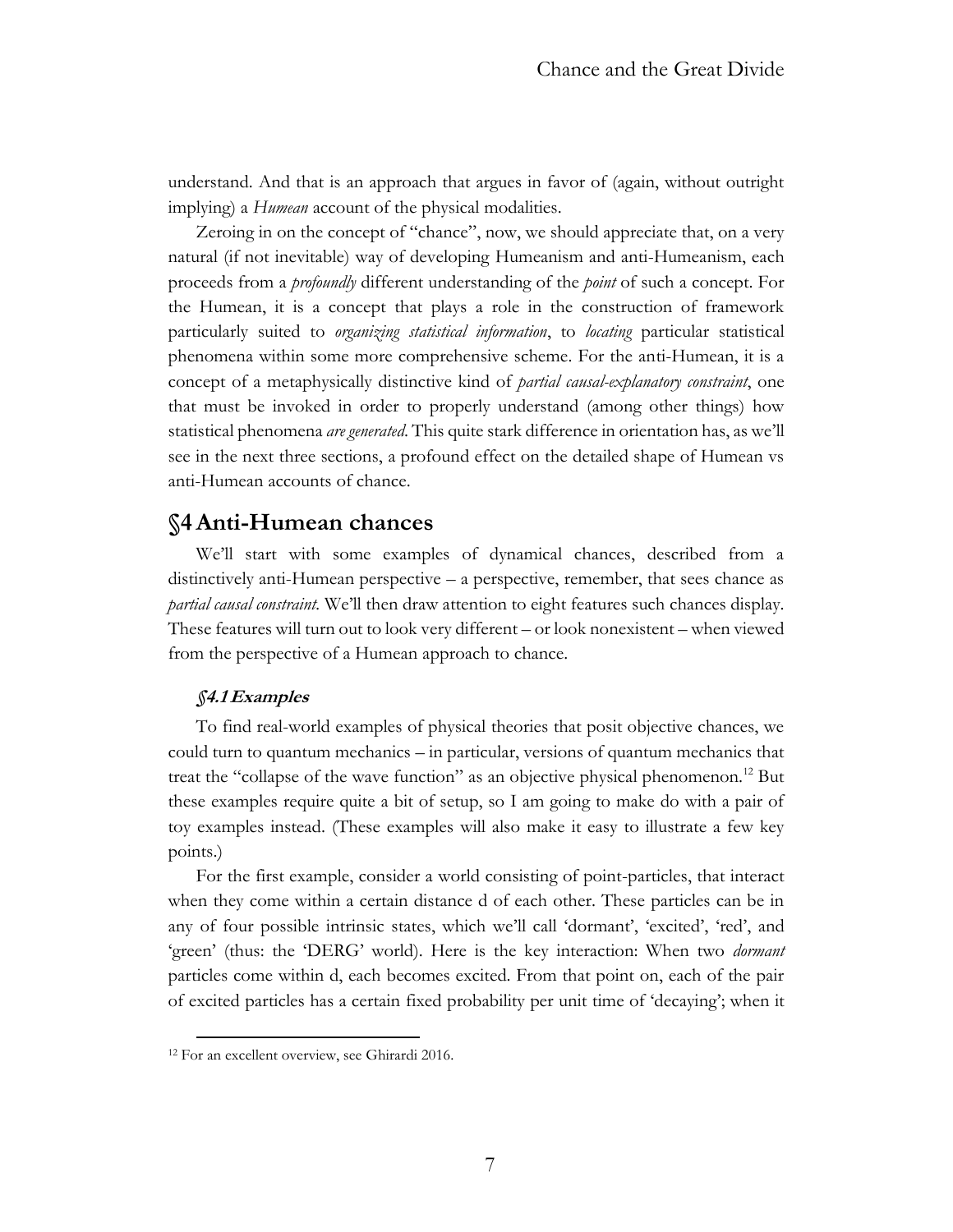understand. And that is an approach that argues in favor of (again, without outright implying) a *Humean* account of the physical modalities.

Zeroing in on the concept of "chance", now, we should appreciate that, on a very natural (if not inevitable) way of developing Humeanism and anti-Humeanism, each proceeds from a *profoundly* different understanding of the *point* of such a concept. For the Humean, it is a concept that plays a role in the construction of framework particularly suited to *organizing statistical information*, to *locating* particular statistical phenomena within some more comprehensive scheme. For the anti-Humean, it is a concept of a metaphysically distinctive kind of *partial causal-explanatory constraint*, one that must be invoked in order to properly understand (among other things) how statistical phenomena *are generated*. This quite stark difference in orientation has, as we'll see in the next three sections, a profound effect on the detailed shape of Humean vs anti-Humean accounts of chance.

## **§4Anti-Humean chances**

We'll start with some examples of dynamical chances, described from a distinctively anti-Humean perspective – a perspective, remember, that sees chance as *partial causal constraint.* We'll then draw attention to eight features such chances display. These features will turn out to look very different – or look nonexistent – when viewed from the perspective of a Humean approach to chance.

### **§4.1 Examples**

To find real-world examples of physical theories that posit objective chances, we could turn to quantum mechanics – in particular, versions of quantum mechanics that treat the "collapse of the wave function" as an objective physical phenomenon.<sup>12</sup> But these examples require quite a bit of setup, so I am going to make do with a pair of toy examples instead. (These examples will also make it easy to illustrate a few key points.)

For the first example, consider a world consisting of point-particles, that interact when they come within a certain distance d of each other. These particles can be in any of four possible intrinsic states, which we'll call 'dormant', 'excited', 'red', and 'green' (thus: the 'DERG' world). Here is the key interaction: When two *dormant* particles come within d, each becomes excited. From that point on, each of the pair of excited particles has a certain fixed probability per unit time of 'decaying'; when it

<sup>12</sup> For an excellent overview, see Ghirardi 2016.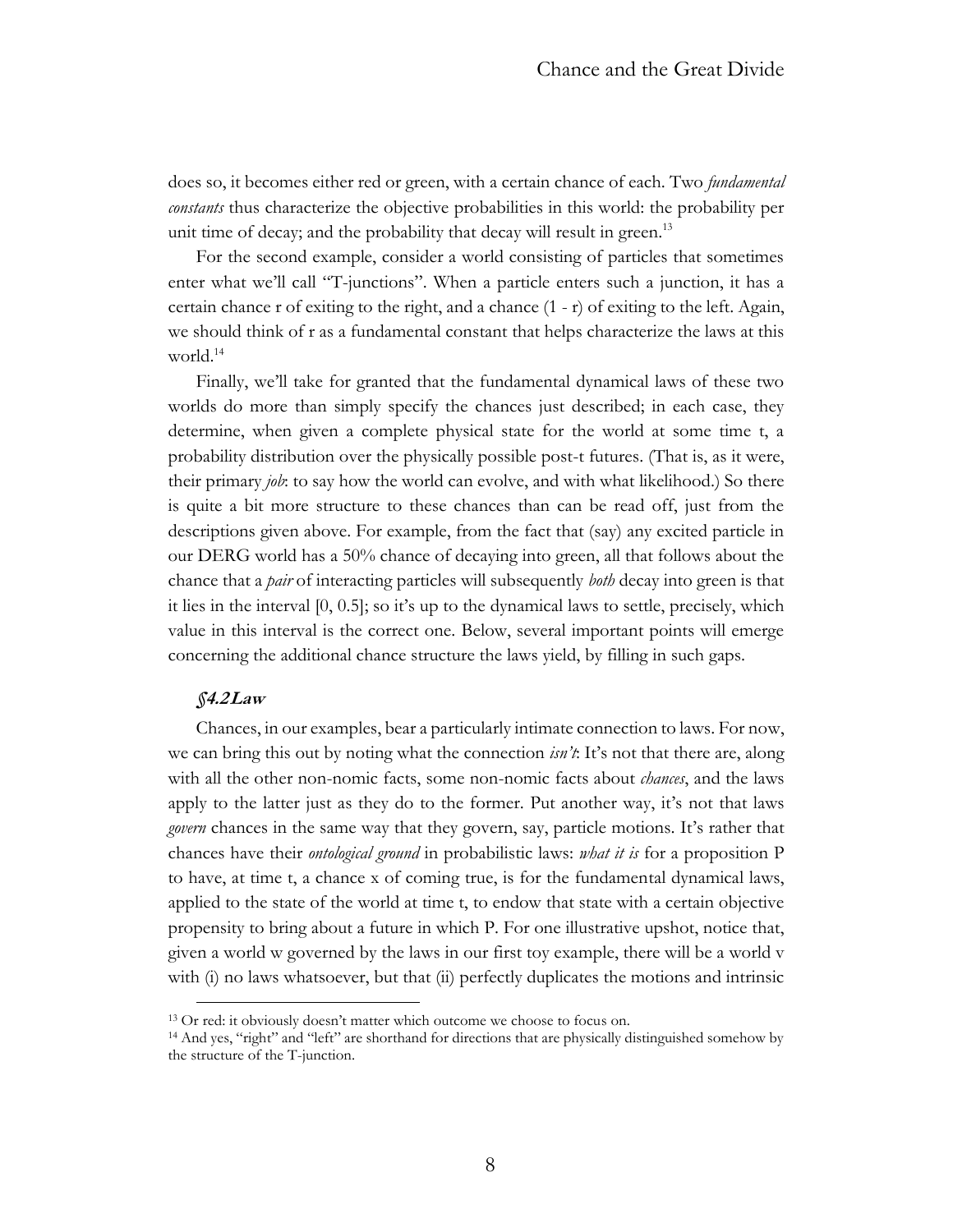does so, it becomes either red or green, with a certain chance of each. Two *fundamental constants* thus characterize the objective probabilities in this world: the probability per unit time of decay; and the probability that decay will result in green.<sup>13</sup>

For the second example, consider a world consisting of particles that sometimes enter what we'll call "T-junctions". When a particle enters such a junction, it has a certain chance r of exiting to the right, and a chance (1 - r) of exiting to the left. Again, we should think of r as a fundamental constant that helps characterize the laws at this world.<sup>14</sup>

Finally, we'll take for granted that the fundamental dynamical laws of these two worlds do more than simply specify the chances just described; in each case, they determine, when given a complete physical state for the world at some time t, a probability distribution over the physically possible post-t futures. (That is, as it were, their primary *job*: to say how the world can evolve, and with what likelihood.) So there is quite a bit more structure to these chances than can be read off, just from the descriptions given above. For example, from the fact that (say) any excited particle in our DERG world has a 50% chance of decaying into green, all that follows about the chance that a *pair* of interacting particles will subsequently *both* decay into green is that it lies in the interval [0, 0.5]; so it's up to the dynamical laws to settle, precisely, which value in this interval is the correct one. Below, several important points will emerge concerning the additional chance structure the laws yield, by filling in such gaps.

### **§4.2Law**

Chances, in our examples, bear a particularly intimate connection to laws. For now, we can bring this out by noting what the connection *isn't*: It's not that there are, along with all the other non-nomic facts, some non-nomic facts about *chances*, and the laws apply to the latter just as they do to the former. Put another way, it's not that laws *govern* chances in the same way that they govern, say, particle motions. It's rather that chances have their *ontological ground* in probabilistic laws: *what it is* for a proposition P to have, at time t, a chance x of coming true, is for the fundamental dynamical laws, applied to the state of the world at time t, to endow that state with a certain objective propensity to bring about a future in which P. For one illustrative upshot, notice that, given a world w governed by the laws in our first toy example, there will be a world v with (i) no laws whatsoever, but that (ii) perfectly duplicates the motions and intrinsic

<sup>13</sup> Or red: it obviously doesn't matter which outcome we choose to focus on.

<sup>14</sup> And yes, "right" and "left" are shorthand for directions that are physically distinguished somehow by the structure of the T-junction.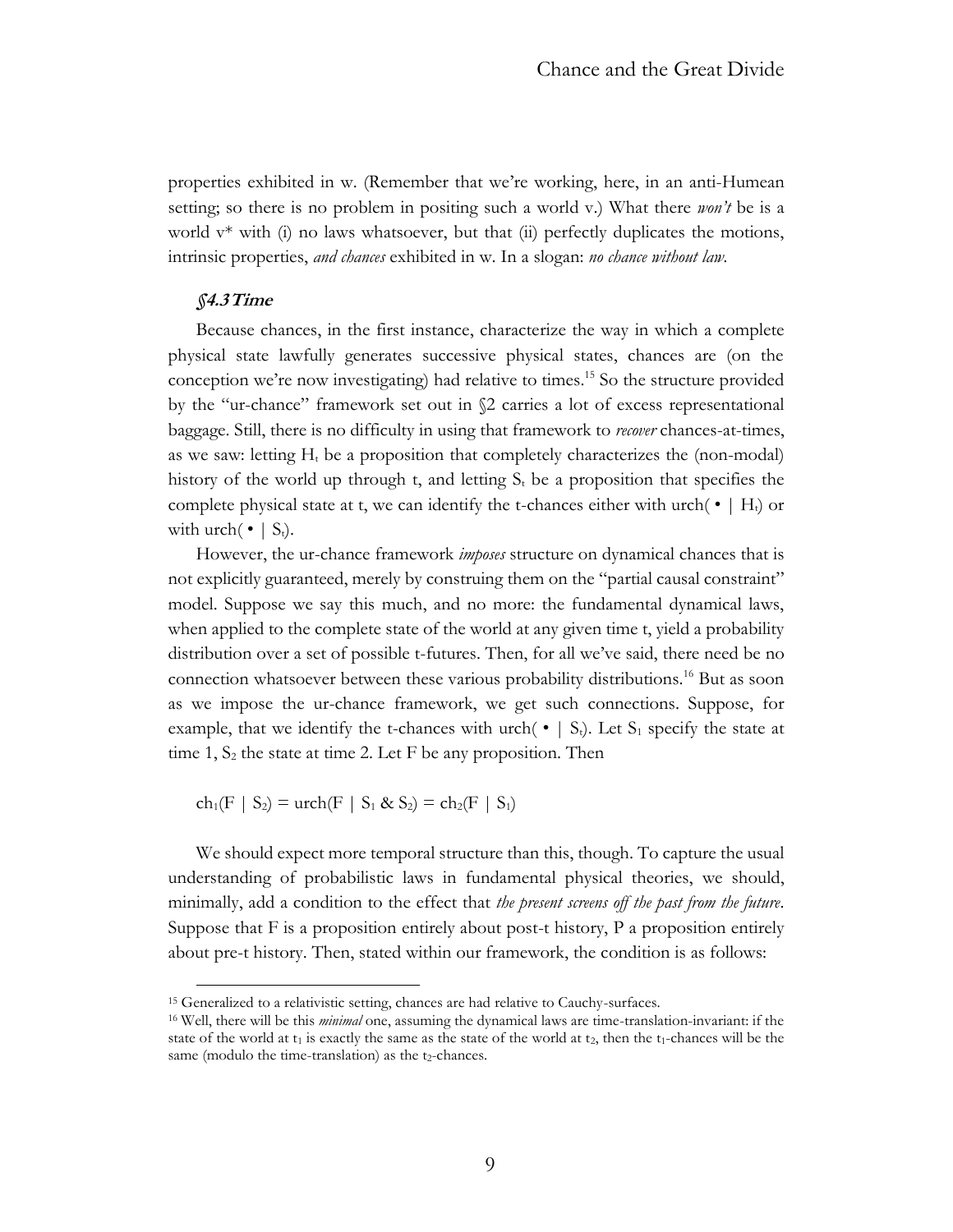properties exhibited in w. (Remember that we're working, here, in an anti-Humean setting; so there is no problem in positing such a world v.) What there *won't* be is a world  $v^*$  with (i) no laws whatsoever, but that (ii) perfectly duplicates the motions, intrinsic properties, *and chances* exhibited in w. In a slogan: *no chance without law.*

### **§4.3Time**

Because chances, in the first instance, characterize the way in which a complete physical state lawfully generates successive physical states, chances are (on the conception we're now investigating) had relative to times.<sup>15</sup> So the structure provided by the "ur-chance" framework set out in §2 carries a lot of excess representational baggage. Still, there is no difficulty in using that framework to *recover* chances-at-times, as we saw: letting  $H_t$  be a proposition that completely characterizes the (non-modal) history of the world up through t, and letting  $S_t$  be a proposition that specifies the complete physical state at t, we can identify the t-chances either with urch( $\bullet$  | H<sub>t</sub>) or with  $urch( • | S_t)$ .

However, the ur-chance framework *imposes* structure on dynamical chances that is not explicitly guaranteed, merely by construing them on the "partial causal constraint" model. Suppose we say this much, and no more: the fundamental dynamical laws, when applied to the complete state of the world at any given time t, yield a probability distribution over a set of possible t-futures. Then, for all we've said, there need be no connection whatsoever between these various probability distributions.<sup>16</sup> But as soon as we impose the ur-chance framework, we get such connections. Suppose, for example, that we identify the t-chances with urch( $\cdot$  | S<sub>t</sub>). Let S<sub>1</sub> specify the state at time 1,  $S_2$  the state at time 2. Let F be any proposition. Then

 $ch_1(F | S_2) = urch(F | S_1 & S_2) = ch_2(F | S_1)$ 

We should expect more temporal structure than this, though. To capture the usual understanding of probabilistic laws in fundamental physical theories, we should, minimally, add a condition to the effect that *the present screens off the past from the future*. Suppose that  $F$  is a proposition entirely about post-t history,  $P$  a proposition entirely about pre-t history. Then, stated within our framework, the condition is as follows:

<sup>15</sup> Generalized to a relativistic setting, chances are had relative to Cauchy-surfaces.

<sup>16</sup> Well, there will be this *minimal* one, assuming the dynamical laws are time-translation-invariant: if the state of the world at  $t_1$  is exactly the same as the state of the world at  $t_2$ , then the  $t_1$ -chances will be the same (modulo the time-translation) as the  $t_2$ -chances.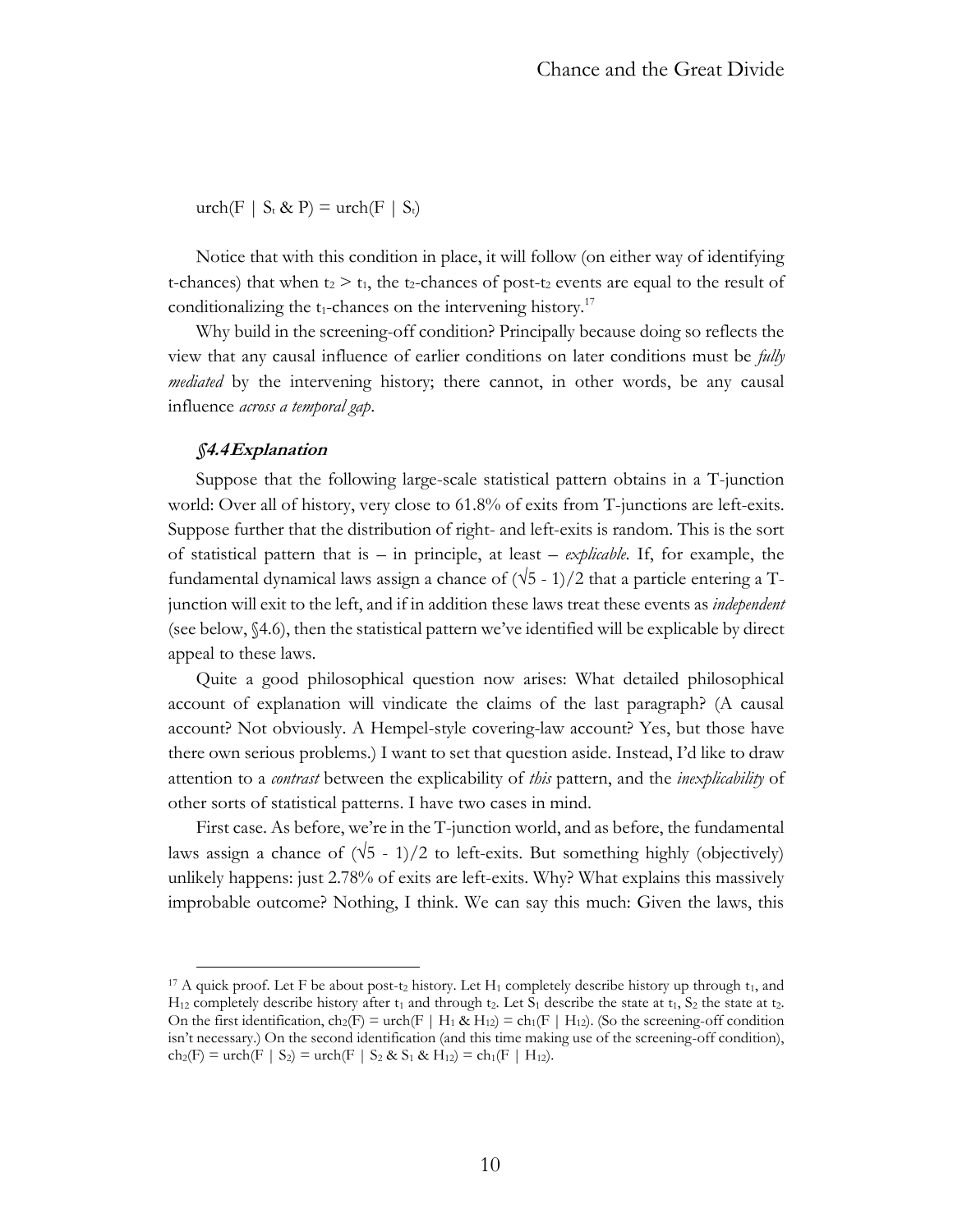urch(F |  $S_t \& P$ ) = urch(F |  $S_t$ )

Notice that with this condition in place, it will follow (on either way of identifying t-chances) that when  $t_2 > t_1$ , the t<sub>2</sub>-chances of post-t<sub>2</sub> events are equal to the result of conditionalizing the  $t_1$ -chances on the intervening history.<sup>17</sup>

Why build in the screening-off condition? Principally because doing so reflects the view that any causal influence of earlier conditions on later conditions must be *fully mediated* by the intervening history; there cannot, in other words, be any causal influence *across a temporal gap*.

### **§4.4Explanation**

Suppose that the following large-scale statistical pattern obtains in a T-junction world: Over all of history, very close to 61.8% of exits from T-junctions are left-exits. Suppose further that the distribution of right- and left-exits is random. This is the sort of statistical pattern that is – in principle, at least – *explicable*. If, for example, the fundamental dynamical laws assign a chance of  $(\sqrt{5} - 1)/2$  that a particle entering a Tjunction will exit to the left, and if in addition these laws treat these events as *independent* (see below, §4.6), then the statistical pattern we've identified will be explicable by direct appeal to these laws.

Quite a good philosophical question now arises: What detailed philosophical account of explanation will vindicate the claims of the last paragraph? (A causal account? Not obviously. A Hempel-style covering-law account? Yes, but those have there own serious problems.) I want to set that question aside. Instead, I'd like to draw attention to a *contrast* between the explicability of *this* pattern, and the *inexplicability* of other sorts of statistical patterns. I have two cases in mind.

First case. As before, we're in the T-junction world, and as before, the fundamental laws assign a chance of  $(\sqrt{5} - 1)/2$  to left-exits. But something highly (objectively) unlikely happens: just 2.78% of exits are left-exits. Why? What explains this massively improbable outcome? Nothing, I think. We can say this much: Given the laws, this

<sup>&</sup>lt;sup>17</sup> A quick proof. Let F be about post-t<sub>2</sub> history. Let H<sub>1</sub> completely describe history up through  $t_1$ , and  $H_{12}$  completely describe history after  $t_1$  and through  $t_2$ . Let  $S_1$  describe the state at  $t_1$ ,  $S_2$  the state at  $t_2$ . On the first identification,  $ch_2(F) = \text{urch}(F \mid H_1 \& H_{12}) = ch_1(F \mid H_{12})$ . (So the screening-off condition isn't necessary.) On the second identification (and this time making use of the screening-off condition),  $ch_2(F) = urch(F | S_2) = urch(F | S_2 & S_1 & H_{12}) = ch_1(F | H_{12}).$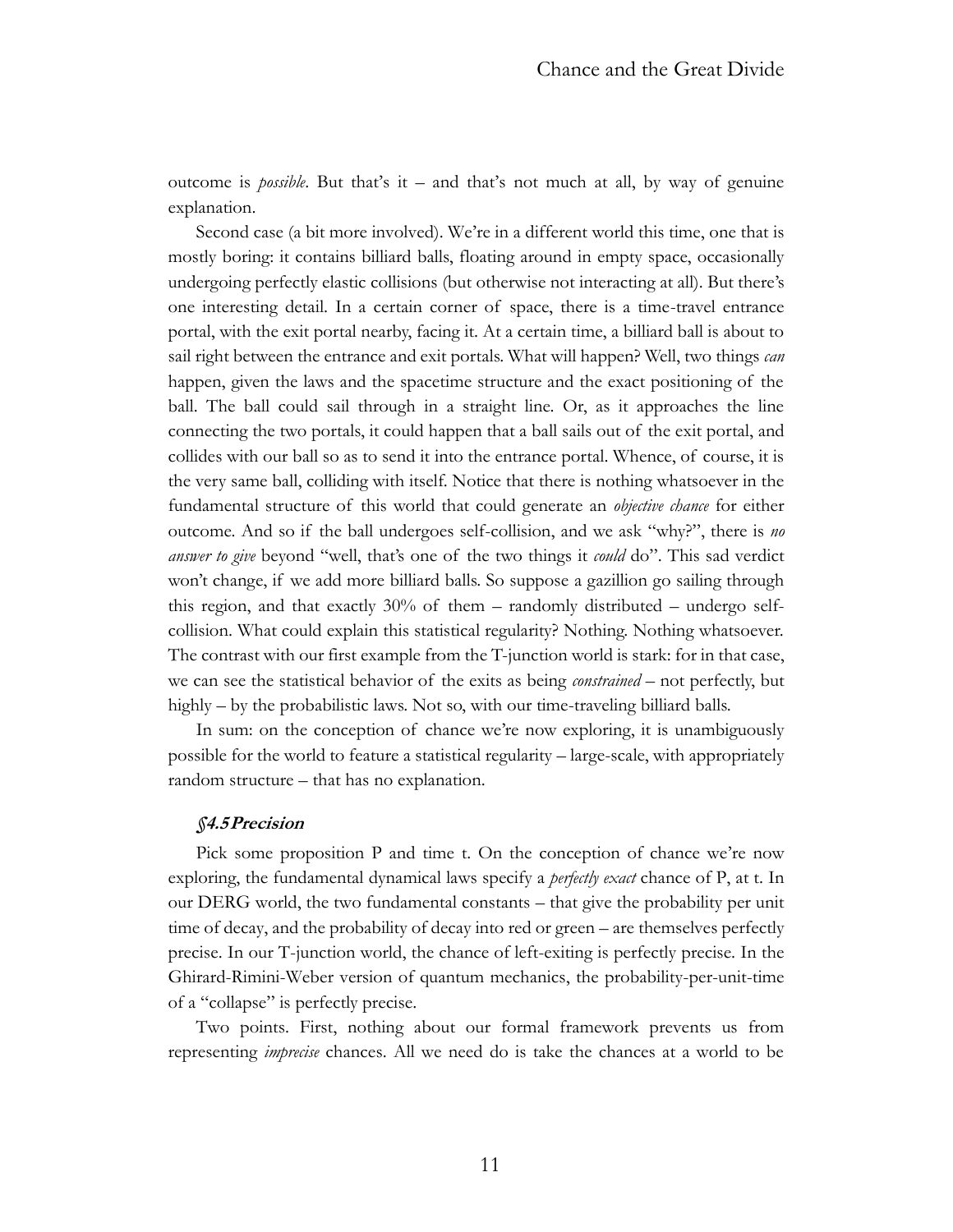outcome is *possible*. But that's it – and that's not much at all, by way of genuine explanation.

Second case (a bit more involved). We're in a different world this time, one that is mostly boring: it contains billiard balls, floating around in empty space, occasionally undergoing perfectly elastic collisions (but otherwise not interacting at all). But there's one interesting detail. In a certain corner of space, there is a time-travel entrance portal, with the exit portal nearby, facing it. At a certain time, a billiard ball is about to sail right between the entrance and exit portals. What will happen? Well, two things *can*  happen, given the laws and the spacetime structure and the exact positioning of the ball. The ball could sail through in a straight line. Or, as it approaches the line connecting the two portals, it could happen that a ball sails out of the exit portal, and collides with our ball so as to send it into the entrance portal. Whence, of course, it is the very same ball, colliding with itself. Notice that there is nothing whatsoever in the fundamental structure of this world that could generate an *objective chance* for either outcome. And so if the ball undergoes self-collision, and we ask "why?", there is *no answer to give* beyond "well, that's one of the two things it *could* do". This sad verdict won't change, if we add more billiard balls. So suppose a gazillion go sailing through this region, and that exactly 30% of them – randomly distributed – undergo selfcollision. What could explain this statistical regularity? Nothing. Nothing whatsoever. The contrast with our first example from the T-junction world is stark: for in that case, we can see the statistical behavior of the exits as being *constrained* – not perfectly, but highly – by the probabilistic laws. Not so, with our time-traveling billiard balls.

In sum: on the conception of chance we're now exploring, it is unambiguously possible for the world to feature a statistical regularity – large-scale, with appropriately random structure – that has no explanation.

#### **§4.5Precision**

Pick some proposition P and time t. On the conception of chance we're now exploring, the fundamental dynamical laws specify a *perfectly exact* chance of P, at t. In our DERG world, the two fundamental constants – that give the probability per unit time of decay, and the probability of decay into red or green – are themselves perfectly precise. In our T-junction world, the chance of left-exiting is perfectly precise. In the Ghirard-Rimini-Weber version of quantum mechanics, the probability-per-unit-time of a "collapse" is perfectly precise.

Two points. First, nothing about our formal framework prevents us from representing *imprecise* chances. All we need do is take the chances at a world to be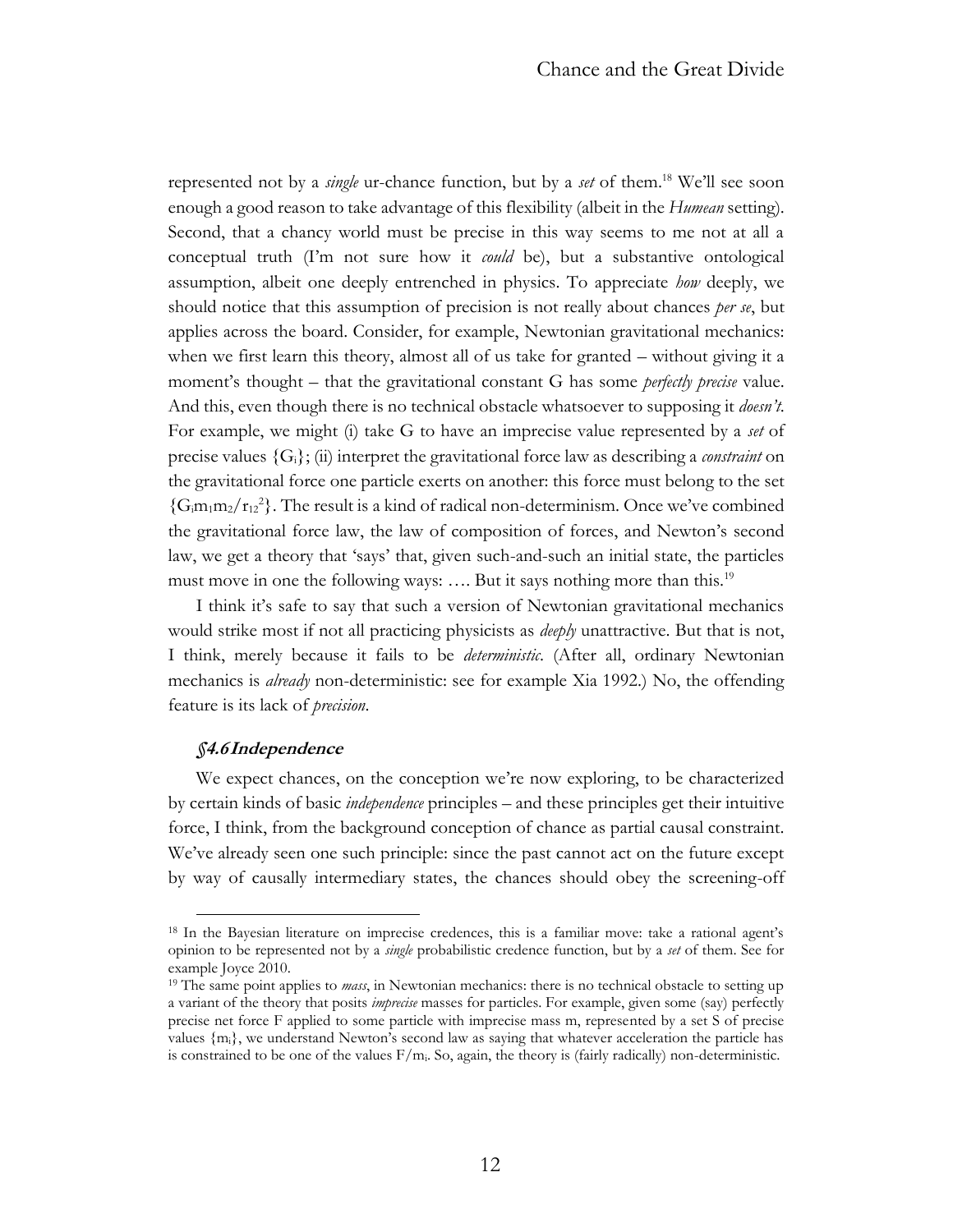represented not by a *single* ur-chance function, but by a *set* of them.<sup>18</sup> We'll see soon enough a good reason to take advantage of this flexibility (albeit in the *Humean* setting). Second, that a chancy world must be precise in this way seems to me not at all a conceptual truth (I'm not sure how it *could* be), but a substantive ontological assumption, albeit one deeply entrenched in physics. To appreciate *how* deeply, we should notice that this assumption of precision is not really about chances *per se*, but applies across the board. Consider, for example, Newtonian gravitational mechanics: when we first learn this theory, almost all of us take for granted – without giving it a moment's thought – that the gravitational constant G has some *perfectly precise* value. And this, even though there is no technical obstacle whatsoever to supposing it *doesn't*. For example, we might (i) take G to have an imprecise value represented by a *set* of precise values {Gi}; (ii) interpret the gravitational force law as describing a *constraint* on the gravitational force one particle exerts on another: this force must belong to the set  ${G<sub>i</sub>m<sub>1</sub>m<sub>2</sub>/r<sub>12</sub><sup>2</sup>}.$  The result is a kind of radical non-determinism. Once we've combined the gravitational force law, the law of composition of forces, and Newton's second law, we get a theory that 'says' that, given such-and-such an initial state, the particles must move in one the following ways: .... But it says nothing more than this.<sup>19</sup>

I think it's safe to say that such a version of Newtonian gravitational mechanics would strike most if not all practicing physicists as *deeply* unattractive. But that is not, I think, merely because it fails to be *deterministic*. (After all, ordinary Newtonian mechanics is *already* non-deterministic: see for example Xia 1992.) No, the offending feature is its lack of *precision*.

### **§4.6Independence**

We expect chances, on the conception we're now exploring, to be characterized by certain kinds of basic *independence* principles – and these principles get their intuitive force, I think, from the background conception of chance as partial causal constraint. We've already seen one such principle: since the past cannot act on the future except by way of causally intermediary states, the chances should obey the screening-off

<sup>18</sup> In the Bayesian literature on imprecise credences, this is a familiar move: take a rational agent's opinion to be represented not by a *single* probabilistic credence function, but by a *set* of them. See for example Joyce 2010.

<sup>19</sup> The same point applies to *mass*, in Newtonian mechanics: there is no technical obstacle to setting up a variant of the theory that posits *imprecise* masses for particles. For example, given some (say) perfectly precise net force F applied to some particle with imprecise mass m, represented by a set S of precise values  $\{m_i\}$ , we understand Newton's second law as saying that whatever acceleration the particle has is constrained to be one of the values  $F/m_i$ . So, again, the theory is (fairly radically) non-deterministic.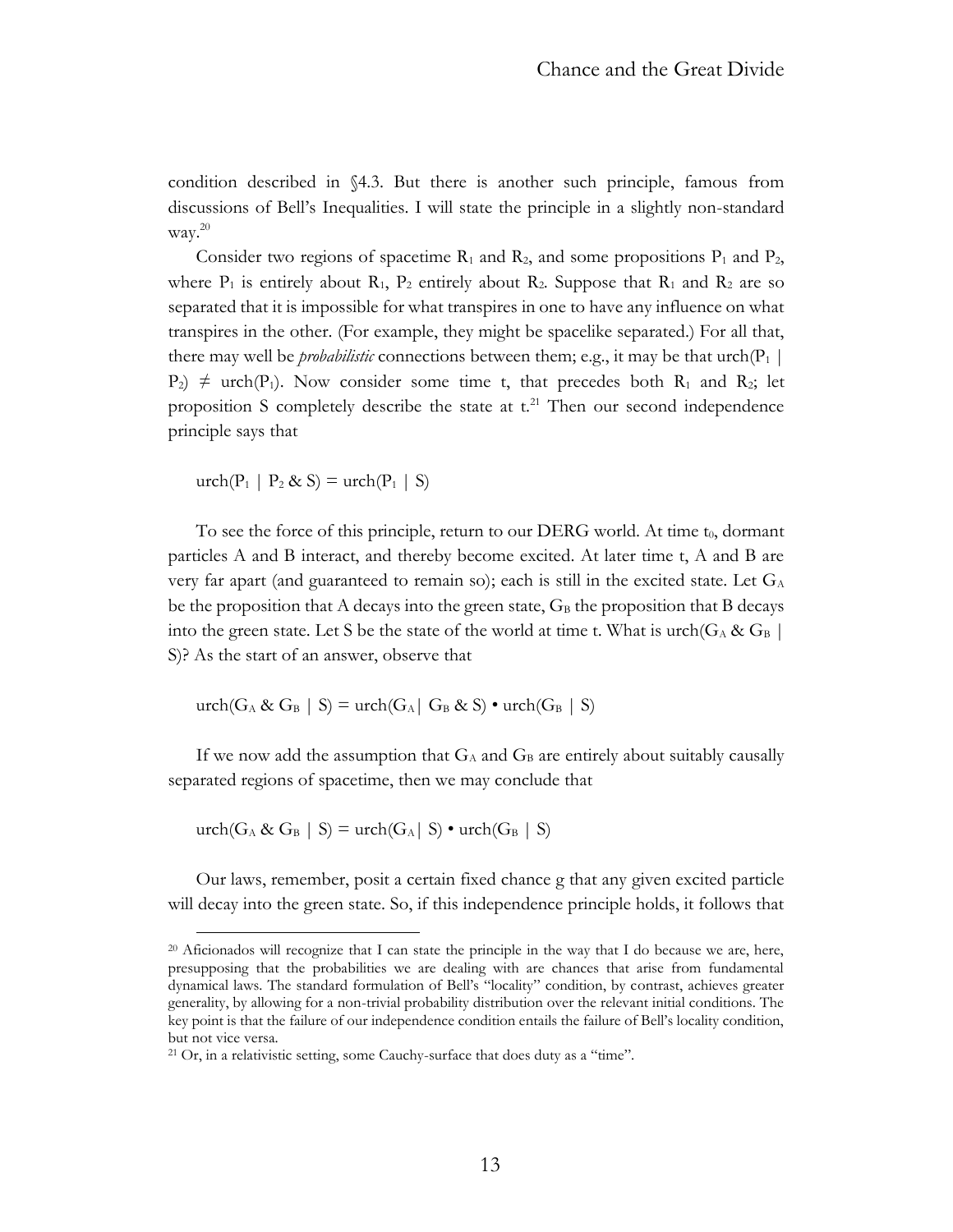condition described in §4.3. But there is another such principle, famous from discussions of Bell's Inequalities. I will state the principle in a slightly non-standard way.<sup>20</sup>

Consider two regions of spacetime  $R_1$  and  $R_2$ , and some propositions  $P_1$  and  $P_2$ , where  $P_1$  is entirely about  $R_1$ ,  $P_2$  entirely about  $R_2$ . Suppose that  $R_1$  and  $R_2$  are so separated that it is impossible for what transpires in one to have any influence on what transpires in the other. (For example, they might be spacelike separated.) For all that, there may well be *probabilistic* connections between them; e.g., it may be that urch $(P_1 \mid$  $P_2$ )  $\neq$  urch(P<sub>1</sub>). Now consider some time t, that precedes both R<sub>1</sub> and R<sub>2</sub>; let proposition S completely describe the state at  $t^2$ . Then our second independence principle says that

 $urch(P_1 | P_2 & S) =urch(P_1 | S)$ 

To see the force of this principle, return to our DERG world. At time t<sub>0</sub>, dormant particles A and B interact, and thereby become excited. At later time t, A and B are very far apart (and guaranteed to remain so); each is still in the excited state. Let  $G_A$ be the proposition that A decays into the green state,  $G_B$  the proposition that B decays into the green state. Let S be the state of the world at time t. What is urch( $G_A \& G_B \parallel$ S)? As the start of an answer, observe that

$$
urch(G_A & G_B | S) =urch(G_A | G_B & S) \cdoturch(G_B | S)
$$

If we now add the assumption that  $G_A$  and  $G_B$  are entirely about suitably causally separated regions of spacetime, then we may conclude that

 $urch(G_A & G_B | S) =urch(G_A | S)$  • urch( $G_B | S)$ 

Our laws, remember, posit a certain fixed chance g that any given excited particle will decay into the green state. So, if this independence principle holds, it follows that

<sup>20</sup> Aficionados will recognize that I can state the principle in the way that I do because we are, here, presupposing that the probabilities we are dealing with are chances that arise from fundamental dynamical laws. The standard formulation of Bell's "locality" condition, by contrast, achieves greater generality, by allowing for a non-trivial probability distribution over the relevant initial conditions. The key point is that the failure of our independence condition entails the failure of Bell's locality condition, but not vice versa.

<sup>21</sup> Or, in a relativistic setting, some Cauchy-surface that does duty as a "time".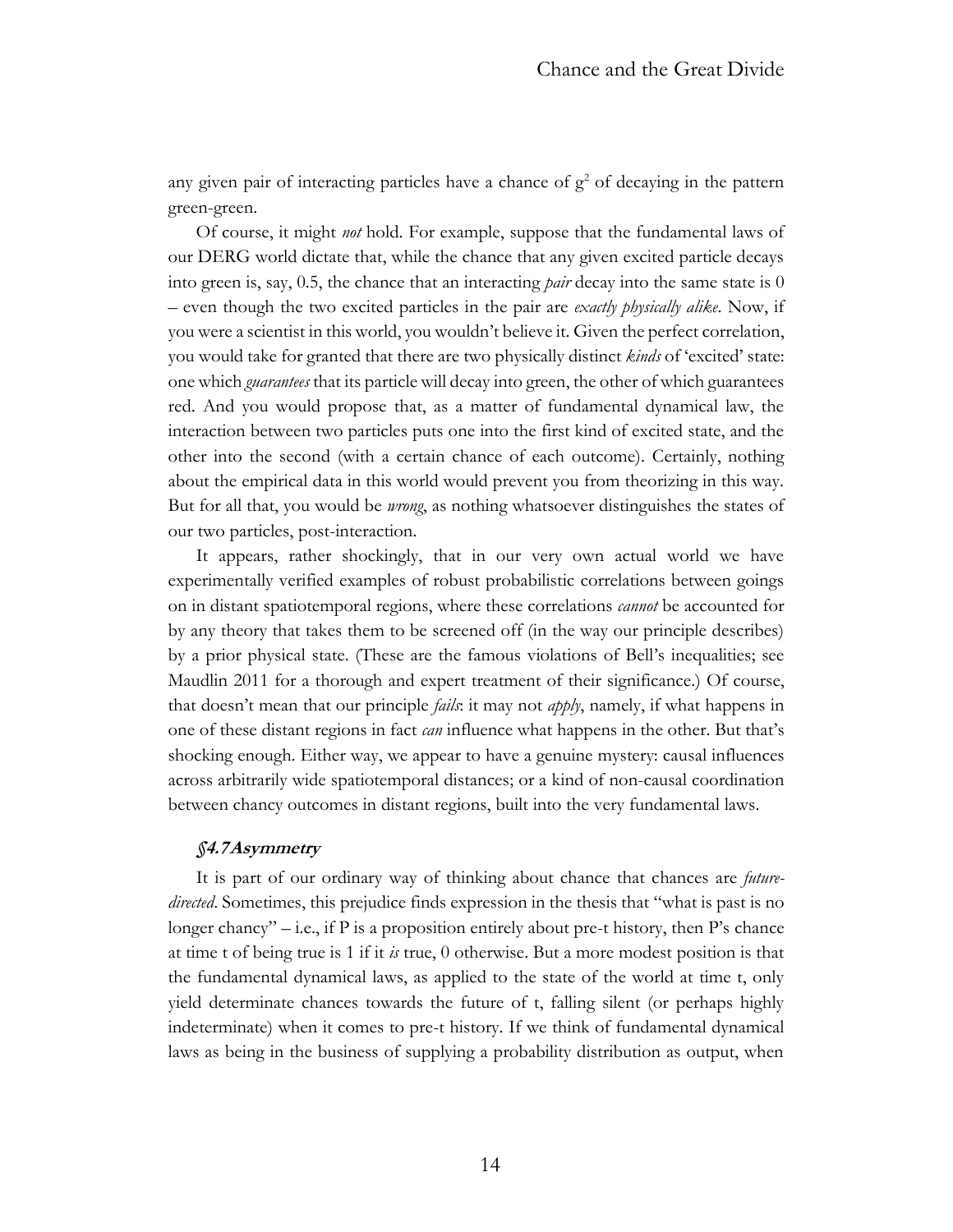any given pair of interacting particles have a chance of  $g<sup>2</sup>$  of decaying in the pattern green-green.

Of course, it might *not* hold. For example, suppose that the fundamental laws of our DERG world dictate that, while the chance that any given excited particle decays into green is, say, 0.5, the chance that an interacting *pair* decay into the same state is 0 – even though the two excited particles in the pair are *exactly physically alike*. Now, if you were a scientist in this world, you wouldn't believe it. Given the perfect correlation, you would take for granted that there are two physically distinct *kinds* of 'excited' state: one which *guarantees* that its particle will decay into green, the other of which guarantees red. And you would propose that, as a matter of fundamental dynamical law, the interaction between two particles puts one into the first kind of excited state, and the other into the second (with a certain chance of each outcome). Certainly, nothing about the empirical data in this world would prevent you from theorizing in this way. But for all that, you would be *wrong*, as nothing whatsoever distinguishes the states of our two particles, post-interaction.

It appears, rather shockingly, that in our very own actual world we have experimentally verified examples of robust probabilistic correlations between goings on in distant spatiotemporal regions, where these correlations *cannot* be accounted for by any theory that takes them to be screened off (in the way our principle describes) by a prior physical state. (These are the famous violations of Bell's inequalities; see Maudlin 2011 for a thorough and expert treatment of their significance.) Of course, that doesn't mean that our principle *fails*: it may not *apply*, namely, if what happens in one of these distant regions in fact *can* influence what happens in the other. But that's shocking enough. Either way, we appear to have a genuine mystery: causal influences across arbitrarily wide spatiotemporal distances; or a kind of non-causal coordination between chancy outcomes in distant regions, built into the very fundamental laws.

### **§4.7Asymmetry**

It is part of our ordinary way of thinking about chance that chances are *futuredirected*. Sometimes, this prejudice finds expression in the thesis that "what is past is no longer chancy" – i.e., if P is a proposition entirely about pre-t history, then P's chance at time t of being true is 1 if it *is* true, 0 otherwise. But a more modest position is that the fundamental dynamical laws, as applied to the state of the world at time t, only yield determinate chances towards the future of t, falling silent (or perhaps highly indeterminate) when it comes to pre-t history. If we think of fundamental dynamical laws as being in the business of supplying a probability distribution as output, when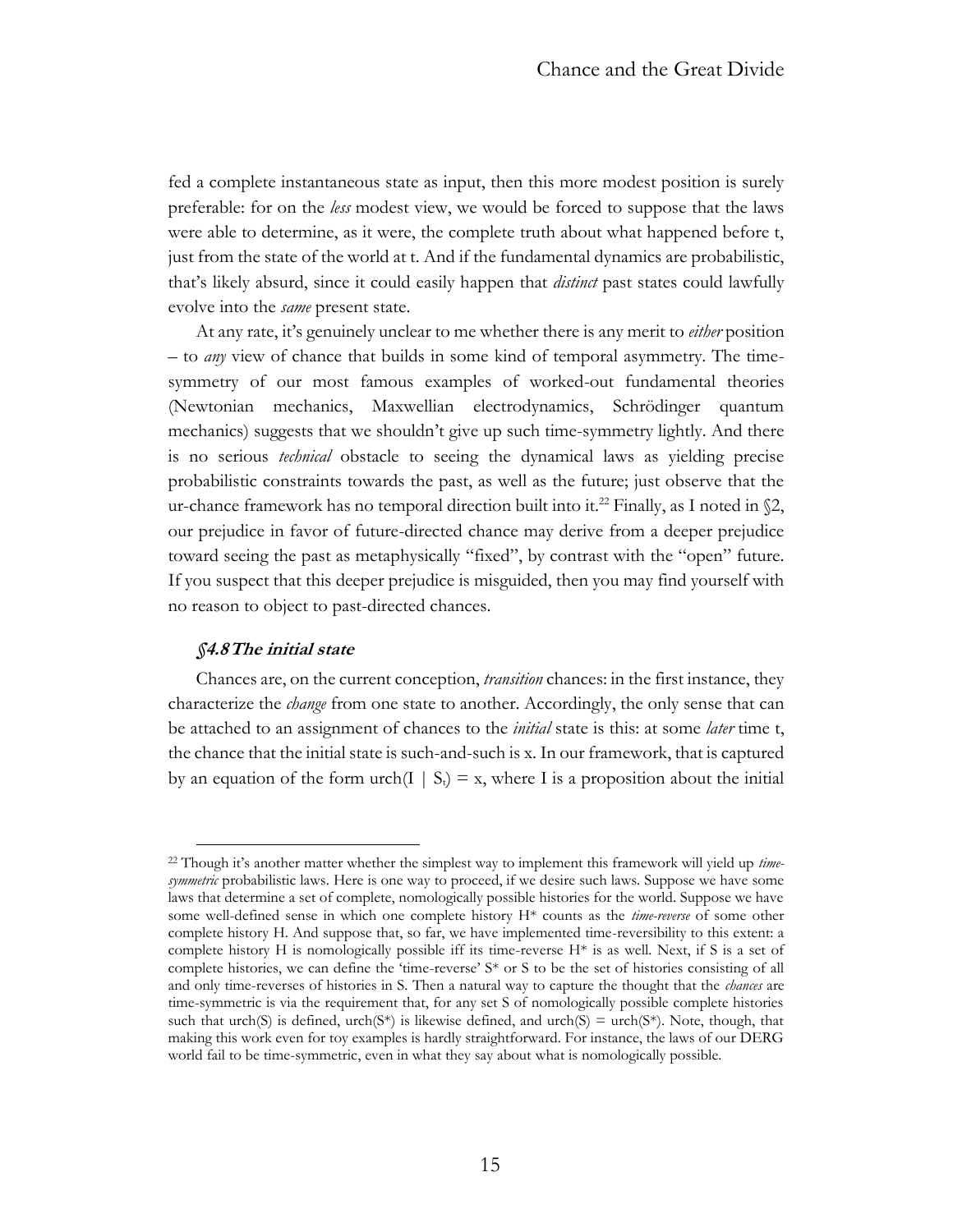fed a complete instantaneous state as input, then this more modest position is surely preferable: for on the *less* modest view, we would be forced to suppose that the laws were able to determine, as it were, the complete truth about what happened before t, just from the state of the world at t. And if the fundamental dynamics are probabilistic, that's likely absurd, since it could easily happen that *distinct* past states could lawfully evolve into the *same* present state.

At any rate, it's genuinely unclear to me whether there is any merit to *either* position – to *any* view of chance that builds in some kind of temporal asymmetry. The timesymmetry of our most famous examples of worked-out fundamental theories (Newtonian mechanics, Maxwellian electrodynamics, Schrödinger quantum mechanics) suggests that we shouldn't give up such time-symmetry lightly. And there is no serious *technical* obstacle to seeing the dynamical laws as yielding precise probabilistic constraints towards the past, as well as the future; just observe that the ur-chance framework has no temporal direction built into it.<sup>22</sup> Finally, as I noted in  $\Omega$ , our prejudice in favor of future-directed chance may derive from a deeper prejudice toward seeing the past as metaphysically "fixed", by contrast with the "open" future. If you suspect that this deeper prejudice is misguided, then you may find yourself with no reason to object to past-directed chances.

#### **§4.8The initial state**

Chances are, on the current conception, *transition* chances: in the first instance, they characterize the *change* from one state to another. Accordingly, the only sense that can be attached to an assignment of chances to the *initial* state is this: at some *later* time t, the chance that the initial state is such-and-such is x. In our framework, that is captured by an equation of the form urch(I |  $S_t$ ) = x, where I is a proposition about the initial

<sup>22</sup> Though it's another matter whether the simplest way to implement this framework will yield up *timesymmetric* probabilistic laws. Here is one way to proceed, if we desire such laws. Suppose we have some laws that determine a set of complete, nomologically possible histories for the world. Suppose we have some well-defined sense in which one complete history H\* counts as the *time-reverse* of some other complete history H. And suppose that, so far, we have implemented time-reversibility to this extent: a complete history H is nomologically possible iff its time-reverse H\* is as well. Next, if S is a set of complete histories, we can define the 'time-reverse' S\* or S to be the set of histories consisting of all and only time-reverses of histories in S. Then a natural way to capture the thought that the *chances* are time-symmetric is via the requirement that, for any set S of nomologically possible complete histories such that urch(S) is defined, urch(S\*) is likewise defined, and urch(S) = urch(S\*). Note, though, that making this work even for toy examples is hardly straightforward. For instance, the laws of our DERG world fail to be time-symmetric, even in what they say about what is nomologically possible.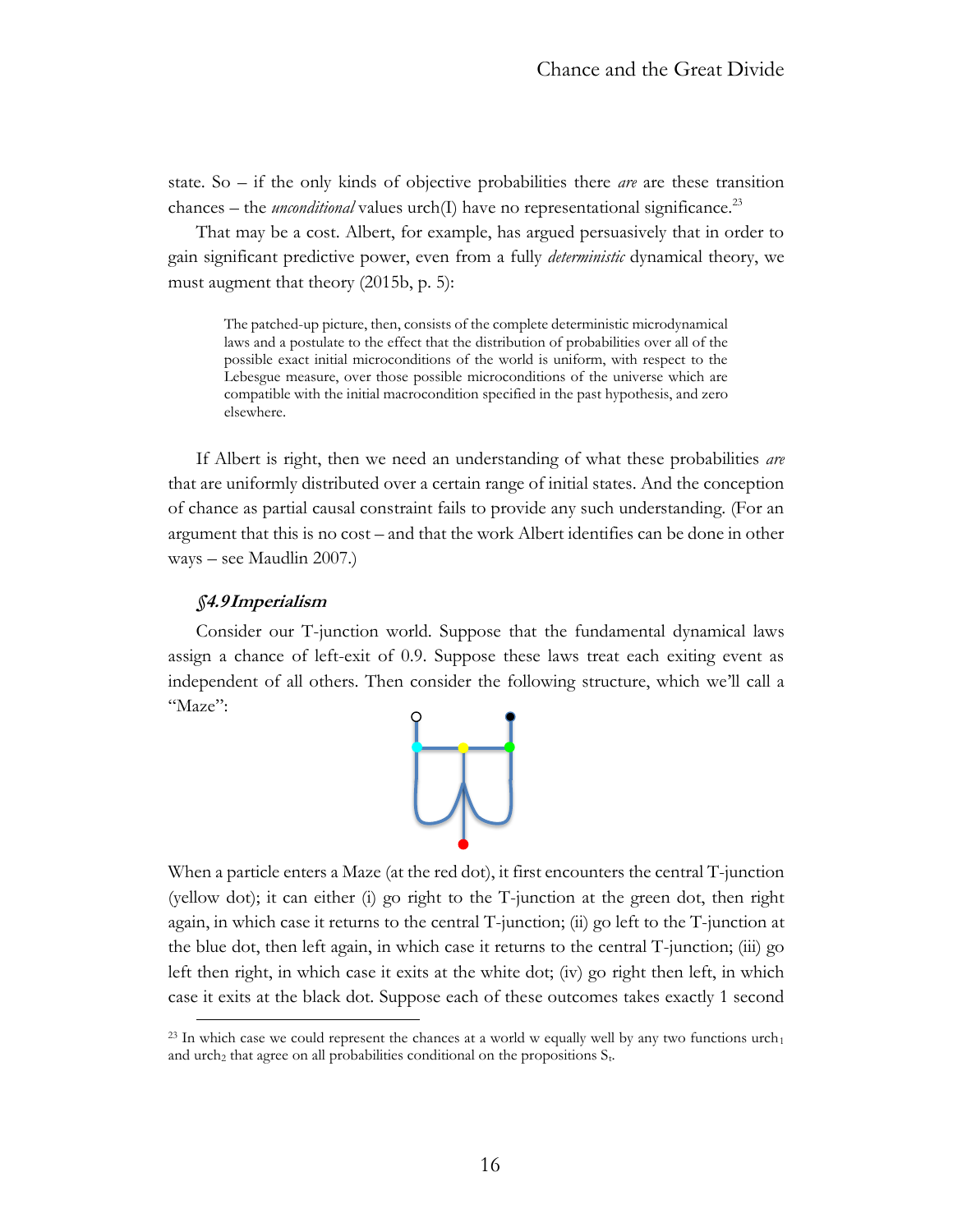state. So – if the only kinds of objective probabilities there *are* are these transition chances – the *unconditional* values urch(I) have no representational significance.<sup>23</sup>

That may be a cost. Albert, for example, has argued persuasively that in order to gain significant predictive power, even from a fully *deterministic* dynamical theory, we must augment that theory (2015b, p. 5):

The patched-up picture, then, consists of the complete deterministic microdynamical laws and a postulate to the effect that the distribution of probabilities over all of the possible exact initial microconditions of the world is uniform, with respect to the Lebesgue measure, over those possible microconditions of the universe which are compatible with the initial macrocondition specified in the past hypothesis, and zero elsewhere.

If Albert is right, then we need an understanding of what these probabilities *are* that are uniformly distributed over a certain range of initial states. And the conception of chance as partial causal constraint fails to provide any such understanding. (For an argument that this is no cost – and that the work Albert identifies can be done in other ways – see Maudlin 2007.)

### **§4.9Imperialism**

Consider our T-junction world. Suppose that the fundamental dynamical laws assign a chance of left-exit of 0.9. Suppose these laws treat each exiting event as independent of all others. Then consider the following structure, which we'll call a "Maze":



When a particle enters a Maze (at the red dot), it first encounters the central T-junction (yellow dot); it can either (i) go right to the T-junction at the green dot, then right again, in which case it returns to the central T-junction; (ii) go left to the T-junction at the blue dot, then left again, in which case it returns to the central T-junction; (iii) go left then right, in which case it exits at the white dot; (iv) go right then left, in which case it exits at the black dot. Suppose each of these outcomes takes exactly 1 second

<sup>&</sup>lt;sup>23</sup> In which case we could represent the chances at a world w equally well by any two functions urch<sub>1</sub> and urch<sub>2</sub> that agree on all probabilities conditional on the propositions  $S_t$ .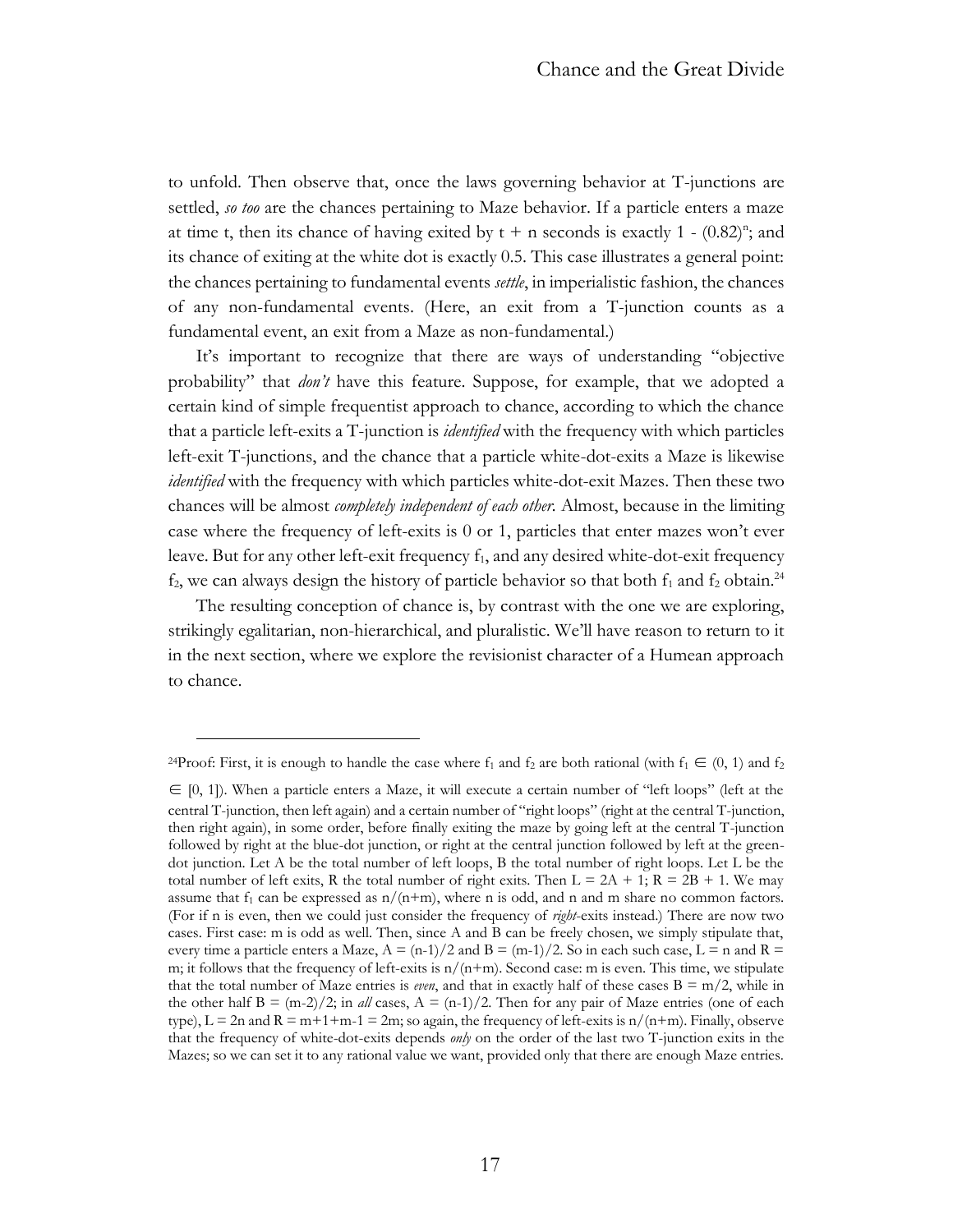to unfold. Then observe that, once the laws governing behavior at T-junctions are settled, *so too* are the chances pertaining to Maze behavior. If a particle enters a maze at time t, then its chance of having exited by  $t + n$  seconds is exactly 1 -  $(0.82)^n$ ; and its chance of exiting at the white dot is exactly 0.5. This case illustrates a general point: the chances pertaining to fundamental events *settle*, in imperialistic fashion, the chances of any non-fundamental events. (Here, an exit from a T-junction counts as a fundamental event, an exit from a Maze as non-fundamental.)

It's important to recognize that there are ways of understanding "objective probability" that *don't* have this feature. Suppose, for example, that we adopted a certain kind of simple frequentist approach to chance, according to which the chance that a particle left-exits a T-junction is *identified* with the frequency with which particles left-exit T-junctions, and the chance that a particle white-dot-exits a Maze is likewise *identified* with the frequency with which particles white-dot-exit Mazes. Then these two chances will be almost *completely independent of each other.* Almost, because in the limiting case where the frequency of left-exits is 0 or 1, particles that enter mazes won't ever leave. But for any other left-exit frequency  $f_1$ , and any desired white-dot-exit frequency  $f_2$ , we can always design the history of particle behavior so that both  $f_1$  and  $f_2$  obtain.<sup>24</sup>

The resulting conception of chance is, by contrast with the one we are exploring, strikingly egalitarian, non-hierarchical, and pluralistic. We'll have reason to return to it in the next section, where we explore the revisionist character of a Humean approach to chance.

<sup>&</sup>lt;sup>24</sup>Proof: First, it is enough to handle the case where  $f_1$  and  $f_2$  are both rational (with  $f_1 \in (0, 1)$  and  $f_2$ 

 $\in$  [0, 1]). When a particle enters a Maze, it will execute a certain number of "left loops" (left at the central T-junction, then left again) and a certain number of "right loops" (right at the central T-junction, then right again), in some order, before finally exiting the maze by going left at the central T-junction followed by right at the blue-dot junction, or right at the central junction followed by left at the greendot junction. Let A be the total number of left loops, B the total number of right loops. Let L be the total number of left exits, R the total number of right exits. Then  $L = 2A + 1$ ;  $R = 2B + 1$ . We may assume that  $f_1$  can be expressed as  $n/(n+m)$ , where n is odd, and n and m share no common factors. (For if n is even, then we could just consider the frequency of *right*-exits instead.) There are now two cases. First case: m is odd as well. Then, since A and B can be freely chosen, we simply stipulate that, every time a particle enters a Maze,  $A = (n-1)/2$  and  $B = (m-1)/2$ . So in each such case,  $L = n$  and  $R =$ m; it follows that the frequency of left-exits is  $n/(n+m)$ . Second case: m is even. This time, we stipulate that the total number of Maze entries is *even*, and that in exactly half of these cases  $B = m/2$ , while in the other half  $B = (m-2)/2$ ; in *all* cases,  $A = (n-1)/2$ . Then for any pair of Maze entries (one of each type),  $L = 2n$  and  $R = m+1+m-1 = 2m$ ; so again, the frequency of left-exits is  $n/(n+m)$ . Finally, observe that the frequency of white-dot-exits depends *only* on the order of the last two T-junction exits in the Mazes; so we can set it to any rational value we want, provided only that there are enough Maze entries.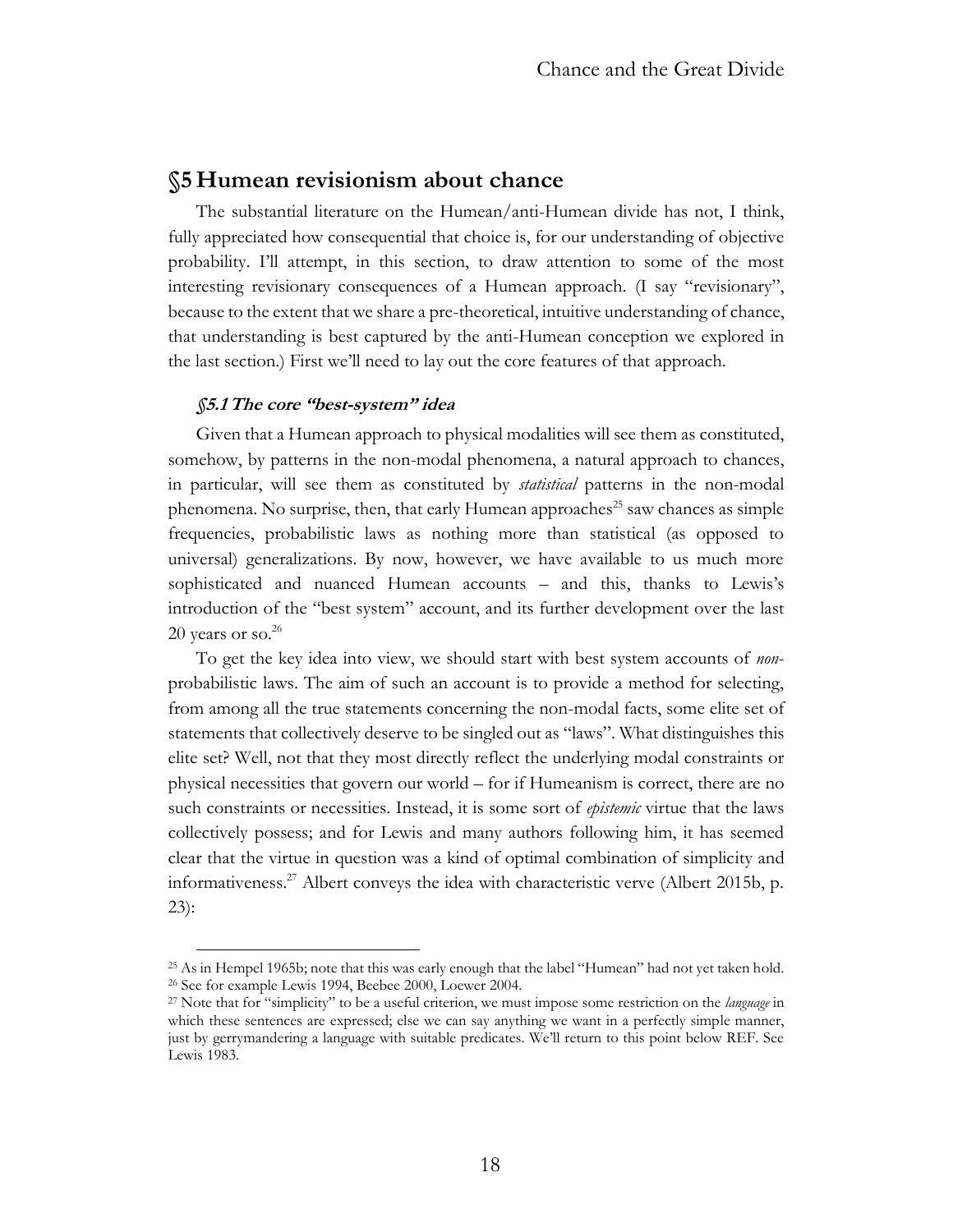## **§5 Humean revisionism about chance**

The substantial literature on the Humean/anti-Humean divide has not, I think, fully appreciated how consequential that choice is, for our understanding of objective probability. I'll attempt, in this section, to draw attention to some of the most interesting revisionary consequences of a Humean approach. (I say "revisionary", because to the extent that we share a pre-theoretical, intuitive understanding of chance, that understanding is best captured by the anti-Humean conception we explored in the last section.) First we'll need to lay out the core features of that approach.

### **§5.1The core "best-system" idea**

Given that a Humean approach to physical modalities will see them as constituted, somehow, by patterns in the non-modal phenomena, a natural approach to chances, in particular, will see them as constituted by *statistical* patterns in the non-modal phenomena. No surprise, then, that early Humean approaches<sup>25</sup> saw chances as simple frequencies, probabilistic laws as nothing more than statistical (as opposed to universal) generalizations. By now, however, we have available to us much more sophisticated and nuanced Humean accounts – and this, thanks to Lewis's introduction of the "best system" account, and its further development over the last 20 years or so. $26$ 

To get the key idea into view, we should start with best system accounts of *non*probabilistic laws. The aim of such an account is to provide a method for selecting, from among all the true statements concerning the non-modal facts, some elite set of statements that collectively deserve to be singled out as "laws". What distinguishes this elite set? Well, not that they most directly reflect the underlying modal constraints or physical necessities that govern our world – for if Humeanism is correct, there are no such constraints or necessities. Instead, it is some sort of *epistemic* virtue that the laws collectively possess; and for Lewis and many authors following him, it has seemed clear that the virtue in question was a kind of optimal combination of simplicity and informativeness.<sup>27</sup> Albert conveys the idea with characteristic verve (Albert 2015b, p. 23):

<sup>&</sup>lt;sup>25</sup> As in Hempel 1965b; note that this was early enough that the label "Humean" had not yet taken hold. <sup>26</sup> See for example Lewis 1994, Beebee 2000, Loewer 2004.

<sup>27</sup> Note that for "simplicity" to be a useful criterion, we must impose some restriction on the *language* in which these sentences are expressed; else we can say anything we want in a perfectly simple manner, just by gerrymandering a language with suitable predicates. We'll return to this point below REF. See Lewis 1983.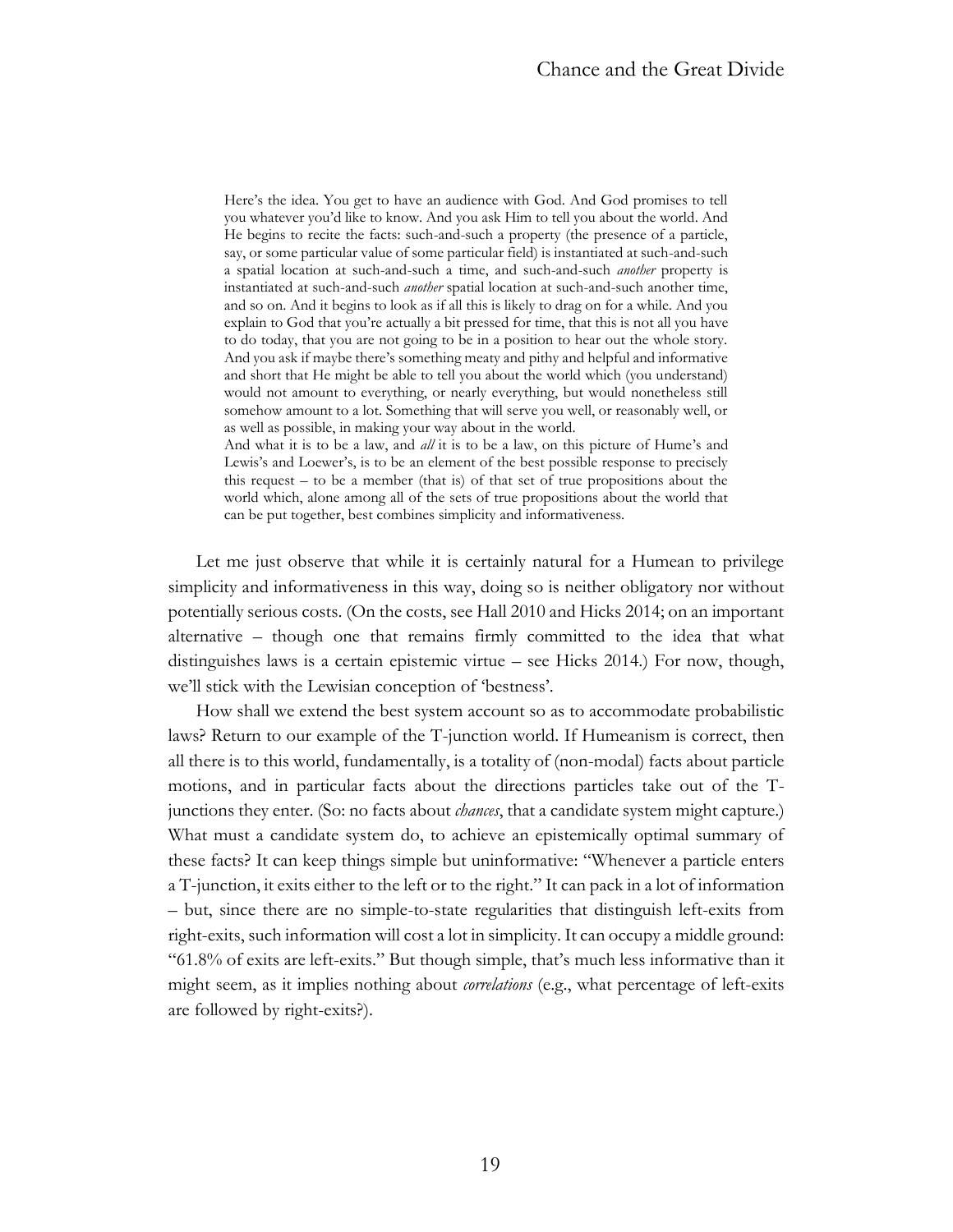Here's the idea. You get to have an audience with God. And God promises to tell you whatever you'd like to know. And you ask Him to tell you about the world. And He begins to recite the facts: such-and-such a property (the presence of a particle, say, or some particular value of some particular field) is instantiated at such-and-such a spatial location at such-and-such a time, and such-and-such *another* property is instantiated at such-and-such *another* spatial location at such-and-such another time, and so on. And it begins to look as if all this is likely to drag on for a while. And you explain to God that you're actually a bit pressed for time, that this is not all you have to do today, that you are not going to be in a position to hear out the whole story. And you ask if maybe there's something meaty and pithy and helpful and informative and short that He might be able to tell you about the world which (you understand) would not amount to everything, or nearly everything, but would nonetheless still somehow amount to a lot. Something that will serve you well, or reasonably well, or as well as possible, in making your way about in the world. And what it is to be a law, and *all* it is to be a law, on this picture of Hume's and

Lewis's and Loewer's, is to be an element of the best possible response to precisely this request – to be a member (that is) of that set of true propositions about the world which, alone among all of the sets of true propositions about the world that can be put together, best combines simplicity and informativeness.

Let me just observe that while it is certainly natural for a Humean to privilege simplicity and informativeness in this way, doing so is neither obligatory nor without potentially serious costs. (On the costs, see Hall 2010 and Hicks 2014; on an important alternative – though one that remains firmly committed to the idea that what distinguishes laws is a certain epistemic virtue – see Hicks 2014.) For now, though, we'll stick with the Lewisian conception of 'bestness'.

How shall we extend the best system account so as to accommodate probabilistic laws? Return to our example of the T-junction world. If Humeanism is correct, then all there is to this world, fundamentally, is a totality of (non-modal) facts about particle motions, and in particular facts about the directions particles take out of the Tjunctions they enter. (So: no facts about *chances*, that a candidate system might capture.) What must a candidate system do, to achieve an epistemically optimal summary of these facts? It can keep things simple but uninformative: "Whenever a particle enters a T-junction, it exits either to the left or to the right." It can pack in a lot of information – but, since there are no simple-to-state regularities that distinguish left-exits from right-exits, such information will cost a lot in simplicity. It can occupy a middle ground: "61.8% of exits are left-exits." But though simple, that's much less informative than it might seem, as it implies nothing about *correlations* (e.g., what percentage of left-exits are followed by right-exits?).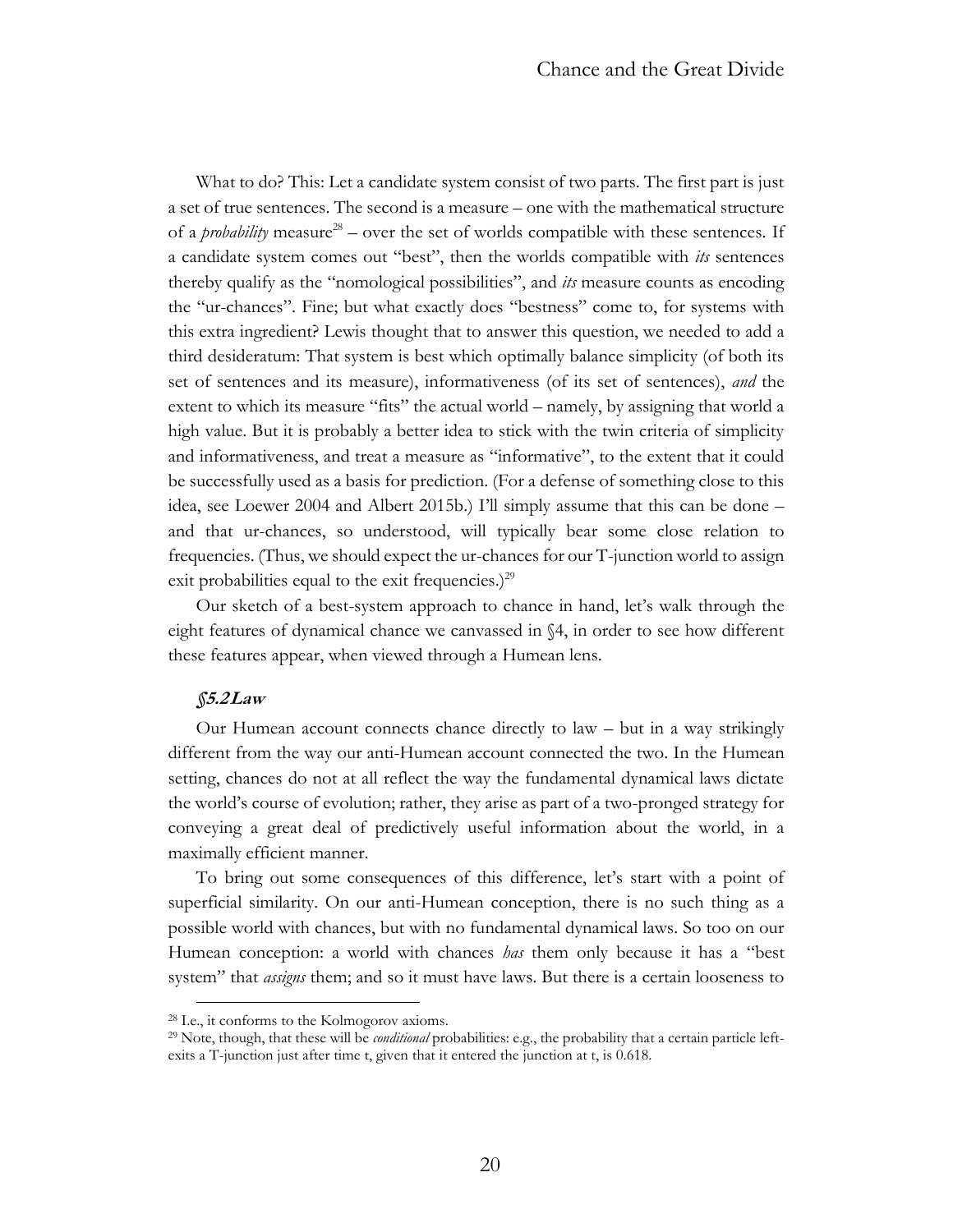What to do? This: Let a candidate system consist of two parts. The first part is just a set of true sentences. The second is a measure – one with the mathematical structure of a *probability* measure<sup>28</sup> – over the set of worlds compatible with these sentences. If a candidate system comes out "best", then the worlds compatible with *its* sentences thereby qualify as the "nomological possibilities", and *its* measure counts as encoding the "ur-chances". Fine; but what exactly does "bestness" come to, for systems with this extra ingredient? Lewis thought that to answer this question, we needed to add a third desideratum: That system is best which optimally balance simplicity (of both its set of sentences and its measure), informativeness (of its set of sentences), *and* the extent to which its measure "fits" the actual world – namely, by assigning that world a high value. But it is probably a better idea to stick with the twin criteria of simplicity and informativeness, and treat a measure as "informative", to the extent that it could be successfully used as a basis for prediction. (For a defense of something close to this idea, see Loewer 2004 and Albert 2015b.) I'll simply assume that this can be done – and that ur-chances, so understood, will typically bear some close relation to frequencies. (Thus, we should expect the ur-chances for our T-junction world to assign exit probabilities equal to the exit frequencies.)<sup>29</sup>

Our sketch of a best-system approach to chance in hand, let's walk through the eight features of dynamical chance we canvassed in §4, in order to see how different these features appear, when viewed through a Humean lens.

### **§5.2Law**

Our Humean account connects chance directly to law – but in a way strikingly different from the way our anti-Humean account connected the two. In the Humean setting, chances do not at all reflect the way the fundamental dynamical laws dictate the world's course of evolution; rather, they arise as part of a two-pronged strategy for conveying a great deal of predictively useful information about the world, in a maximally efficient manner.

To bring out some consequences of this difference, let's start with a point of superficial similarity. On our anti-Humean conception, there is no such thing as a possible world with chances, but with no fundamental dynamical laws. So too on our Humean conception: a world with chances *has* them only because it has a "best system" that *assigns* them; and so it must have laws. But there is a certain looseness to

<sup>28</sup> I.e., it conforms to the Kolmogorov axioms.

<sup>29</sup> Note, though, that these will be *conditional* probabilities: e.g., the probability that a certain particle leftexits a T-junction just after time t, given that it entered the junction at t, is 0.618.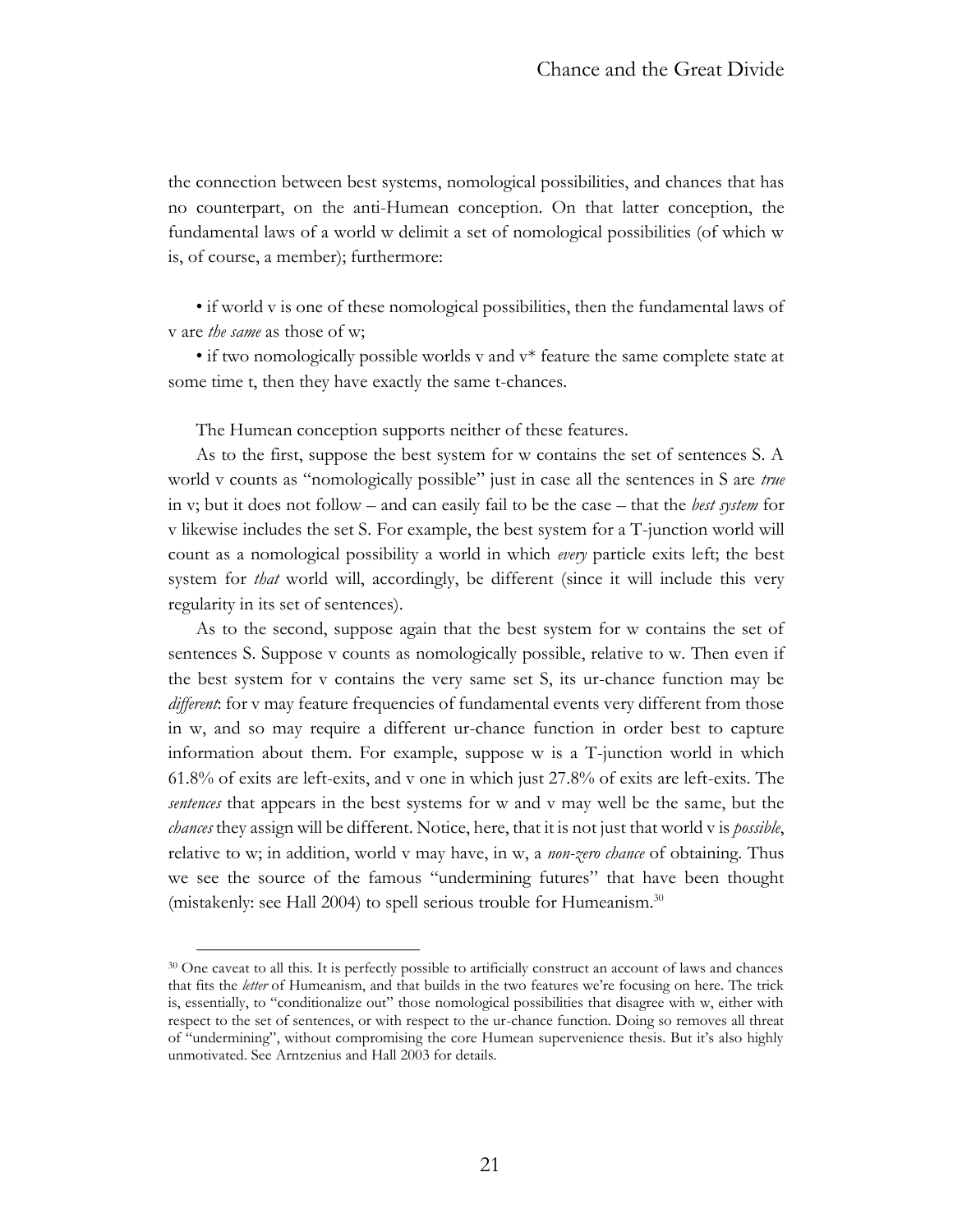the connection between best systems, nomological possibilities, and chances that has no counterpart, on the anti-Humean conception. On that latter conception, the fundamental laws of a world w delimit a set of nomological possibilities (of which w is, of course, a member); furthermore:

• if world v is one of these nomological possibilities, then the fundamental laws of v are *the same* as those of w;

• if two nomologically possible worlds v and v\* feature the same complete state at some time t, then they have exactly the same t-chances.

The Humean conception supports neither of these features.

As to the first, suppose the best system for w contains the set of sentences S. A world v counts as "nomologically possible" just in case all the sentences in S are *true* in v; but it does not follow – and can easily fail to be the case – that the *best system* for v likewise includes the set S. For example, the best system for a T-junction world will count as a nomological possibility a world in which *every* particle exits left; the best system for *that* world will, accordingly, be different (since it will include this very regularity in its set of sentences).

As to the second, suppose again that the best system for w contains the set of sentences S. Suppose v counts as nomologically possible, relative to w. Then even if the best system for v contains the very same set S, its ur-chance function may be *different*: for v may feature frequencies of fundamental events very different from those in w, and so may require a different ur-chance function in order best to capture information about them. For example, suppose w is a T-junction world in which 61.8% of exits are left-exits, and v one in which just 27.8% of exits are left-exits. The *sentences* that appears in the best systems for w and v may well be the same, but the *chances* they assign will be different. Notice, here, that it is not just that world v is *possible*, relative to w; in addition, world v may have, in w, a *non-zero chance* of obtaining. Thus we see the source of the famous "undermining futures" that have been thought (mistakenly: see Hall 2004) to spell serious trouble for Humeanism.<sup>30</sup>

<sup>30</sup> One caveat to all this. It is perfectly possible to artificially construct an account of laws and chances that fits the *letter* of Humeanism, and that builds in the two features we're focusing on here. The trick is, essentially, to "conditionalize out" those nomological possibilities that disagree with w, either with respect to the set of sentences, or with respect to the ur-chance function. Doing so removes all threat of "undermining", without compromising the core Humean supervenience thesis. But it's also highly unmotivated. See Arntzenius and Hall 2003 for details.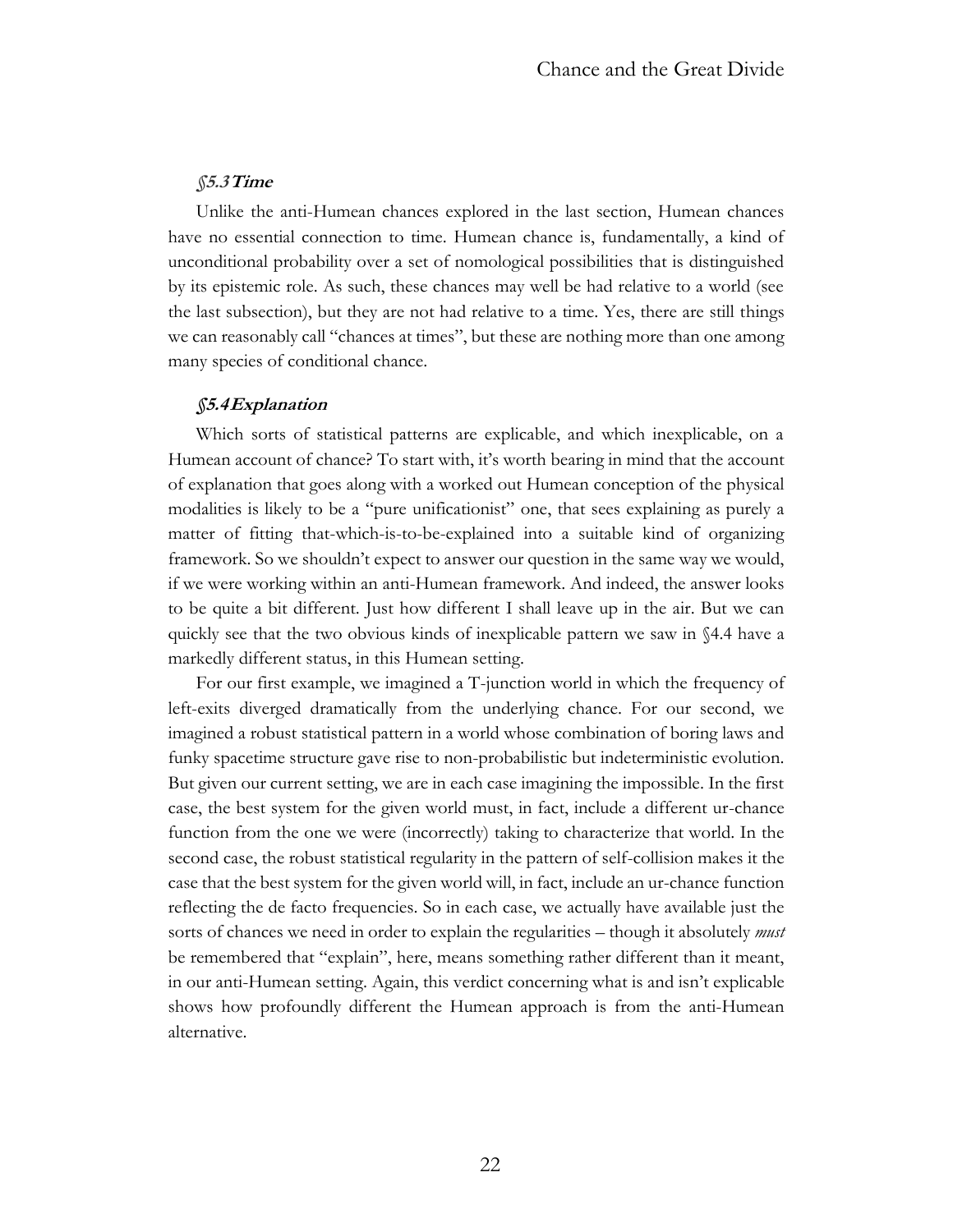## **§5.3Time**

Unlike the anti-Humean chances explored in the last section, Humean chances have no essential connection to time. Humean chance is, fundamentally, a kind of unconditional probability over a set of nomological possibilities that is distinguished by its epistemic role. As such, these chances may well be had relative to a world (see the last subsection), but they are not had relative to a time. Yes, there are still things we can reasonably call "chances at times", but these are nothing more than one among many species of conditional chance.

## **§5.4Explanation**

Which sorts of statistical patterns are explicable, and which inexplicable, on a Humean account of chance? To start with, it's worth bearing in mind that the account of explanation that goes along with a worked out Humean conception of the physical modalities is likely to be a "pure unificationist" one, that sees explaining as purely a matter of fitting that-which-is-to-be-explained into a suitable kind of organizing framework. So we shouldn't expect to answer our question in the same way we would, if we were working within an anti-Humean framework. And indeed, the answer looks to be quite a bit different. Just how different I shall leave up in the air. But we can quickly see that the two obvious kinds of inexplicable pattern we saw in §4.4 have a markedly different status, in this Humean setting.

For our first example, we imagined a T-junction world in which the frequency of left-exits diverged dramatically from the underlying chance. For our second, we imagined a robust statistical pattern in a world whose combination of boring laws and funky spacetime structure gave rise to non-probabilistic but indeterministic evolution. But given our current setting, we are in each case imagining the impossible. In the first case, the best system for the given world must, in fact, include a different ur-chance function from the one we were (incorrectly) taking to characterize that world. In the second case, the robust statistical regularity in the pattern of self-collision makes it the case that the best system for the given world will, in fact, include an ur-chance function reflecting the de facto frequencies. So in each case, we actually have available just the sorts of chances we need in order to explain the regularities – though it absolutely *must* be remembered that "explain", here, means something rather different than it meant, in our anti-Humean setting. Again, this verdict concerning what is and isn't explicable shows how profoundly different the Humean approach is from the anti-Humean alternative.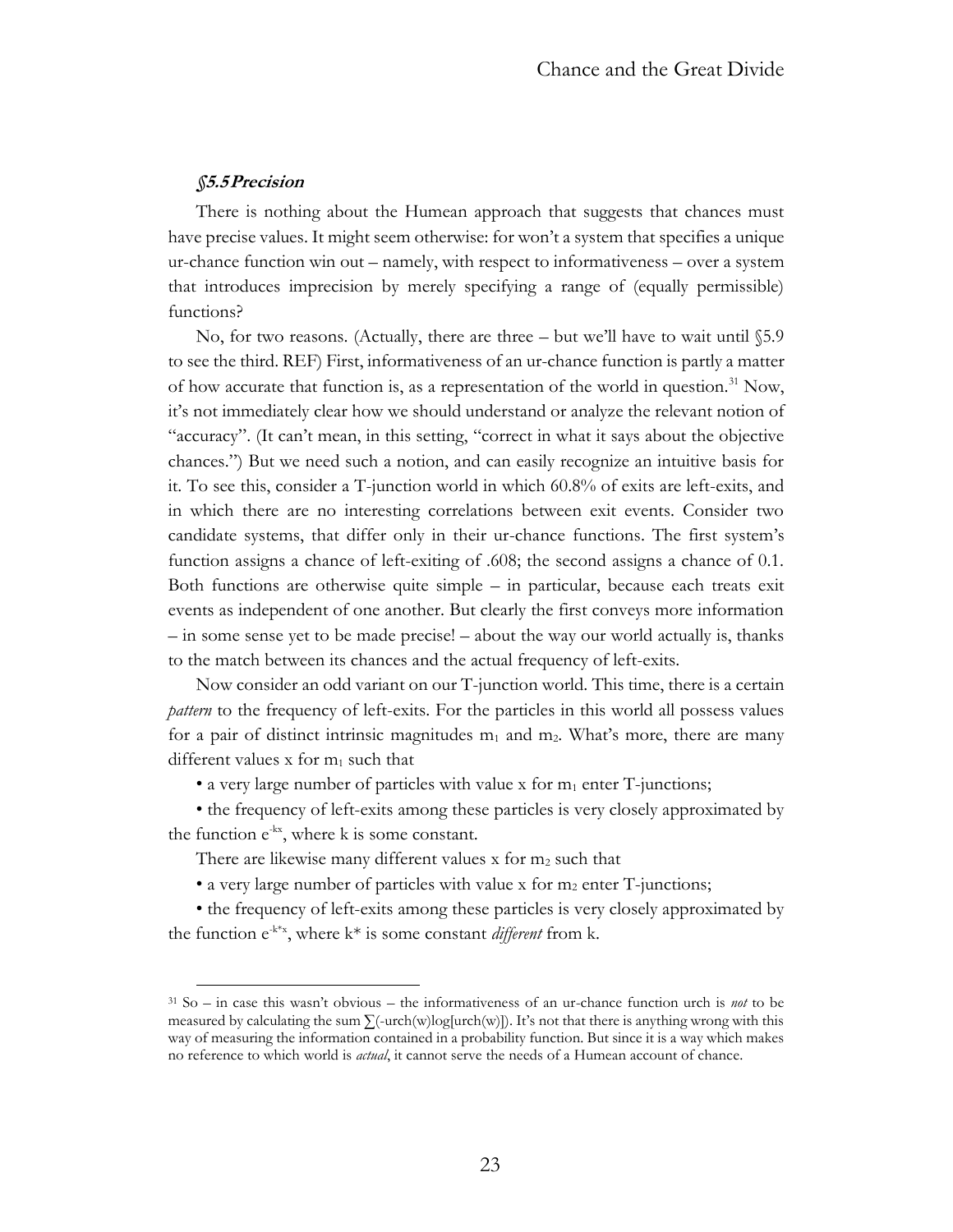### **§5.5Precision**

There is nothing about the Humean approach that suggests that chances must have precise values. It might seem otherwise: for won't a system that specifies a unique ur-chance function win out – namely, with respect to informativeness – over a system that introduces imprecision by merely specifying a range of (equally permissible) functions?

No, for two reasons. (Actually, there are three – but we'll have to wait until §5.9 to see the third. REF) First, informativeness of an ur-chance function is partly a matter of how accurate that function is, as a representation of the world in question.<sup>31</sup> Now, it's not immediately clear how we should understand or analyze the relevant notion of "accuracy". (It can't mean, in this setting, "correct in what it says about the objective chances.") But we need such a notion, and can easily recognize an intuitive basis for it. To see this, consider a T-junction world in which 60.8% of exits are left-exits, and in which there are no interesting correlations between exit events. Consider two candidate systems, that differ only in their ur-chance functions. The first system's function assigns a chance of left-exiting of .608; the second assigns a chance of 0.1. Both functions are otherwise quite simple – in particular, because each treats exit events as independent of one another. But clearly the first conveys more information – in some sense yet to be made precise! – about the way our world actually is, thanks to the match between its chances and the actual frequency of left-exits.

Now consider an odd variant on our T-junction world. This time, there is a certain *pattern* to the frequency of left-exits. For the particles in this world all possess values for a pair of distinct intrinsic magnitudes  $m_1$  and  $m_2$ . What's more, there are many different values  $x$  for  $m_1$  such that

• a very large number of particles with value x for  $m_1$  enter T-junctions;

• the frequency of left-exits among these particles is very closely approximated by the function  $e^{kx}$ , where k is some constant.

There are likewise many different values x for  $m_2$  such that

• a very large number of particles with value x for  $m_2$  enter T-junctions;

• the frequency of left-exits among these particles is very closely approximated by the function  $e^{k^*x}$ , where  $k^*$  is some constant *different* from k.

<sup>31</sup> So – in case this wasn't obvious – the informativeness of an ur-chance function urch is *not* to be measured by calculating the sum  $\sum$ (-urch(w)log[urch(w)]). It's not that there is anything wrong with this way of measuring the information contained in a probability function. But since it is a way which makes no reference to which world is *actual*, it cannot serve the needs of a Humean account of chance.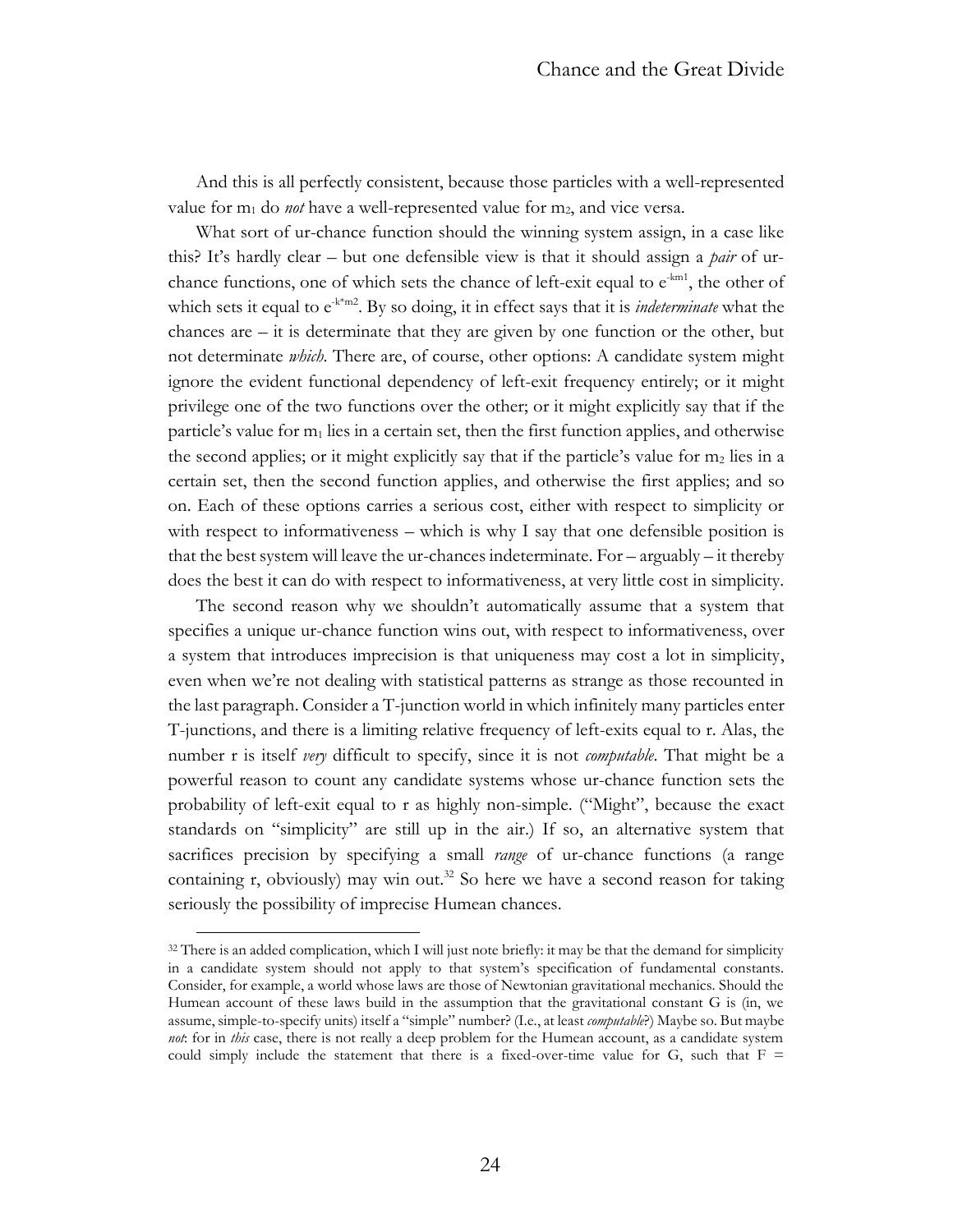And this is all perfectly consistent, because those particles with a well-represented value for m<sub>1</sub> do *not* have a well-represented value for m<sub>2</sub>, and vice versa.

What sort of ur-chance function should the winning system assign, in a case like this? It's hardly clear – but one defensible view is that it should assign a *pair* of urchance functions, one of which sets the chance of left-exit equal to  $e^{-km_1}$ , the other of which sets it equal to  $e^{-k+m2}$ . By so doing, it in effect says that it is *indeterminate* what the chances are – it is determinate that they are given by one function or the other, but not determinate *which*. There are, of course, other options: A candidate system might ignore the evident functional dependency of left-exit frequency entirely; or it might privilege one of the two functions over the other; or it might explicitly say that if the particle's value for  $m_1$  lies in a certain set, then the first function applies, and otherwise the second applies; or it might explicitly say that if the particle's value for  $m_2$  lies in a certain set, then the second function applies, and otherwise the first applies; and so on. Each of these options carries a serious cost, either with respect to simplicity or with respect to informativeness – which is why I say that one defensible position is that the best system will leave the ur-chances indeterminate. For – arguably – it thereby does the best it can do with respect to informativeness, at very little cost in simplicity.

The second reason why we shouldn't automatically assume that a system that specifies a unique ur-chance function wins out, with respect to informativeness, over a system that introduces imprecision is that uniqueness may cost a lot in simplicity, even when we're not dealing with statistical patterns as strange as those recounted in the last paragraph. Consider a T-junction world in which infinitely many particles enter T-junctions, and there is a limiting relative frequency of left-exits equal to r. Alas, the number r is itself *very* difficult to specify, since it is not *computable*. That might be a powerful reason to count any candidate systems whose ur-chance function sets the probability of left-exit equal to r as highly non-simple. ("Might", because the exact standards on "simplicity" are still up in the air.) If so, an alternative system that sacrifices precision by specifying a small *range* of ur-chance functions (a range containing r, obviously) may win out.<sup>32</sup> So here we have a second reason for taking seriously the possibility of imprecise Humean chances.

<sup>&</sup>lt;sup>32</sup> There is an added complication, which I will just note briefly: it may be that the demand for simplicity in a candidate system should not apply to that system's specification of fundamental constants. Consider, for example, a world whose laws are those of Newtonian gravitational mechanics. Should the Humean account of these laws build in the assumption that the gravitational constant G is (in, we assume, simple-to-specify units) itself a "simple" number? (I.e., at least *computable*?) Maybe so. But maybe *not*: for in *this* case, there is not really a deep problem for the Humean account, as a candidate system could simply include the statement that there is a fixed-over-time value for G, such that  $F =$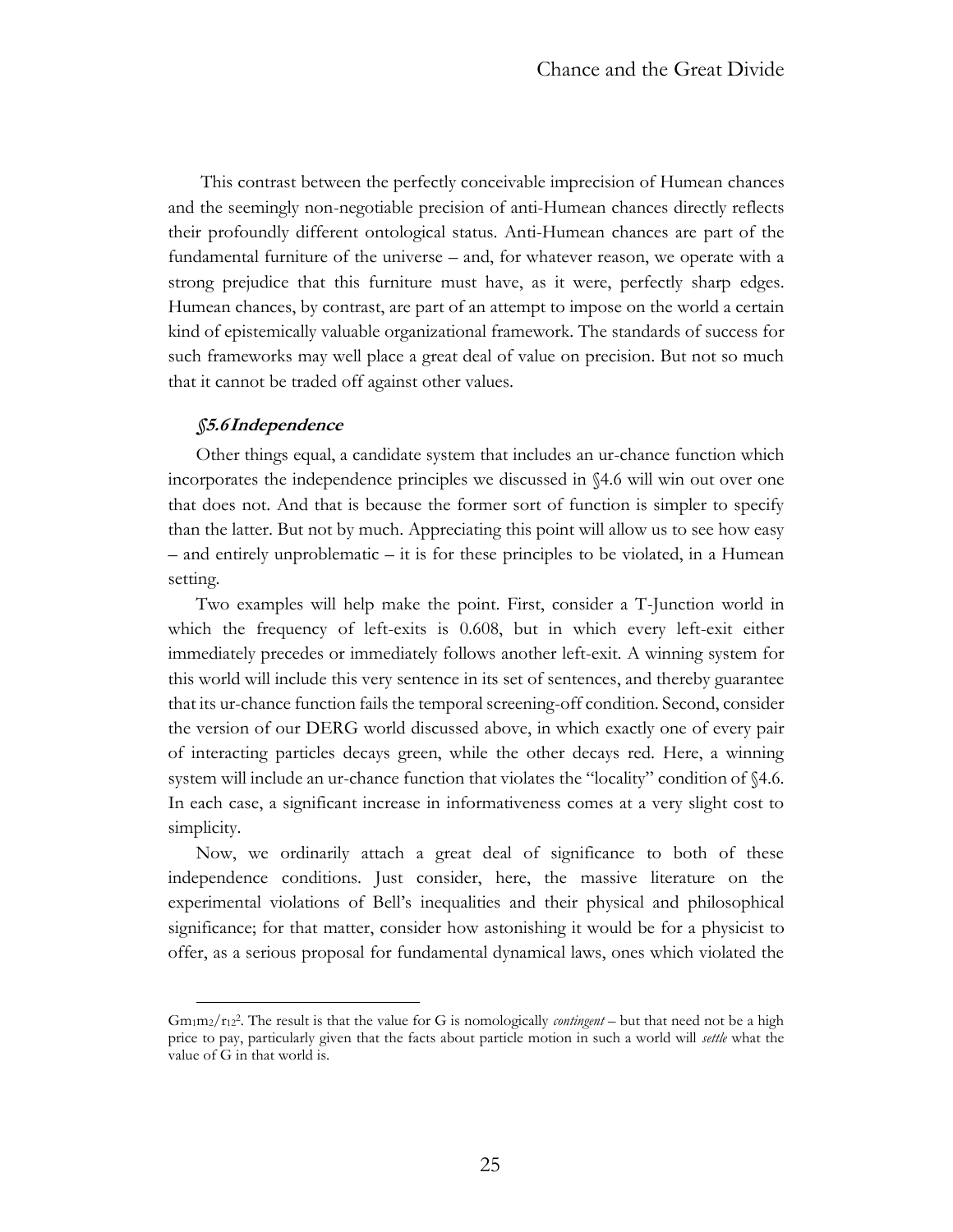This contrast between the perfectly conceivable imprecision of Humean chances and the seemingly non-negotiable precision of anti-Humean chances directly reflects their profoundly different ontological status. Anti-Humean chances are part of the fundamental furniture of the universe – and, for whatever reason, we operate with a strong prejudice that this furniture must have, as it were, perfectly sharp edges. Humean chances, by contrast, are part of an attempt to impose on the world a certain kind of epistemically valuable organizational framework. The standards of success for such frameworks may well place a great deal of value on precision. But not so much that it cannot be traded off against other values.

### **§5.6Independence**

Other things equal, a candidate system that includes an ur-chance function which incorporates the independence principles we discussed in §4.6 will win out over one that does not. And that is because the former sort of function is simpler to specify than the latter. But not by much. Appreciating this point will allow us to see how easy – and entirely unproblematic – it is for these principles to be violated, in a Humean setting.

Two examples will help make the point. First, consider a T-Junction world in which the frequency of left-exits is 0.608, but in which every left-exit either immediately precedes or immediately follows another left-exit. A winning system for this world will include this very sentence in its set of sentences, and thereby guarantee that its ur-chance function fails the temporal screening-off condition. Second, consider the version of our DERG world discussed above, in which exactly one of every pair of interacting particles decays green, while the other decays red. Here, a winning system will include an ur-chance function that violates the "locality" condition of §4.6. In each case, a significant increase in informativeness comes at a very slight cost to simplicity.

Now, we ordinarily attach a great deal of significance to both of these independence conditions. Just consider, here, the massive literature on the experimental violations of Bell's inequalities and their physical and philosophical significance; for that matter, consider how astonishing it would be for a physicist to offer, as a serious proposal for fundamental dynamical laws, ones which violated the

 $Gm_1m_2/r_1^2$ . The result is that the value for G is nomologically *contingent* – but that need not be a high price to pay, particularly given that the facts about particle motion in such a world will *settle* what the value of G in that world is.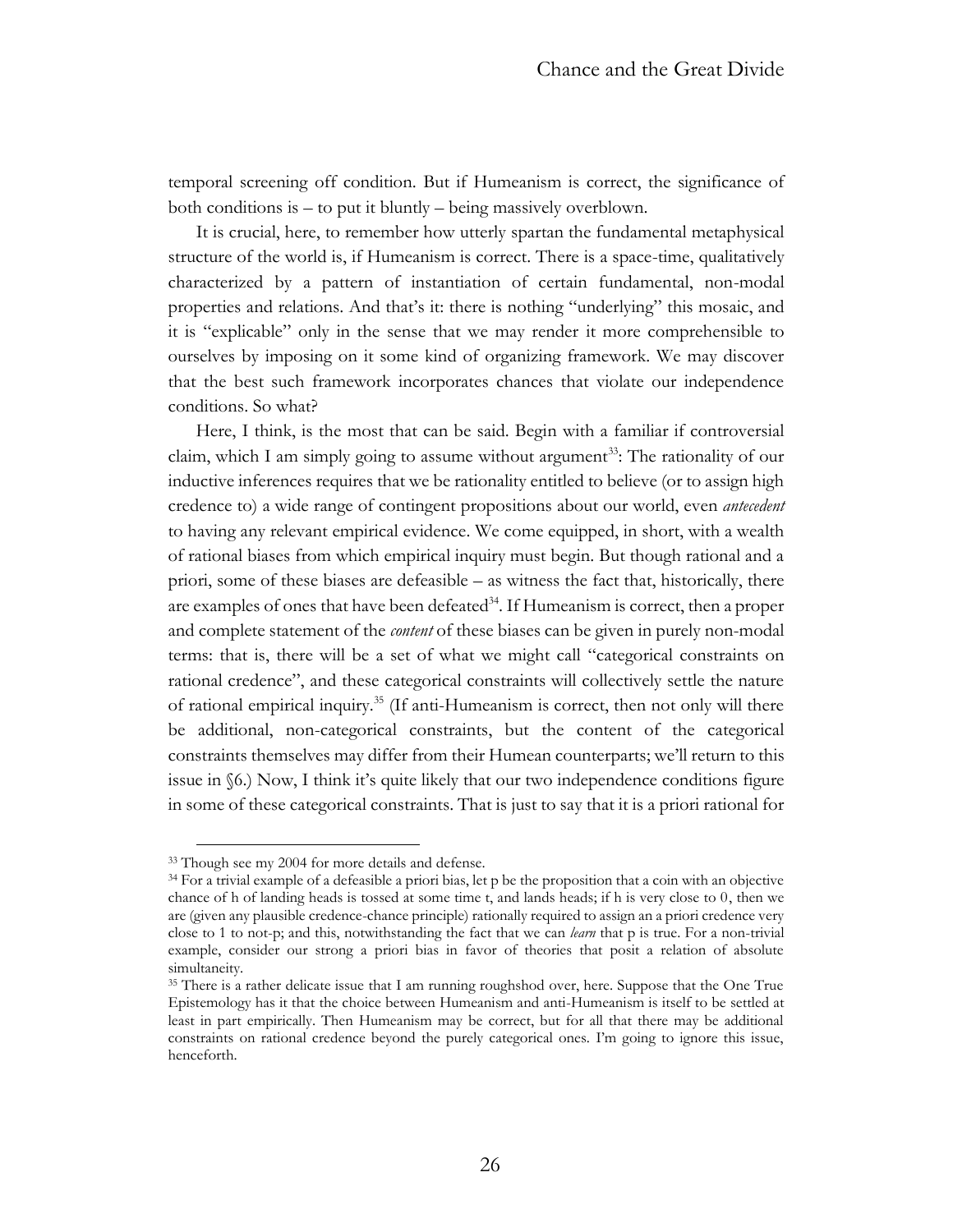temporal screening off condition. But if Humeanism is correct, the significance of both conditions is – to put it bluntly – being massively overblown.

It is crucial, here, to remember how utterly spartan the fundamental metaphysical structure of the world is, if Humeanism is correct. There is a space-time, qualitatively characterized by a pattern of instantiation of certain fundamental, non-modal properties and relations. And that's it: there is nothing "underlying" this mosaic, and it is "explicable" only in the sense that we may render it more comprehensible to ourselves by imposing on it some kind of organizing framework. We may discover that the best such framework incorporates chances that violate our independence conditions. So what?

Here, I think, is the most that can be said. Begin with a familiar if controversial claim, which I am simply going to assume without argument<sup>33</sup>: The rationality of our inductive inferences requires that we be rationality entitled to believe (or to assign high credence to) a wide range of contingent propositions about our world, even *antecedent* to having any relevant empirical evidence. We come equipped, in short, with a wealth of rational biases from which empirical inquiry must begin. But though rational and a priori, some of these biases are defeasible – as witness the fact that, historically, there are examples of ones that have been defeated<sup>34</sup>. If Humeanism is correct, then a proper and complete statement of the *content* of these biases can be given in purely non-modal terms: that is, there will be a set of what we might call "categorical constraints on rational credence", and these categorical constraints will collectively settle the nature of rational empirical inquiry.<sup>35</sup> (If anti-Humeanism is correct, then not only will there be additional, non-categorical constraints, but the content of the categorical constraints themselves may differ from their Humean counterparts; we'll return to this issue in §6.) Now, I think it's quite likely that our two independence conditions figure in some of these categorical constraints. That is just to say that it is a priori rational for

<sup>33</sup> Though see my 2004 for more details and defense.

<sup>34</sup> For a trivial example of a defeasible a priori bias, let p be the proposition that a coin with an objective chance of h of landing heads is tossed at some time t, and lands heads; if h is very close to 0, then we are (given any plausible credence-chance principle) rationally required to assign an a priori credence very close to 1 to not-p; and this, notwithstanding the fact that we can *learn* that p is true. For a non-trivial example, consider our strong a priori bias in favor of theories that posit a relation of absolute simultaneity.

<sup>&</sup>lt;sup>35</sup> There is a rather delicate issue that I am running roughshod over, here. Suppose that the One True Epistemology has it that the choice between Humeanism and anti-Humeanism is itself to be settled at least in part empirically. Then Humeanism may be correct, but for all that there may be additional constraints on rational credence beyond the purely categorical ones. I'm going to ignore this issue, henceforth.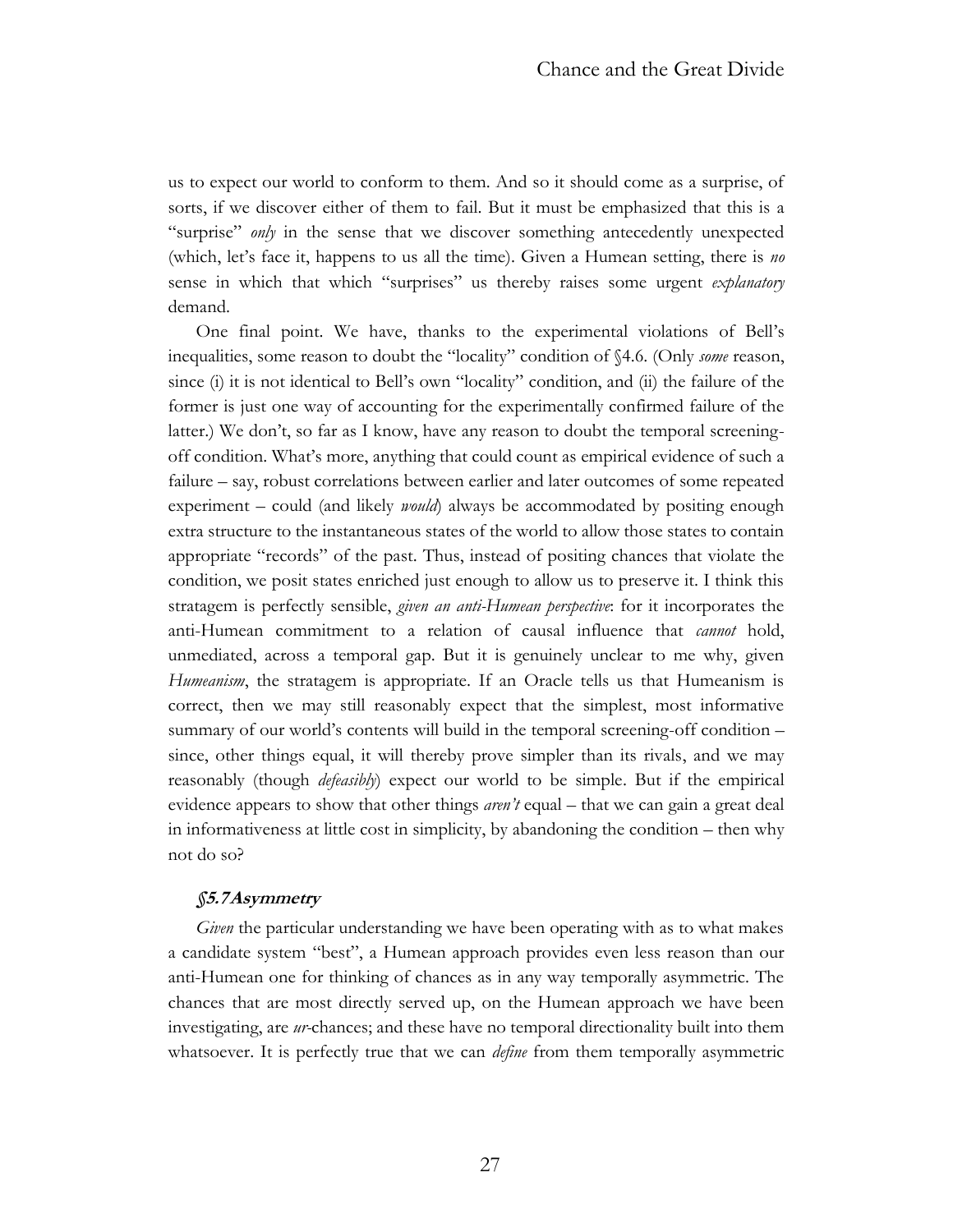us to expect our world to conform to them. And so it should come as a surprise, of sorts, if we discover either of them to fail. But it must be emphasized that this is a "surprise" *only* in the sense that we discover something antecedently unexpected (which, let's face it, happens to us all the time). Given a Humean setting, there is *no* sense in which that which "surprises" us thereby raises some urgent *explanatory* demand.

One final point. We have, thanks to the experimental violations of Bell's inequalities, some reason to doubt the "locality" condition of §4.6. (Only *some* reason, since (i) it is not identical to Bell's own "locality" condition, and (ii) the failure of the former is just one way of accounting for the experimentally confirmed failure of the latter.) We don't, so far as I know, have any reason to doubt the temporal screeningoff condition. What's more, anything that could count as empirical evidence of such a failure – say, robust correlations between earlier and later outcomes of some repeated experiment – could (and likely *would*) always be accommodated by positing enough extra structure to the instantaneous states of the world to allow those states to contain appropriate "records" of the past. Thus, instead of positing chances that violate the condition, we posit states enriched just enough to allow us to preserve it. I think this stratagem is perfectly sensible, *given an anti-Humean perspective*: for it incorporates the anti-Humean commitment to a relation of causal influence that *cannot* hold, unmediated, across a temporal gap. But it is genuinely unclear to me why, given *Humeanism*, the stratagem is appropriate. If an Oracle tells us that Humeanism is correct, then we may still reasonably expect that the simplest, most informative summary of our world's contents will build in the temporal screening-off condition – since, other things equal, it will thereby prove simpler than its rivals, and we may reasonably (though *defeasibly*) expect our world to be simple. But if the empirical evidence appears to show that other things *aren't* equal – that we can gain a great deal in informativeness at little cost in simplicity, by abandoning the condition – then why not do so?

### **§5.7Asymmetry**

*Given* the particular understanding we have been operating with as to what makes a candidate system "best", a Humean approach provides even less reason than our anti-Humean one for thinking of chances as in any way temporally asymmetric. The chances that are most directly served up, on the Humean approach we have been investigating, are *ur-*chances; and these have no temporal directionality built into them whatsoever. It is perfectly true that we can *define* from them temporally asymmetric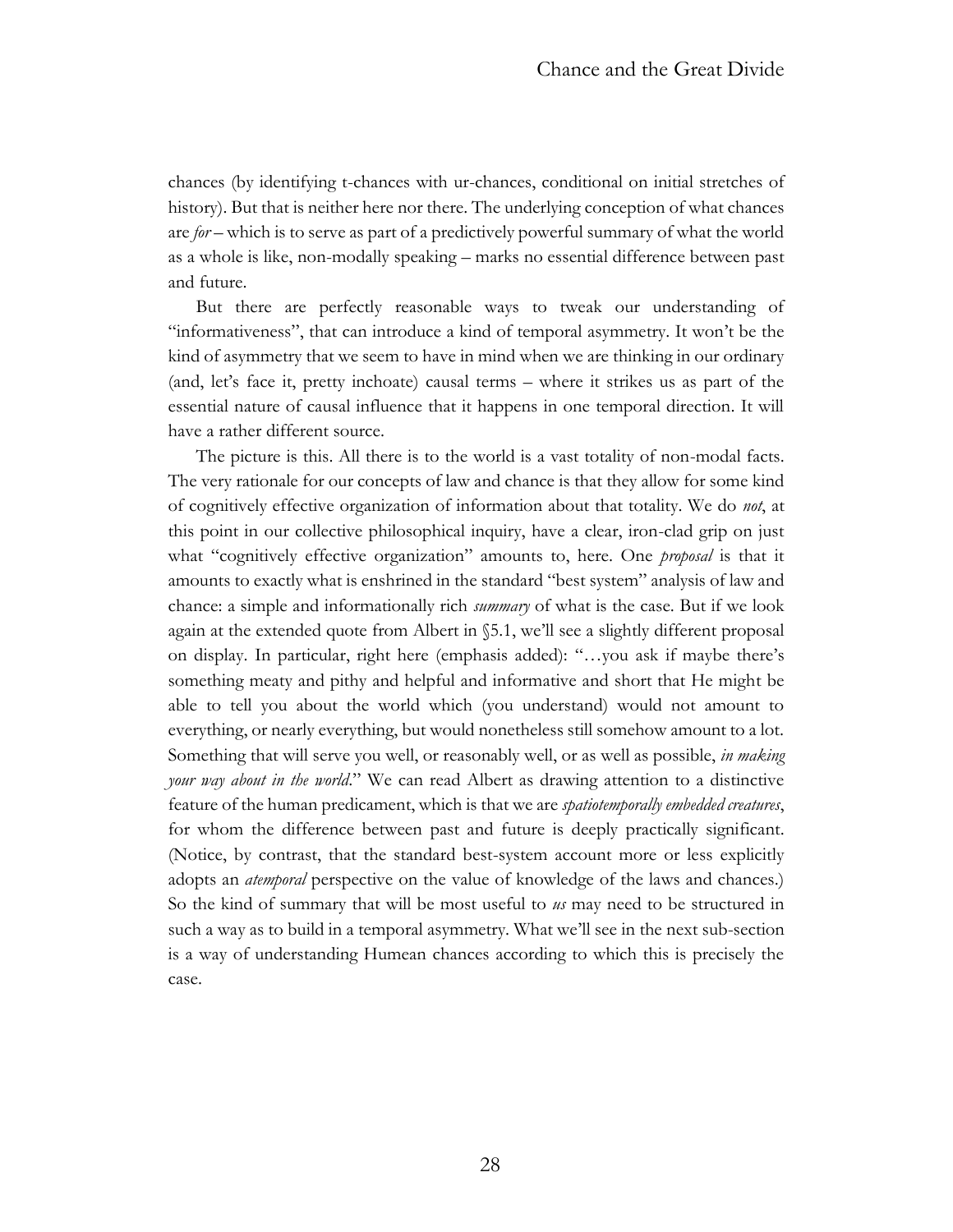chances (by identifying t-chances with ur-chances, conditional on initial stretches of history). But that is neither here nor there. The underlying conception of what chances are *for* – which is to serve as part of a predictively powerful summary of what the world as a whole is like, non-modally speaking – marks no essential difference between past and future.

But there are perfectly reasonable ways to tweak our understanding of "informativeness", that can introduce a kind of temporal asymmetry. It won't be the kind of asymmetry that we seem to have in mind when we are thinking in our ordinary (and, let's face it, pretty inchoate) causal terms – where it strikes us as part of the essential nature of causal influence that it happens in one temporal direction. It will have a rather different source.

The picture is this. All there is to the world is a vast totality of non-modal facts. The very rationale for our concepts of law and chance is that they allow for some kind of cognitively effective organization of information about that totality. We do *not*, at this point in our collective philosophical inquiry, have a clear, iron-clad grip on just what "cognitively effective organization" amounts to, here. One *proposal* is that it amounts to exactly what is enshrined in the standard "best system" analysis of law and chance: a simple and informationally rich *summary* of what is the case. But if we look again at the extended quote from Albert in §5.1, we'll see a slightly different proposal on display. In particular, right here (emphasis added): "…you ask if maybe there's something meaty and pithy and helpful and informative and short that He might be able to tell you about the world which (you understand) would not amount to everything, or nearly everything, but would nonetheless still somehow amount to a lot. Something that will serve you well, or reasonably well, or as well as possible, *in making your way about in the world*." We can read Albert as drawing attention to a distinctive feature of the human predicament, which is that we are *spatiotemporally embedded creatures*, for whom the difference between past and future is deeply practically significant. (Notice, by contrast, that the standard best-system account more or less explicitly adopts an *atemporal* perspective on the value of knowledge of the laws and chances.) So the kind of summary that will be most useful to *us* may need to be structured in such a way as to build in a temporal asymmetry. What we'll see in the next sub-section is a way of understanding Humean chances according to which this is precisely the case.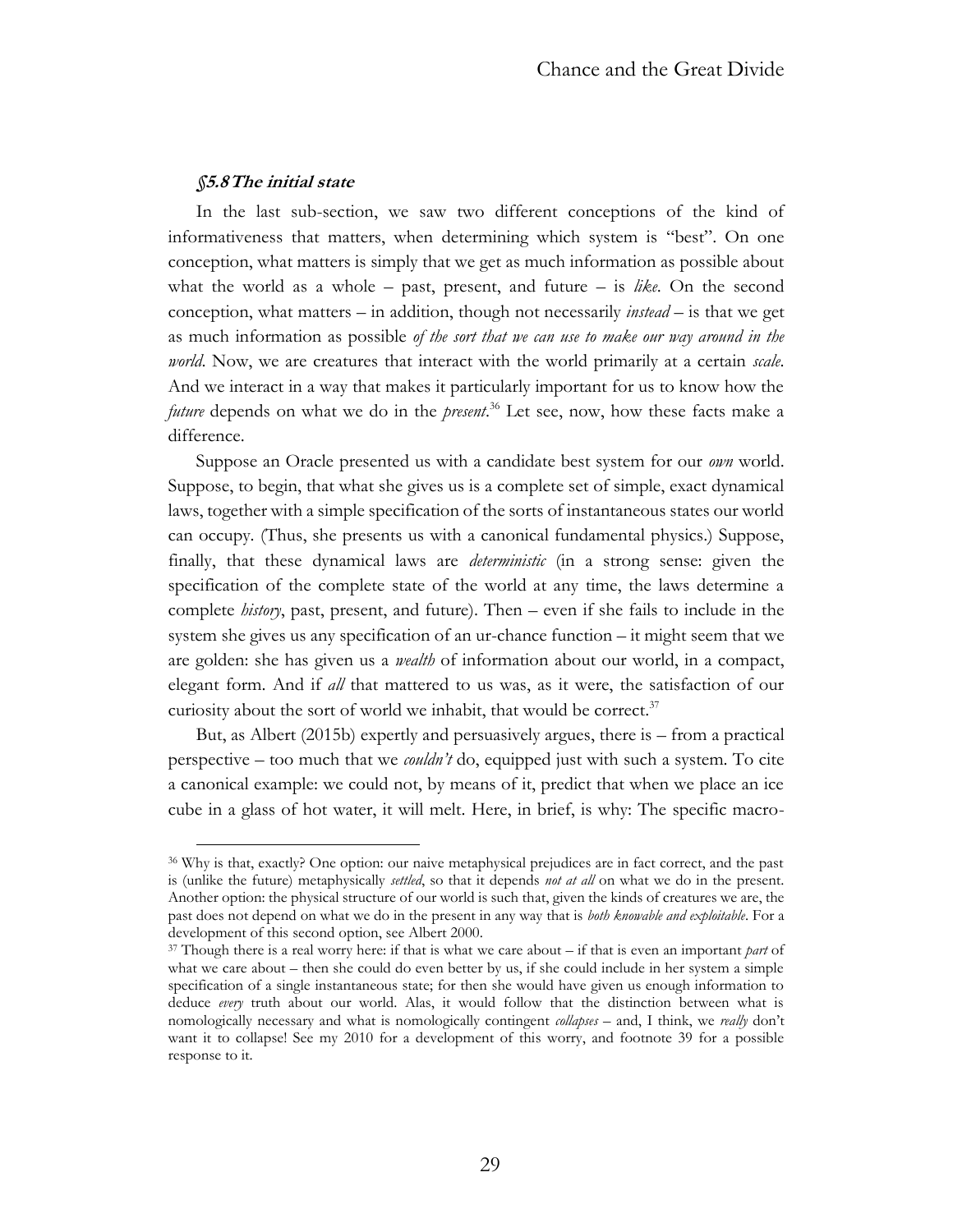## **§5.8The initial state**

In the last sub-section, we saw two different conceptions of the kind of informativeness that matters, when determining which system is "best". On one conception, what matters is simply that we get as much information as possible about what the world as a whole – past, present, and future – is *like*. On the second conception, what matters – in addition, though not necessarily *instead* – is that we get as much information as possible *of the sort that we can use to make our way around in the world*. Now, we are creatures that interact with the world primarily at a certain *scale*. And we interact in a way that makes it particularly important for us to know how the *future* depends on what we do in the *present*. <sup>36</sup> Let see, now, how these facts make a difference.

Suppose an Oracle presented us with a candidate best system for our *own* world. Suppose, to begin, that what she gives us is a complete set of simple, exact dynamical laws, together with a simple specification of the sorts of instantaneous states our world can occupy. (Thus, she presents us with a canonical fundamental physics.) Suppose, finally, that these dynamical laws are *deterministic* (in a strong sense: given the specification of the complete state of the world at any time, the laws determine a complete *history*, past, present, and future). Then – even if she fails to include in the system she gives us any specification of an ur-chance function – it might seem that we are golden: she has given us a *wealth* of information about our world, in a compact, elegant form. And if *all* that mattered to us was, as it were, the satisfaction of our curiosity about the sort of world we inhabit, that would be correct. $37$ 

But, as Albert (2015b) expertly and persuasively argues, there is – from a practical perspective – too much that we *couldn't* do, equipped just with such a system. To cite a canonical example: we could not, by means of it, predict that when we place an ice cube in a glass of hot water, it will melt. Here, in brief, is why: The specific macro-

<sup>36</sup> Why is that, exactly? One option: our naive metaphysical prejudices are in fact correct, and the past is (unlike the future) metaphysically *settled*, so that it depends *not at all* on what we do in the present. Another option: the physical structure of our world is such that, given the kinds of creatures we are, the past does not depend on what we do in the present in any way that is *both knowable and exploitable*. For a development of this second option, see Albert 2000.

<sup>37</sup> Though there is a real worry here: if that is what we care about – if that is even an important *part* of what we care about – then she could do even better by us, if she could include in her system a simple specification of a single instantaneous state; for then she would have given us enough information to deduce *every* truth about our world. Alas, it would follow that the distinction between what is nomologically necessary and what is nomologically contingent *collapses* – and, I think, we *really* don't want it to collapse! See my 2010 for a development of this worry, and footnote 39 for a possible response to it.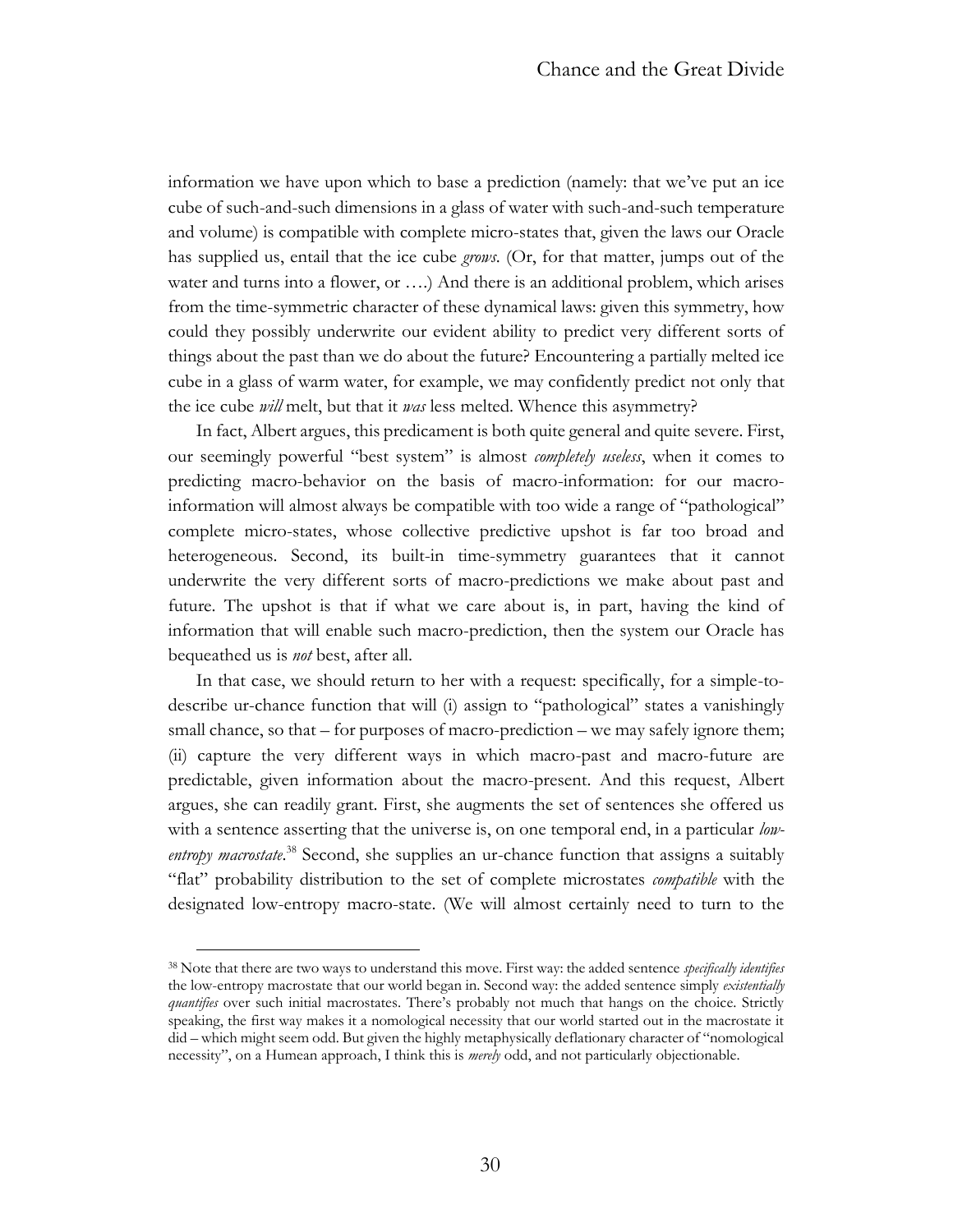information we have upon which to base a prediction (namely: that we've put an ice cube of such-and-such dimensions in a glass of water with such-and-such temperature and volume) is compatible with complete micro-states that, given the laws our Oracle has supplied us, entail that the ice cube *grows*. (Or, for that matter, jumps out of the water and turns into a flower, or ....) And there is an additional problem, which arises from the time-symmetric character of these dynamical laws: given this symmetry, how could they possibly underwrite our evident ability to predict very different sorts of things about the past than we do about the future? Encountering a partially melted ice cube in a glass of warm water, for example, we may confidently predict not only that the ice cube *will* melt, but that it *was* less melted. Whence this asymmetry?

In fact, Albert argues, this predicament is both quite general and quite severe. First, our seemingly powerful "best system" is almost *completely useless*, when it comes to predicting macro-behavior on the basis of macro-information: for our macroinformation will almost always be compatible with too wide a range of "pathological" complete micro-states, whose collective predictive upshot is far too broad and heterogeneous. Second, its built-in time-symmetry guarantees that it cannot underwrite the very different sorts of macro-predictions we make about past and future. The upshot is that if what we care about is, in part, having the kind of information that will enable such macro-prediction, then the system our Oracle has bequeathed us is *not* best, after all.

In that case, we should return to her with a request: specifically, for a simple-todescribe ur-chance function that will (i) assign to "pathological" states a vanishingly small chance, so that – for purposes of macro-prediction – we may safely ignore them; (ii) capture the very different ways in which macro-past and macro-future are predictable, given information about the macro-present. And this request, Albert argues, she can readily grant. First, she augments the set of sentences she offered us with a sentence asserting that the universe is, on one temporal end, in a particular *low*entropy macrostate.<sup>38</sup> Second, she supplies an ur-chance function that assigns a suitably "flat" probability distribution to the set of complete microstates *compatible* with the designated low-entropy macro-state. (We will almost certainly need to turn to the

<sup>38</sup> Note that there are two ways to understand this move. First way: the added sentence *specifically identifies* the low-entropy macrostate that our world began in. Second way: the added sentence simply *existentially quantifies* over such initial macrostates. There's probably not much that hangs on the choice. Strictly speaking, the first way makes it a nomological necessity that our world started out in the macrostate it did – which might seem odd. But given the highly metaphysically deflationary character of "nomological necessity", on a Humean approach, I think this is *merely* odd, and not particularly objectionable.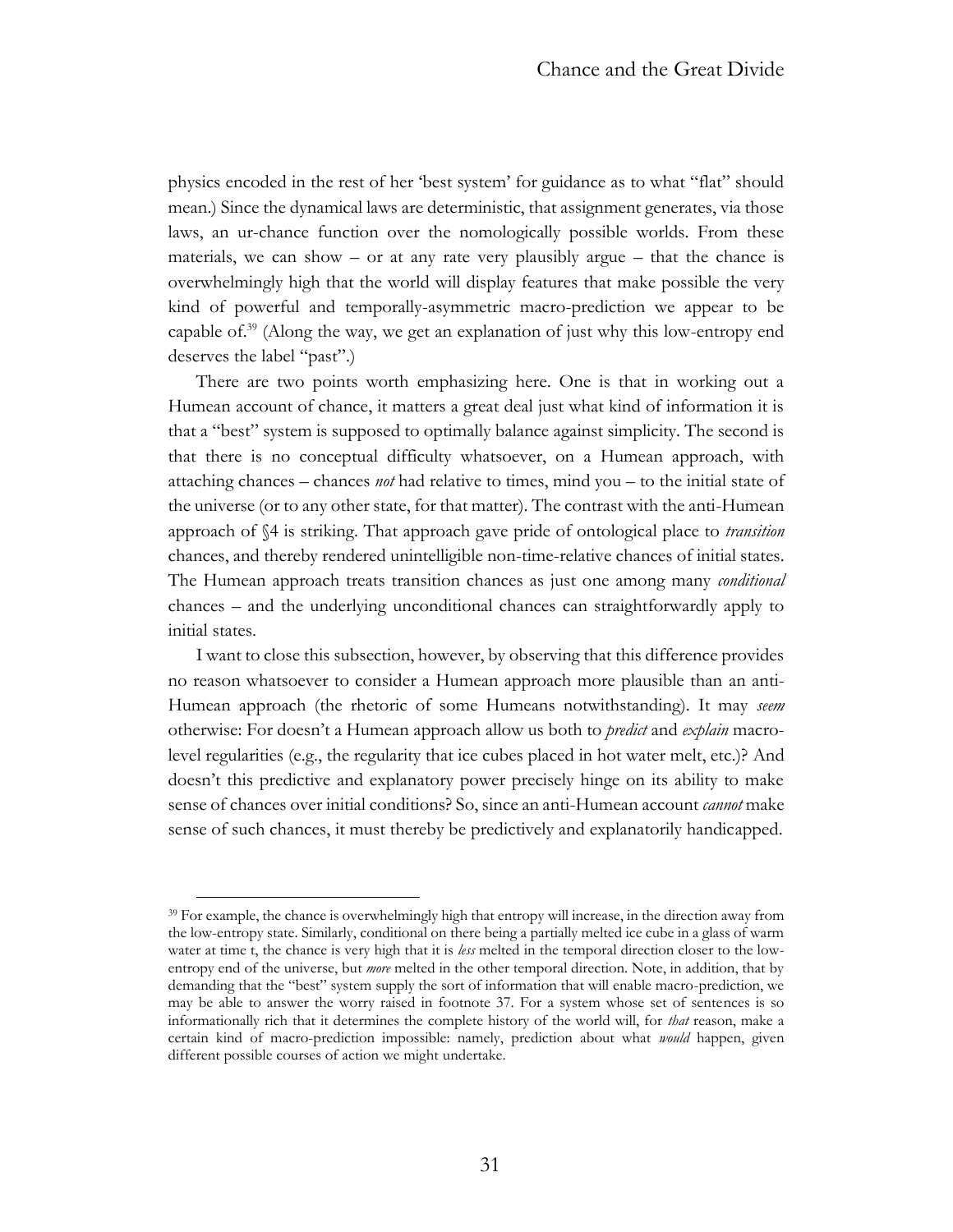physics encoded in the rest of her 'best system' for guidance as to what "flat" should mean.) Since the dynamical laws are deterministic, that assignment generates, via those laws, an ur-chance function over the nomologically possible worlds. From these materials, we can show – or at any rate very plausibly argue – that the chance is overwhelmingly high that the world will display features that make possible the very kind of powerful and temporally-asymmetric macro-prediction we appear to be capable of.<sup>39</sup> (Along the way, we get an explanation of just why this low-entropy end deserves the label "past".)

There are two points worth emphasizing here. One is that in working out a Humean account of chance, it matters a great deal just what kind of information it is that a "best" system is supposed to optimally balance against simplicity. The second is that there is no conceptual difficulty whatsoever, on a Humean approach, with attaching chances – chances *not* had relative to times, mind you – to the initial state of the universe (or to any other state, for that matter). The contrast with the anti-Humean approach of §4 is striking. That approach gave pride of ontological place to *transition* chances, and thereby rendered unintelligible non-time-relative chances of initial states. The Humean approach treats transition chances as just one among many *conditional* chances – and the underlying unconditional chances can straightforwardly apply to initial states.

I want to close this subsection, however, by observing that this difference provides no reason whatsoever to consider a Humean approach more plausible than an anti-Humean approach (the rhetoric of some Humeans notwithstanding). It may *seem* otherwise: For doesn't a Humean approach allow us both to *predict* and *explain* macrolevel regularities (e.g., the regularity that ice cubes placed in hot water melt, etc.)? And doesn't this predictive and explanatory power precisely hinge on its ability to make sense of chances over initial conditions? So, since an anti-Humean account *cannot* make sense of such chances, it must thereby be predictively and explanatorily handicapped.

<sup>&</sup>lt;sup>39</sup> For example, the chance is overwhelmingly high that entropy will increase, in the direction away from the low-entropy state. Similarly, conditional on there being a partially melted ice cube in a glass of warm water at time t, the chance is very high that it is *less* melted in the temporal direction closer to the lowentropy end of the universe, but *more* melted in the other temporal direction. Note, in addition, that by demanding that the "best" system supply the sort of information that will enable macro-prediction, we may be able to answer the worry raised in footnote 37. For a system whose set of sentences is so informationally rich that it determines the complete history of the world will, for *that* reason, make a certain kind of macro-prediction impossible: namely, prediction about what *would* happen, given different possible courses of action we might undertake.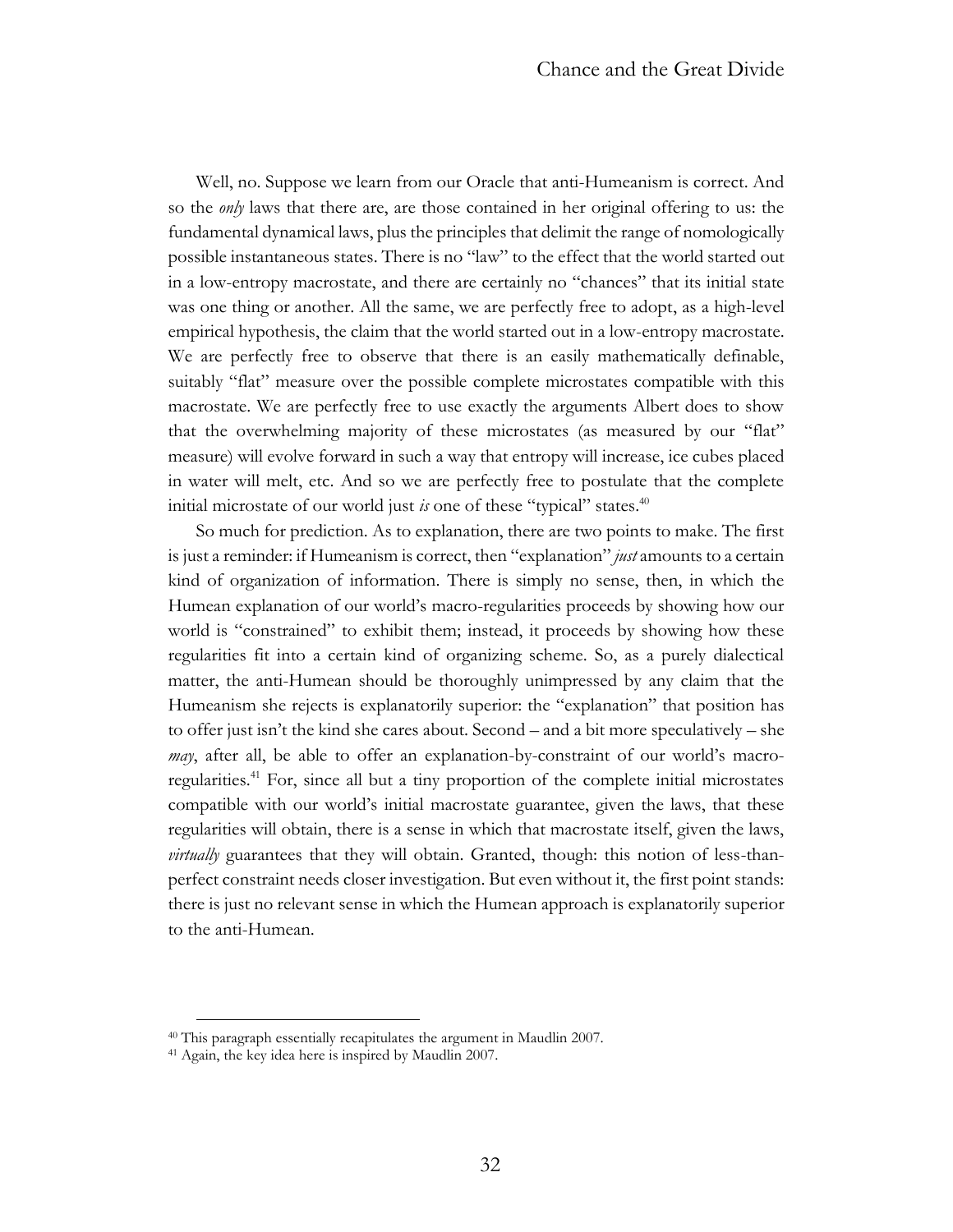Well, no. Suppose we learn from our Oracle that anti-Humeanism is correct. And so the *only* laws that there are, are those contained in her original offering to us: the fundamental dynamical laws, plus the principles that delimit the range of nomologically possible instantaneous states. There is no "law" to the effect that the world started out in a low-entropy macrostate, and there are certainly no "chances" that its initial state was one thing or another. All the same, we are perfectly free to adopt, as a high-level empirical hypothesis, the claim that the world started out in a low-entropy macrostate. We are perfectly free to observe that there is an easily mathematically definable, suitably "flat" measure over the possible complete microstates compatible with this macrostate. We are perfectly free to use exactly the arguments Albert does to show that the overwhelming majority of these microstates (as measured by our "flat" measure) will evolve forward in such a way that entropy will increase, ice cubes placed in water will melt, etc. And so we are perfectly free to postulate that the complete initial microstate of our world just  $i\bar{s}$  one of these "typical" states.<sup>40</sup>

So much for prediction. As to explanation, there are two points to make. The first is just a reminder: if Humeanism is correct, then "explanation" *just* amounts to a certain kind of organization of information. There is simply no sense, then, in which the Humean explanation of our world's macro-regularities proceeds by showing how our world is "constrained" to exhibit them; instead, it proceeds by showing how these regularities fit into a certain kind of organizing scheme. So, as a purely dialectical matter, the anti-Humean should be thoroughly unimpressed by any claim that the Humeanism she rejects is explanatorily superior: the "explanation" that position has to offer just isn't the kind she cares about. Second – and a bit more speculatively – she *may*, after all, be able to offer an explanation-by-constraint of our world's macroregularities.<sup>41</sup> For, since all but a tiny proportion of the complete initial microstates compatible with our world's initial macrostate guarantee, given the laws, that these regularities will obtain, there is a sense in which that macrostate itself, given the laws, *virtually* guarantees that they will obtain. Granted, though: this notion of less-thanperfect constraint needs closer investigation. But even without it, the first point stands: there is just no relevant sense in which the Humean approach is explanatorily superior to the anti-Humean.

<sup>40</sup> This paragraph essentially recapitulates the argument in Maudlin 2007.

<sup>41</sup> Again, the key idea here is inspired by Maudlin 2007.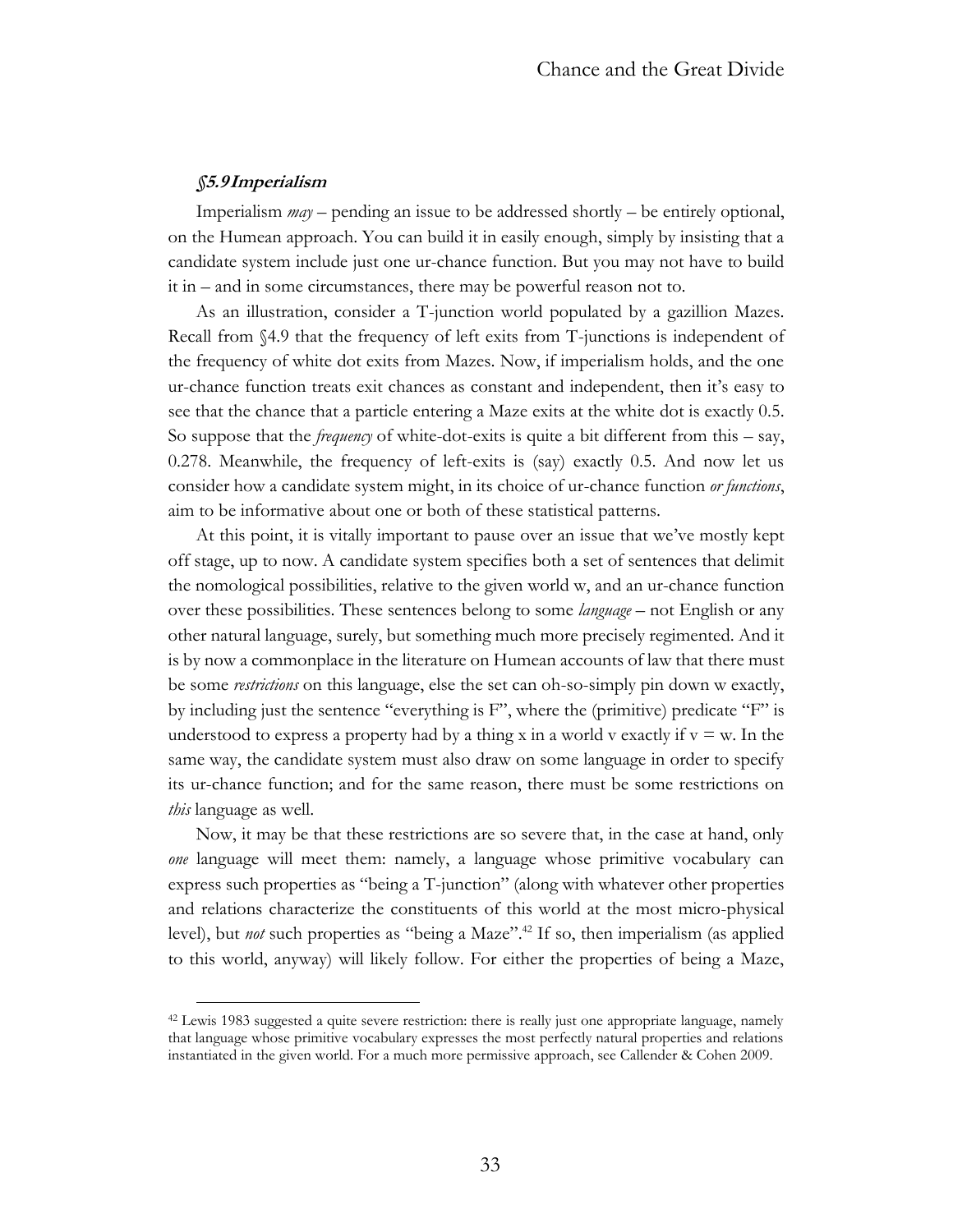## **§5.9Imperialism**

Imperialism *may* – pending an issue to be addressed shortly – be entirely optional, on the Humean approach. You can build it in easily enough, simply by insisting that a candidate system include just one ur-chance function. But you may not have to build it in – and in some circumstances, there may be powerful reason not to.

As an illustration, consider a T-junction world populated by a gazillion Mazes. Recall from §4.9 that the frequency of left exits from T-junctions is independent of the frequency of white dot exits from Mazes. Now, if imperialism holds, and the one ur-chance function treats exit chances as constant and independent, then it's easy to see that the chance that a particle entering a Maze exits at the white dot is exactly 0.5. So suppose that the *frequency* of white-dot-exits is quite a bit different from this – say, 0.278. Meanwhile, the frequency of left-exits is (say) exactly 0.5. And now let us consider how a candidate system might, in its choice of ur-chance function *or functions*, aim to be informative about one or both of these statistical patterns.

At this point, it is vitally important to pause over an issue that we've mostly kept off stage, up to now. A candidate system specifies both a set of sentences that delimit the nomological possibilities, relative to the given world w, and an ur-chance function over these possibilities. These sentences belong to some *language* – not English or any other natural language, surely, but something much more precisely regimented. And it is by now a commonplace in the literature on Humean accounts of law that there must be some *restrictions* on this language, else the set can oh-so-simply pin down w exactly, by including just the sentence "everything is F", where the (primitive) predicate "F" is understood to express a property had by a thing x in a world v exactly if  $v = w$ . In the same way, the candidate system must also draw on some language in order to specify its ur-chance function; and for the same reason, there must be some restrictions on *this* language as well.

Now, it may be that these restrictions are so severe that, in the case at hand, only *one* language will meet them: namely, a language whose primitive vocabulary can express such properties as "being a T-junction" (along with whatever other properties and relations characterize the constituents of this world at the most micro-physical level), but *not* such properties as "being a Maze". <sup>42</sup> If so, then imperialism (as applied to this world, anyway) will likely follow. For either the properties of being a Maze,

<sup>42</sup> Lewis 1983 suggested a quite severe restriction: there is really just one appropriate language, namely that language whose primitive vocabulary expresses the most perfectly natural properties and relations instantiated in the given world. For a much more permissive approach, see Callender & Cohen 2009.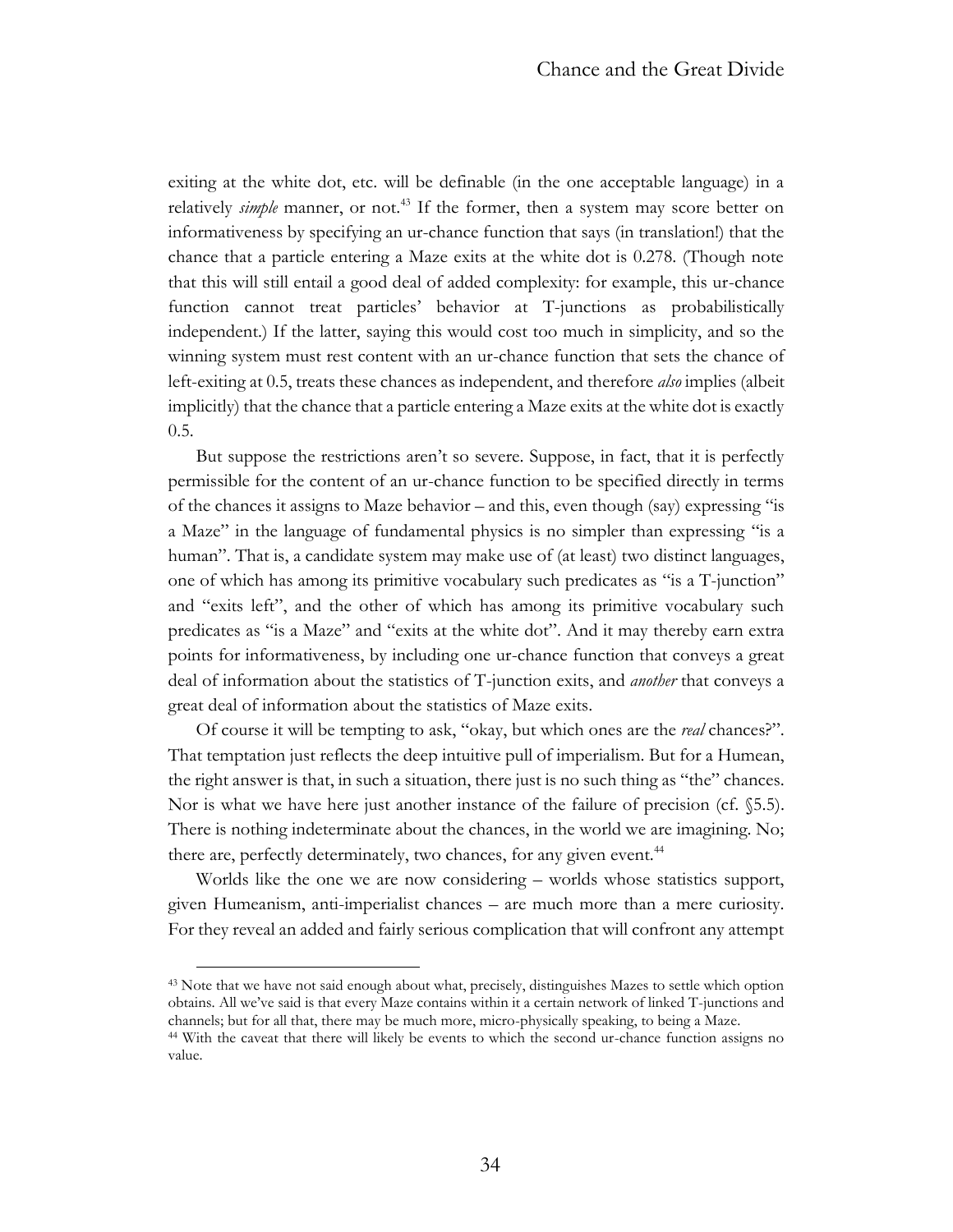exiting at the white dot, etc. will be definable (in the one acceptable language) in a relatively *simple* manner, or not.<sup>43</sup> If the former, then a system may score better on informativeness by specifying an ur-chance function that says (in translation!) that the chance that a particle entering a Maze exits at the white dot is 0.278. (Though note that this will still entail a good deal of added complexity: for example, this ur-chance function cannot treat particles' behavior at T-junctions as probabilistically independent.) If the latter, saying this would cost too much in simplicity, and so the winning system must rest content with an ur-chance function that sets the chance of left-exiting at 0.5, treats these chances as independent, and therefore *also* implies (albeit implicitly) that the chance that a particle entering a Maze exits at the white dot is exactly 0.5.

But suppose the restrictions aren't so severe. Suppose, in fact, that it is perfectly permissible for the content of an ur-chance function to be specified directly in terms of the chances it assigns to Maze behavior – and this, even though (say) expressing "is a Maze" in the language of fundamental physics is no simpler than expressing "is a human". That is, a candidate system may make use of (at least) two distinct languages, one of which has among its primitive vocabulary such predicates as "is a T-junction" and "exits left", and the other of which has among its primitive vocabulary such predicates as "is a Maze" and "exits at the white dot". And it may thereby earn extra points for informativeness, by including one ur-chance function that conveys a great deal of information about the statistics of T-junction exits, and *another* that conveys a great deal of information about the statistics of Maze exits.

Of course it will be tempting to ask, "okay, but which ones are the *real* chances?". That temptation just reflects the deep intuitive pull of imperialism. But for a Humean, the right answer is that, in such a situation, there just is no such thing as "the" chances. Nor is what we have here just another instance of the failure of precision (cf. §5.5). There is nothing indeterminate about the chances, in the world we are imagining. No; there are, perfectly determinately, two chances, for any given event.<sup>44</sup>

Worlds like the one we are now considering – worlds whose statistics support, given Humeanism, anti-imperialist chances – are much more than a mere curiosity. For they reveal an added and fairly serious complication that will confront any attempt

<sup>43</sup> Note that we have not said enough about what, precisely, distinguishes Mazes to settle which option obtains. All we've said is that every Maze contains within it a certain network of linked T-junctions and channels; but for all that, there may be much more, micro-physically speaking, to being a Maze.

<sup>44</sup> With the caveat that there will likely be events to which the second ur-chance function assigns no value.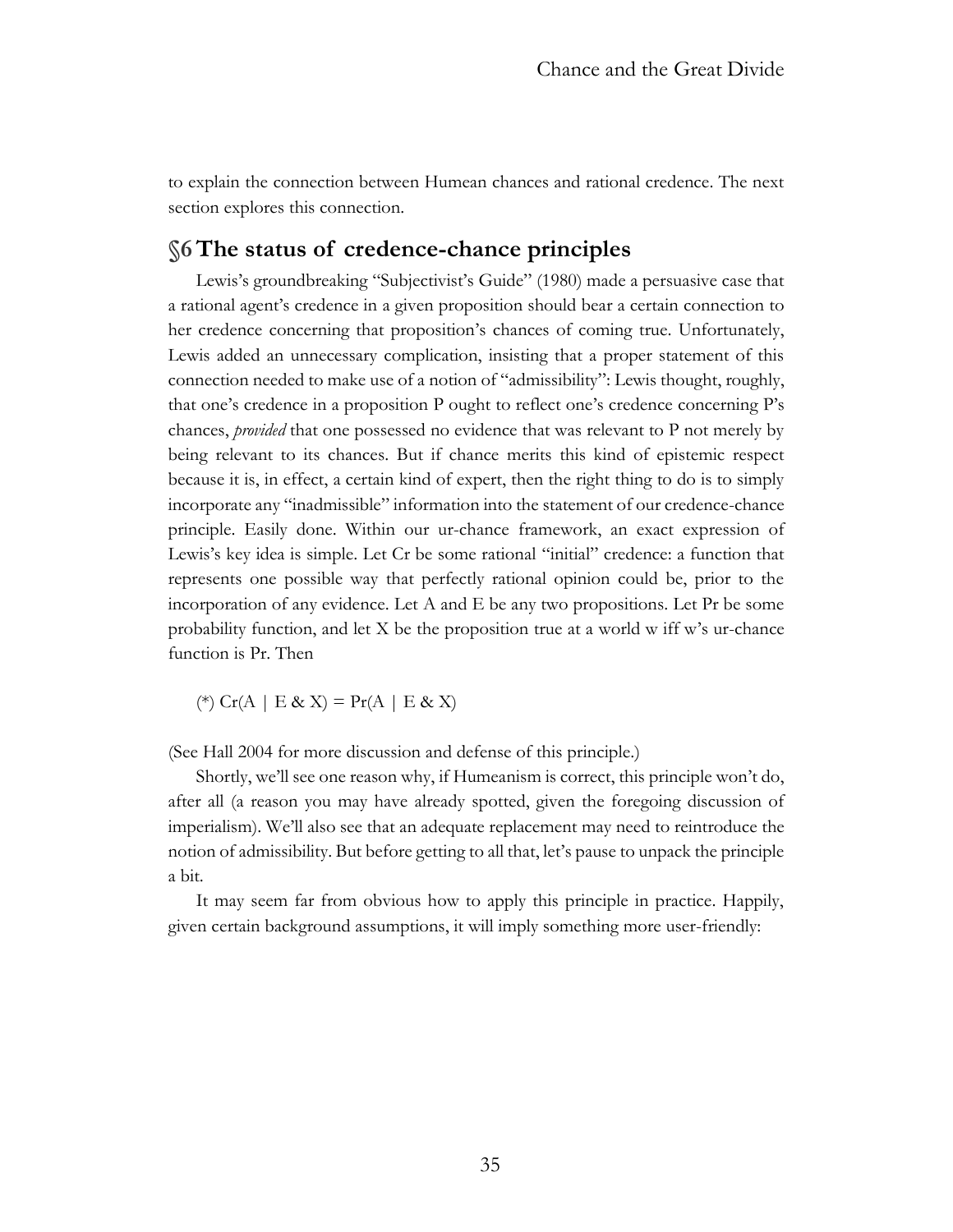to explain the connection between Humean chances and rational credence. The next section explores this connection.

# **§6The status of credence-chance principles**

Lewis's groundbreaking "Subjectivist's Guide" (1980) made a persuasive case that a rational agent's credence in a given proposition should bear a certain connection to her credence concerning that proposition's chances of coming true. Unfortunately, Lewis added an unnecessary complication, insisting that a proper statement of this connection needed to make use of a notion of "admissibility": Lewis thought, roughly, that one's credence in a proposition P ought to reflect one's credence concerning P's chances, *provided* that one possessed no evidence that was relevant to P not merely by being relevant to its chances. But if chance merits this kind of epistemic respect because it is, in effect, a certain kind of expert, then the right thing to do is to simply incorporate any "inadmissible" information into the statement of our credence-chance principle. Easily done. Within our ur-chance framework, an exact expression of Lewis's key idea is simple. Let Cr be some rational "initial" credence: a function that represents one possible way that perfectly rational opinion could be, prior to the incorporation of any evidence. Let A and E be any two propositions. Let Pr be some probability function, and let X be the proposition true at a world w iff w's ur-chance function is Pr. Then

(\*)  $Cr(A \mid E \& X) = Pr(A \mid E \& X)$ 

(See Hall 2004 for more discussion and defense of this principle.)

Shortly, we'll see one reason why, if Humeanism is correct, this principle won't do, after all (a reason you may have already spotted, given the foregoing discussion of imperialism). We'll also see that an adequate replacement may need to reintroduce the notion of admissibility. But before getting to all that, let's pause to unpack the principle a bit.

It may seem far from obvious how to apply this principle in practice. Happily, given certain background assumptions, it will imply something more user-friendly: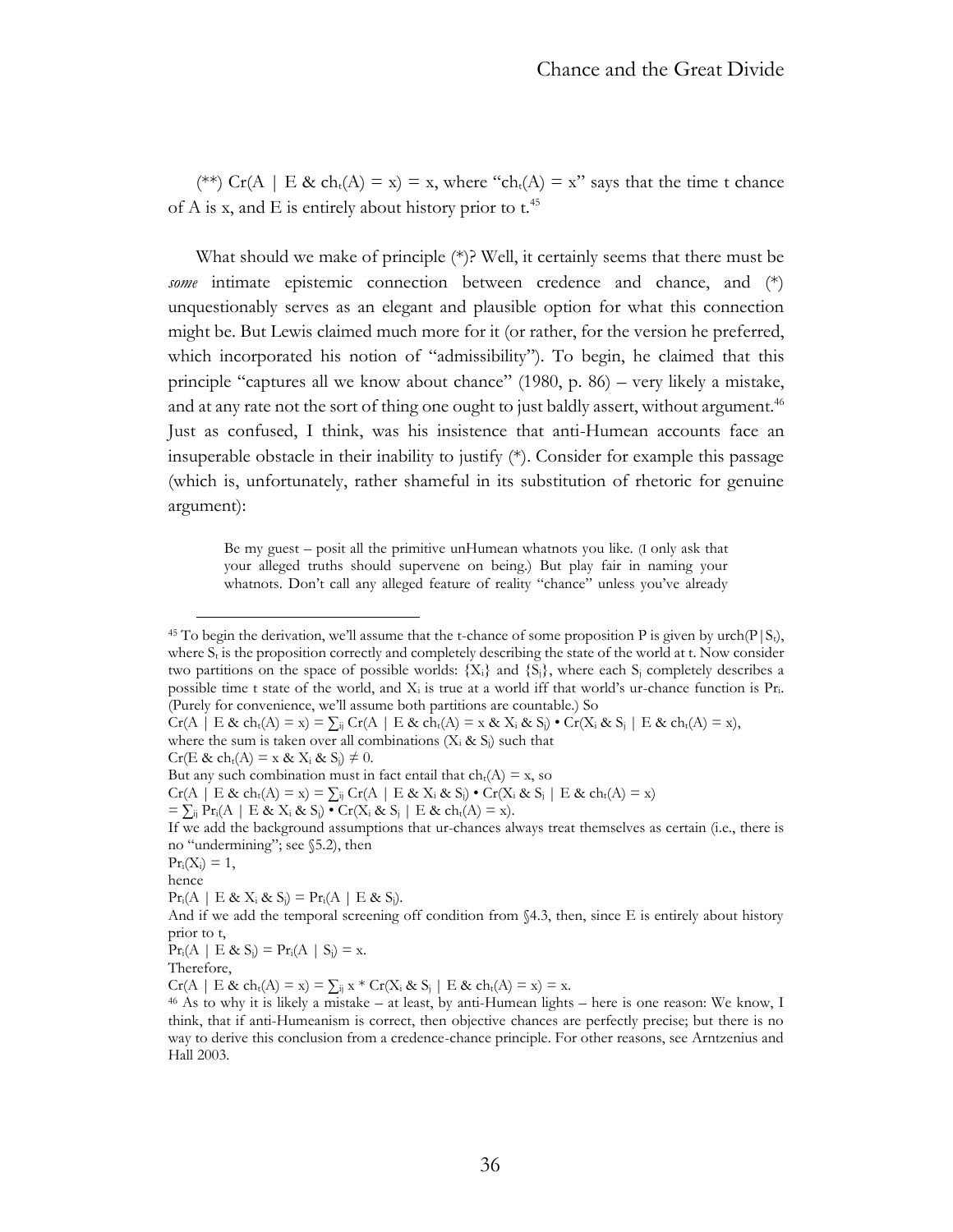(\*\*) Cr(A | E & ch<sub>t</sub>(A) = x) = x, where "ch<sub>t</sub>(A) = x" says that the time t chance of A is x, and E is entirely about history prior to t.<sup>45</sup>

What should we make of principle (\*)? Well, it certainly seems that there must be *some* intimate epistemic connection between credence and chance, and (\*) unquestionably serves as an elegant and plausible option for what this connection might be. But Lewis claimed much more for it (or rather, for the version he preferred, which incorporated his notion of "admissibility"). To begin, he claimed that this principle "captures all we know about chance" (1980, p. 86) – very likely a mistake, and at any rate not the sort of thing one ought to just baldly assert, without argument.<sup>46</sup> Just as confused, I think, was his insistence that anti-Humean accounts face an insuperable obstacle in their inability to justify (\*). Consider for example this passage (which is, unfortunately, rather shameful in its substitution of rhetoric for genuine argument):

Be my guest – posit all the primitive unHumean whatnots you like. (I only ask that your alleged truths should supervene on being.) But play fair in naming your whatnots. Don't call any alleged feature of reality "chance" unless you've already

where the sum is taken over all combinations  $(X_i \& S_j)$  such that

 $Cr(E \& ch_t(A) = x \& X_i \& S_i) \neq 0.$ 

But any such combination must in fact entail that  $ch_t(A) = x$ , so

 $Cr(A \mid E \& ch_t(A) = x) = \sum_{ij} Cr(A \mid E \& X_i \& S_j) \bullet Cr(X_i \& S_j \mid E \& ch_t(A) = x)$ 

 $=\sum_{ij} Pr_i(A \mid E \& X_i \& S_j) \bullet Cr(X_i \& S_j \mid E \& ch_t(A) = x).$ 

 $Pr_i(A \mid E \& X_i \& S_i) = Pr_i(A \mid E \& S_i).$ 

And if we add the temporal screening off condition from §4.3, then, since E is entirely about history prior to t,

 $Pr_i(A \mid E \& S_i) = Pr_i(A \mid S_i) = x.$ 

Therefore,

 $Cr(A \mid E \& ch_t(A) = x) = \sum_{ij} x * Cr(X_i \& S_j \mid E \& ch_t(A) = x) = x.$ 

<sup>&</sup>lt;sup>45</sup> To begin the derivation, we'll assume that the t-chance of some proposition P is given by urch(P|S<sub>t</sub>), where  $S_t$  is the proposition correctly and completely describing the state of the world at t. Now consider two partitions on the space of possible worlds:  $\{X_i\}$  and  $\{S_i\}$ , where each  $S_i$  completely describes a possible time t state of the world, and  $X_i$  is true at a world iff that world's ur-chance function is  $Pr_i$ . (Purely for convenience, we'll assume both partitions are countable.) So

 $Cr(A \mid E \& ch_t(A) = x) = \sum_{ij} Cr(A \mid E \& ch_t(A) = x \& X_i \& S_j \bullet Cr(X_i \& S_j \mid E \& ch_t(A) = x),$ 

If we add the background assumptions that ur-chances always treat themselves as certain (i.e., there is no "undermining"; see §5.2), then

 $Pr_i(X_i) = 1$ ,

hence

<sup>46</sup> As to why it is likely a mistake – at least, by anti-Humean lights – here is one reason: We know, I think, that if anti-Humeanism is correct, then objective chances are perfectly precise; but there is no way to derive this conclusion from a credence-chance principle. For other reasons, see Arntzenius and Hall 2003.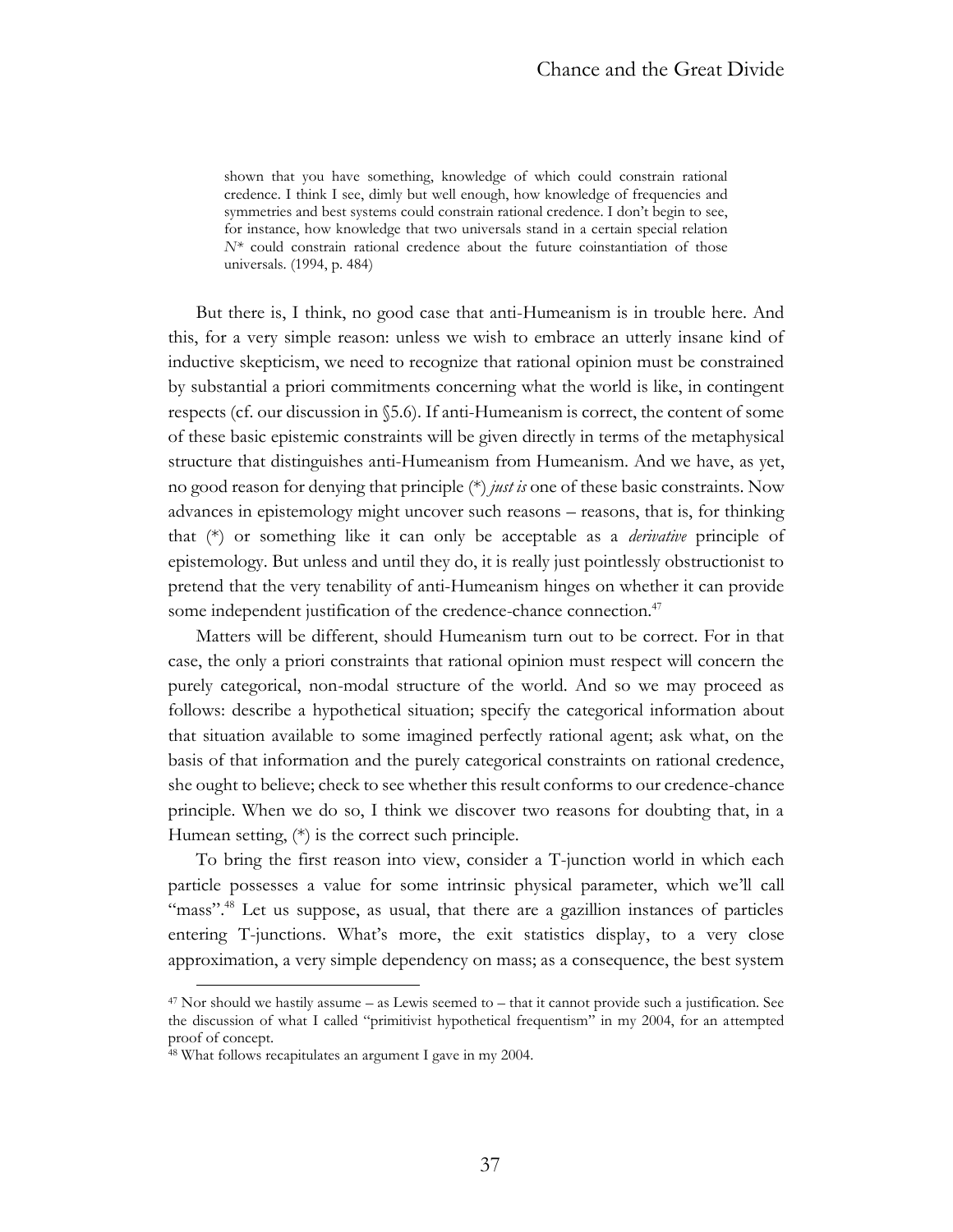shown that you have something, knowledge of which could constrain rational credence. I think I see, dimly but well enough, how knowledge of frequencies and symmetries and best systems could constrain rational credence. I don't begin to see, for instance, how knowledge that two universals stand in a certain special relation *N\** could constrain rational credence about the future coinstantiation of those universals. (1994, p. 484)

But there is, I think, no good case that anti-Humeanism is in trouble here. And this, for a very simple reason: unless we wish to embrace an utterly insane kind of inductive skepticism, we need to recognize that rational opinion must be constrained by substantial a priori commitments concerning what the world is like, in contingent respects (cf. our discussion in §5.6). If anti-Humeanism is correct, the content of some of these basic epistemic constraints will be given directly in terms of the metaphysical structure that distinguishes anti-Humeanism from Humeanism. And we have, as yet, no good reason for denying that principle (\*) *just is* one of these basic constraints. Now advances in epistemology might uncover such reasons – reasons, that is, for thinking that (\*) or something like it can only be acceptable as a *derivative* principle of epistemology. But unless and until they do, it is really just pointlessly obstructionist to pretend that the very tenability of anti-Humeanism hinges on whether it can provide some independent justification of the credence-chance connection.<sup>47</sup>

Matters will be different, should Humeanism turn out to be correct. For in that case, the only a priori constraints that rational opinion must respect will concern the purely categorical, non-modal structure of the world. And so we may proceed as follows: describe a hypothetical situation; specify the categorical information about that situation available to some imagined perfectly rational agent; ask what, on the basis of that information and the purely categorical constraints on rational credence, she ought to believe; check to see whether this result conforms to our credence-chance principle. When we do so, I think we discover two reasons for doubting that, in a Humean setting, (\*) is the correct such principle.

To bring the first reason into view, consider a T-junction world in which each particle possesses a value for some intrinsic physical parameter, which we'll call "mass".<sup>48</sup> Let us suppose, as usual, that there are a gazillion instances of particles entering T-junctions. What's more, the exit statistics display, to a very close approximation, a very simple dependency on mass; as a consequence, the best system

 $47$  Nor should we hastily assume – as Lewis seemed to – that it cannot provide such a justification. See the discussion of what I called "primitivist hypothetical frequentism" in my 2004, for an attempted proof of concept.

<sup>48</sup> What follows recapitulates an argument I gave in my 2004.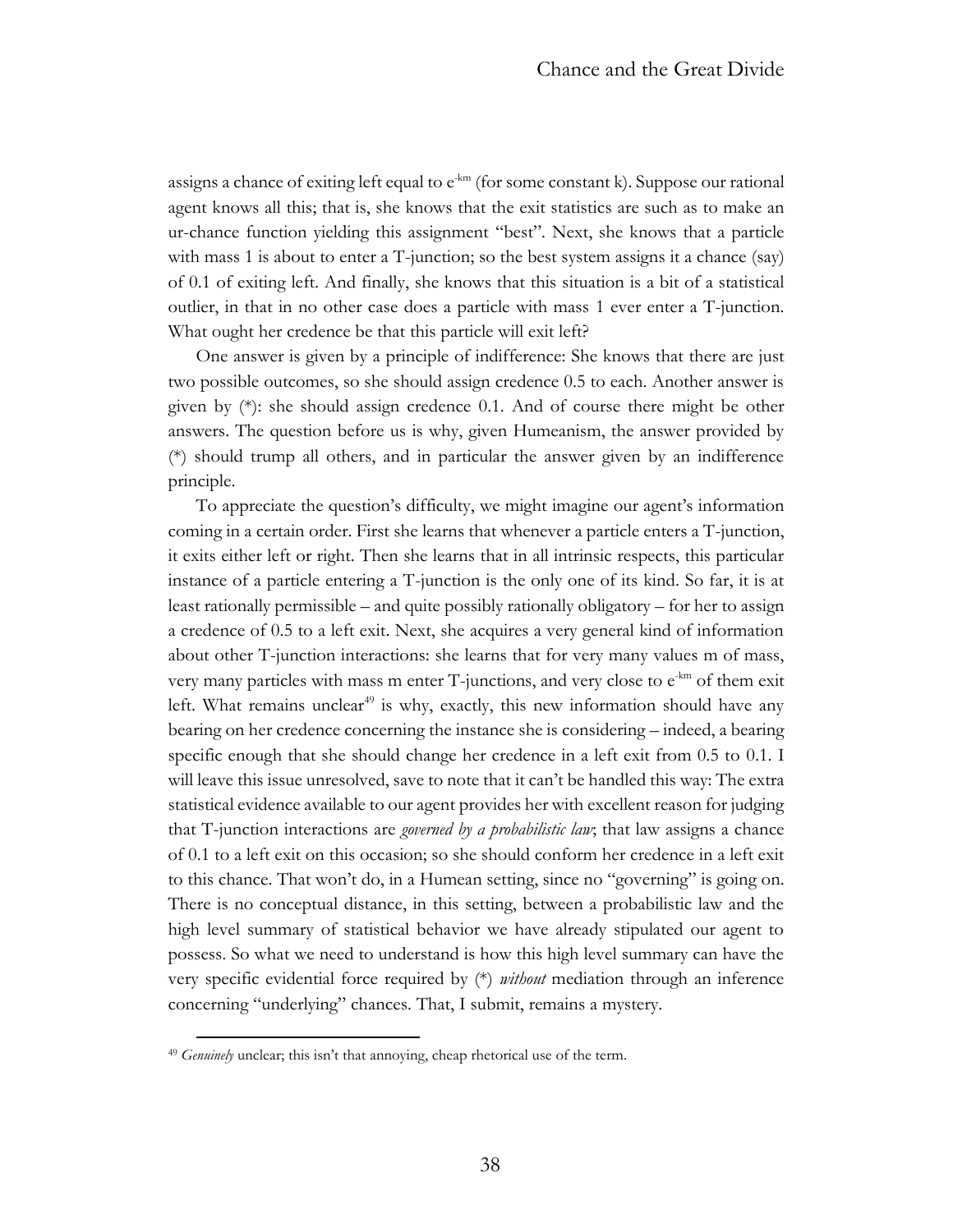assigns a chance of exiting left equal to  $e^{-km}$  (for some constant k). Suppose our rational agent knows all this; that is, she knows that the exit statistics are such as to make an ur-chance function yielding this assignment "best". Next, she knows that a particle with mass 1 is about to enter a T-junction; so the best system assigns it a chance (say) of 0.1 of exiting left. And finally, she knows that this situation is a bit of a statistical outlier, in that in no other case does a particle with mass 1 ever enter a T-junction. What ought her credence be that this particle will exit left?

One answer is given by a principle of indifference: She knows that there are just two possible outcomes, so she should assign credence 0.5 to each. Another answer is given by  $(*)$ : she should assign credence 0.1. And of course there might be other answers. The question before us is why, given Humeanism, the answer provided by (\*) should trump all others, and in particular the answer given by an indifference principle.

To appreciate the question's difficulty, we might imagine our agent's information coming in a certain order. First she learns that whenever a particle enters a T-junction, it exits either left or right. Then she learns that in all intrinsic respects, this particular instance of a particle entering a T-junction is the only one of its kind. So far, it is at least rationally permissible – and quite possibly rationally obligatory – for her to assign a credence of 0.5 to a left exit. Next, she acquires a very general kind of information about other T-junction interactions: she learns that for very many values m of mass, very many particles with mass m enter  $T$ -junctions, and very close to  $e^{-km}$  of them exit left. What remains unclear<sup>49</sup> is why, exactly, this new information should have any bearing on her credence concerning the instance she is considering – indeed, a bearing specific enough that she should change her credence in a left exit from 0.5 to 0.1. I will leave this issue unresolved, save to note that it can't be handled this way: The extra statistical evidence available to our agent provides her with excellent reason for judging that T-junction interactions are *governed by a probabilistic law*; that law assigns a chance of 0.1 to a left exit on this occasion; so she should conform her credence in a left exit to this chance. That won't do, in a Humean setting, since no "governing" is going on. There is no conceptual distance, in this setting, between a probabilistic law and the high level summary of statistical behavior we have already stipulated our agent to possess. So what we need to understand is how this high level summary can have the very specific evidential force required by (\*) *without* mediation through an inference concerning "underlying" chances. That, I submit, remains a mystery.

<sup>49</sup> *Genuinely* unclear; this isn't that annoying, cheap rhetorical use of the term.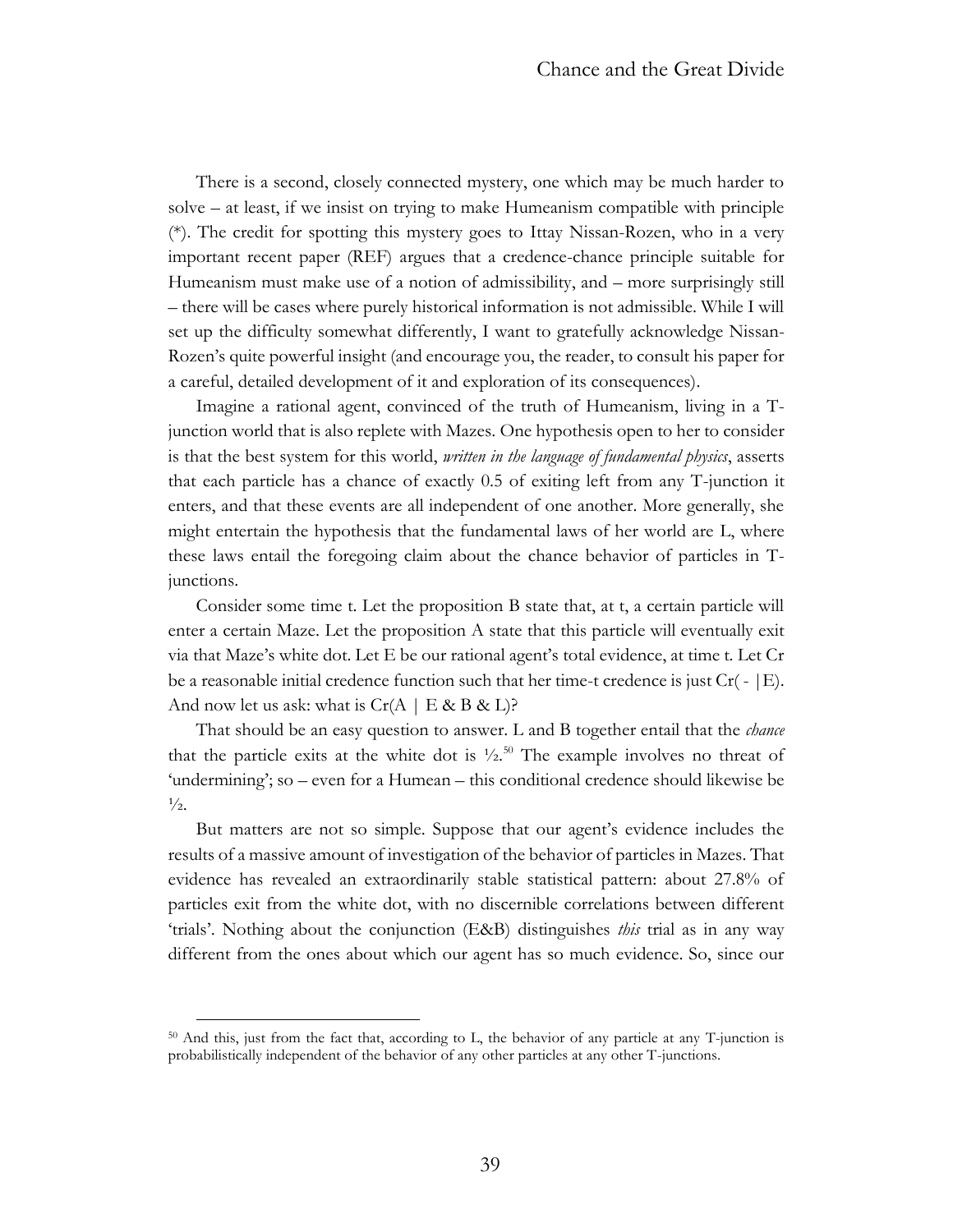There is a second, closely connected mystery, one which may be much harder to solve – at least, if we insist on trying to make Humeanism compatible with principle (\*). The credit for spotting this mystery goes to Ittay Nissan-Rozen, who in a very important recent paper (REF) argues that a credence-chance principle suitable for Humeanism must make use of a notion of admissibility, and – more surprisingly still – there will be cases where purely historical information is not admissible. While I will set up the difficulty somewhat differently, I want to gratefully acknowledge Nissan-Rozen's quite powerful insight (and encourage you, the reader, to consult his paper for a careful, detailed development of it and exploration of its consequences).

Imagine a rational agent, convinced of the truth of Humeanism, living in a Tjunction world that is also replete with Mazes. One hypothesis open to her to consider is that the best system for this world, *written in the language of fundamental physics*, asserts that each particle has a chance of exactly 0.5 of exiting left from any T-junction it enters, and that these events are all independent of one another. More generally, she might entertain the hypothesis that the fundamental laws of her world are L, where these laws entail the foregoing claim about the chance behavior of particles in Tjunctions.

Consider some time t. Let the proposition B state that, at t, a certain particle will enter a certain Maze. Let the proposition A state that this particle will eventually exit via that Maze's white dot. Let E be our rational agent's total evidence, at time t. Let Cr be a reasonable initial credence function such that her time-t credence is just  $Cr(-|E)$ . And now let us ask: what is  $Cr(A \mid E \& B \& L)$ ?

That should be an easy question to answer. L and B together entail that the *chance* that the particle exits at the white dot is  $\frac{1}{2}$ .<sup>50</sup> The example involves no threat of 'undermining'; so – even for a Humean – this conditional credence should likewise be  $\frac{1}{2}$ .

But matters are not so simple. Suppose that our agent's evidence includes the results of a massive amount of investigation of the behavior of particles in Mazes. That evidence has revealed an extraordinarily stable statistical pattern: about 27.8% of particles exit from the white dot, with no discernible correlations between different 'trials'. Nothing about the conjunction (E&B) distinguishes *this* trial as in any way different from the ones about which our agent has so much evidence. So, since our

<sup>50</sup> And this, just from the fact that, according to L, the behavior of any particle at any T-junction is probabilistically independent of the behavior of any other particles at any other T-junctions.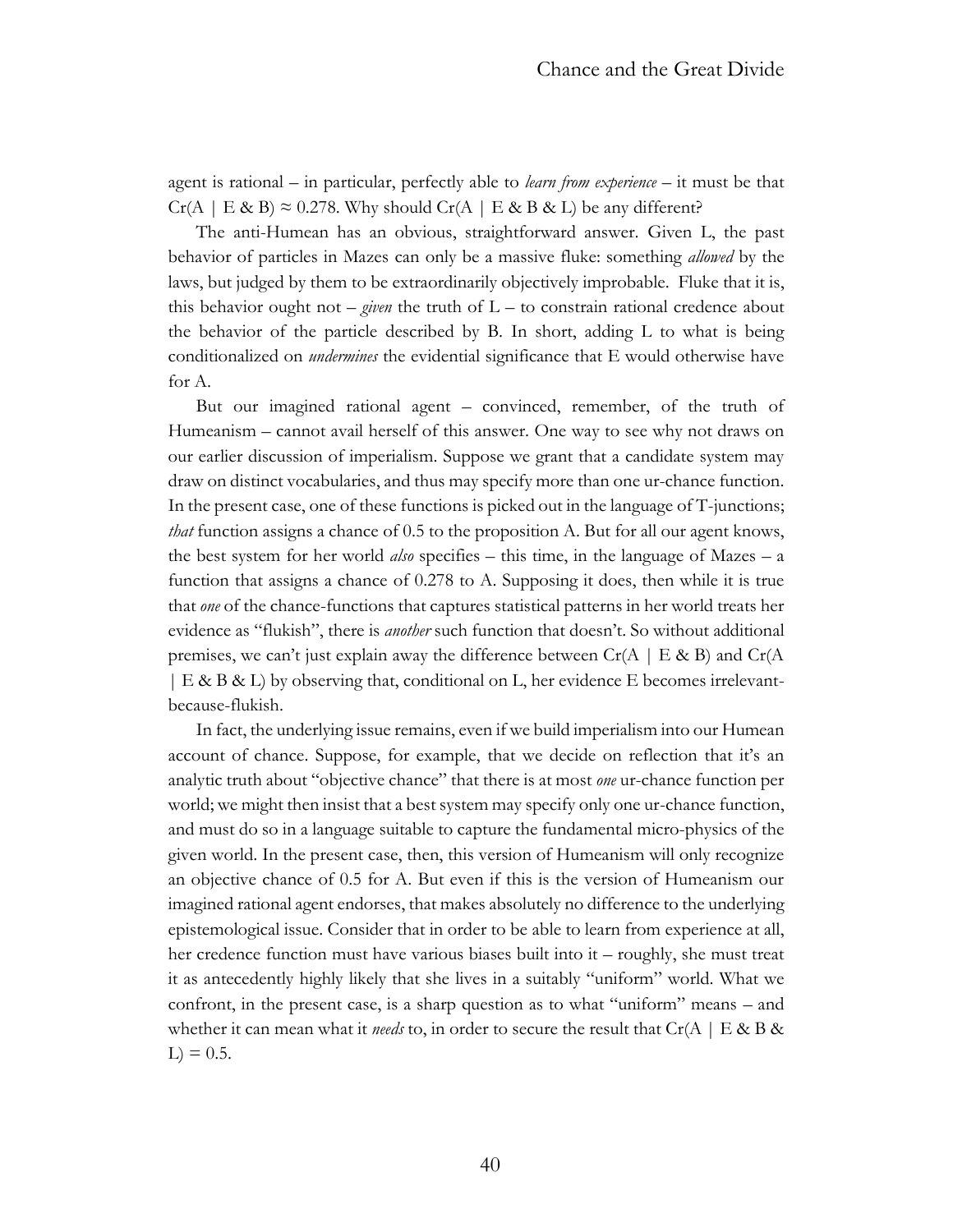agent is rational – in particular, perfectly able to *learn from experience* – it must be that  $Cr(A \mid E \& B) \approx 0.278$ . Why should  $Cr(A \mid E \& B \& L)$  be any different?

The anti-Humean has an obvious, straightforward answer. Given L, the past behavior of particles in Mazes can only be a massive fluke: something *allowed* by the laws, but judged by them to be extraordinarily objectively improbable. Fluke that it is, this behavior ought not  $-\text{given}$  the truth of  $L - \text{to}$  constrain rational credence about the behavior of the particle described by B. In short, adding L to what is being conditionalized on *undermines* the evidential significance that E would otherwise have for A.

But our imagined rational agent – convinced, remember, of the truth of Humeanism – cannot avail herself of this answer. One way to see why not draws on our earlier discussion of imperialism. Suppose we grant that a candidate system may draw on distinct vocabularies, and thus may specify more than one ur-chance function. In the present case, one of these functions is picked out in the language of T-junctions; *that* function assigns a chance of 0.5 to the proposition A. But for all our agent knows, the best system for her world *also* specifies – this time, in the language of Mazes – a function that assigns a chance of 0.278 to A. Supposing it does, then while it is true that *one* of the chance-functions that captures statistical patterns in her world treats her evidence as "flukish", there is *another* such function that doesn't. So without additional premises, we can't just explain away the difference between  $Cr(A \mid E \& B)$  and  $Cr(A \mid E \& B)$ | E & B & L) by observing that, conditional on L, her evidence E becomes irrelevantbecause-flukish.

In fact, the underlying issue remains, even if we build imperialism into our Humean account of chance. Suppose, for example, that we decide on reflection that it's an analytic truth about "objective chance" that there is at most *one* ur-chance function per world; we might then insist that a best system may specify only one ur-chance function, and must do so in a language suitable to capture the fundamental micro-physics of the given world. In the present case, then, this version of Humeanism will only recognize an objective chance of 0.5 for A. But even if this is the version of Humeanism our imagined rational agent endorses, that makes absolutely no difference to the underlying epistemological issue. Consider that in order to be able to learn from experience at all, her credence function must have various biases built into it – roughly, she must treat it as antecedently highly likely that she lives in a suitably "uniform" world. What we confront, in the present case, is a sharp question as to what "uniform" means – and whether it can mean what it *needs* to, in order to secure the result that  $Cr(A \mid E \& B \&$  $L$ ) = 0.5.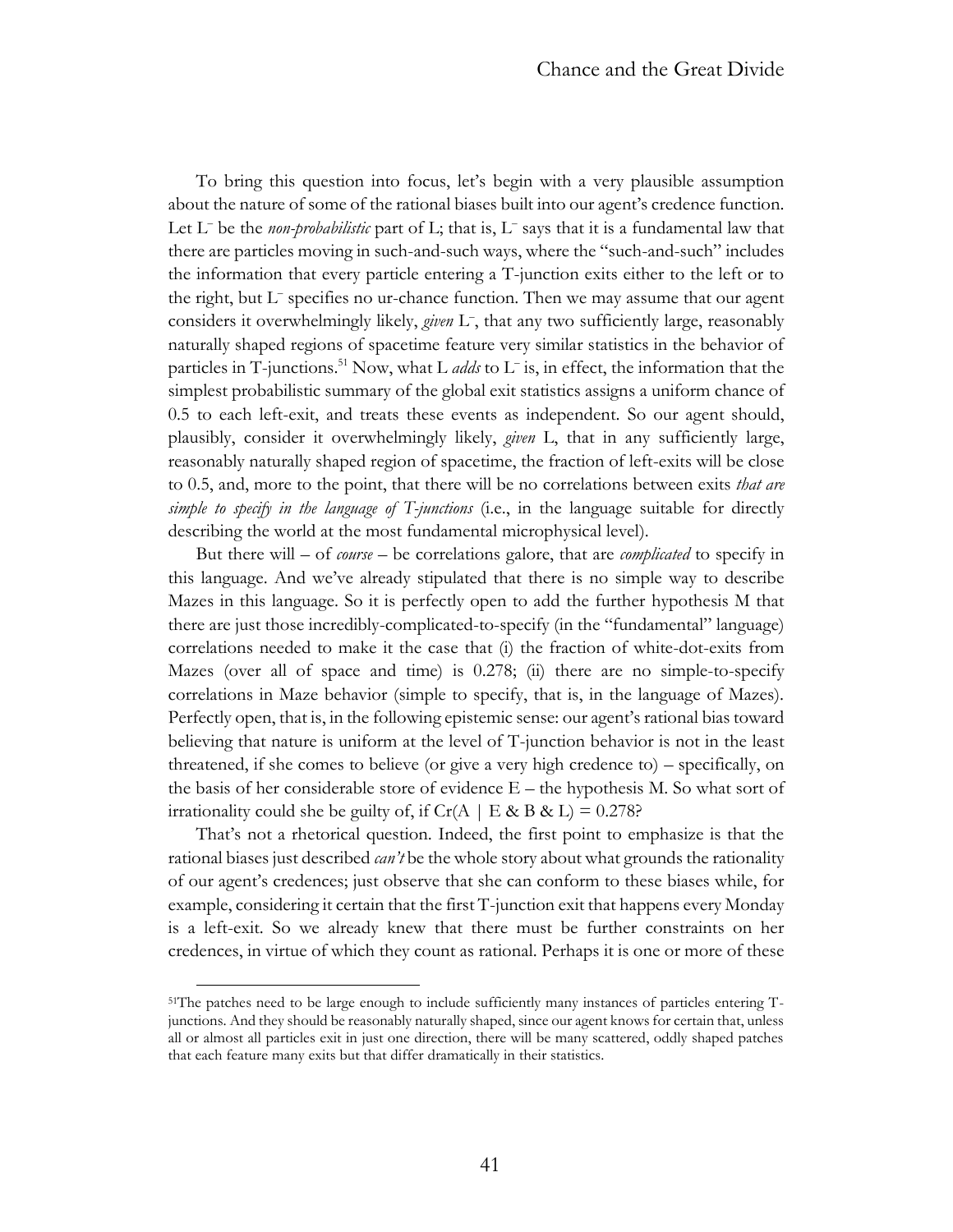To bring this question into focus, let's begin with a very plausible assumption about the nature of some of the rational biases built into our agent's credence function. Let L<sup>-</sup> be the *non-probabilistic* part of L; that is, L<sup>-</sup> says that it is a fundamental law that there are particles moving in such-and-such ways, where the "such-and-such" includes the information that every particle entering a T-junction exits either to the left or to the right, but L– specifies no ur-chance function. Then we may assume that our agent considers it overwhelmingly likely, *given* L – , that any two sufficiently large, reasonably naturally shaped regions of spacetime feature very similar statistics in the behavior of particles in T-junctions.<sup>51</sup> Now, what L *adds* to L<sup>-</sup> is, in effect, the information that the simplest probabilistic summary of the global exit statistics assigns a uniform chance of 0.5 to each left-exit, and treats these events as independent. So our agent should, plausibly, consider it overwhelmingly likely, *given* L, that in any sufficiently large, reasonably naturally shaped region of spacetime, the fraction of left-exits will be close to 0.5, and, more to the point, that there will be no correlations between exits *that are simple to specify in the language of T-junctions* (i.e., in the language suitable for directly describing the world at the most fundamental microphysical level).

But there will – of *course* – be correlations galore, that are *complicated* to specify in this language. And we've already stipulated that there is no simple way to describe Mazes in this language. So it is perfectly open to add the further hypothesis M that there are just those incredibly-complicated-to-specify (in the "fundamental" language) correlations needed to make it the case that (i) the fraction of white-dot-exits from Mazes (over all of space and time) is 0.278; (ii) there are no simple-to-specify correlations in Maze behavior (simple to specify, that is, in the language of Mazes). Perfectly open, that is, in the following epistemic sense: our agent's rational bias toward believing that nature is uniform at the level of T-junction behavior is not in the least threatened, if she comes to believe (or give a very high credence to) – specifically, on the basis of her considerable store of evidence  $E$  – the hypothesis M. So what sort of irrationality could she be guilty of, if  $Cr(A \mid E \& B \& L) = 0.278$ ?

That's not a rhetorical question. Indeed, the first point to emphasize is that the rational biases just described *can't* be the whole story about what grounds the rationality of our agent's credences; just observe that she can conform to these biases while, for example, considering it certain that the first T-junction exit that happens every Monday is a left-exit. So we already knew that there must be further constraints on her credences, in virtue of which they count as rational. Perhaps it is one or more of these

<sup>&</sup>lt;sup>51</sup>The patches need to be large enough to include sufficiently many instances of particles entering Tjunctions. And they should be reasonably naturally shaped, since our agent knows for certain that, unless all or almost all particles exit in just one direction, there will be many scattered, oddly shaped patches that each feature many exits but that differ dramatically in their statistics.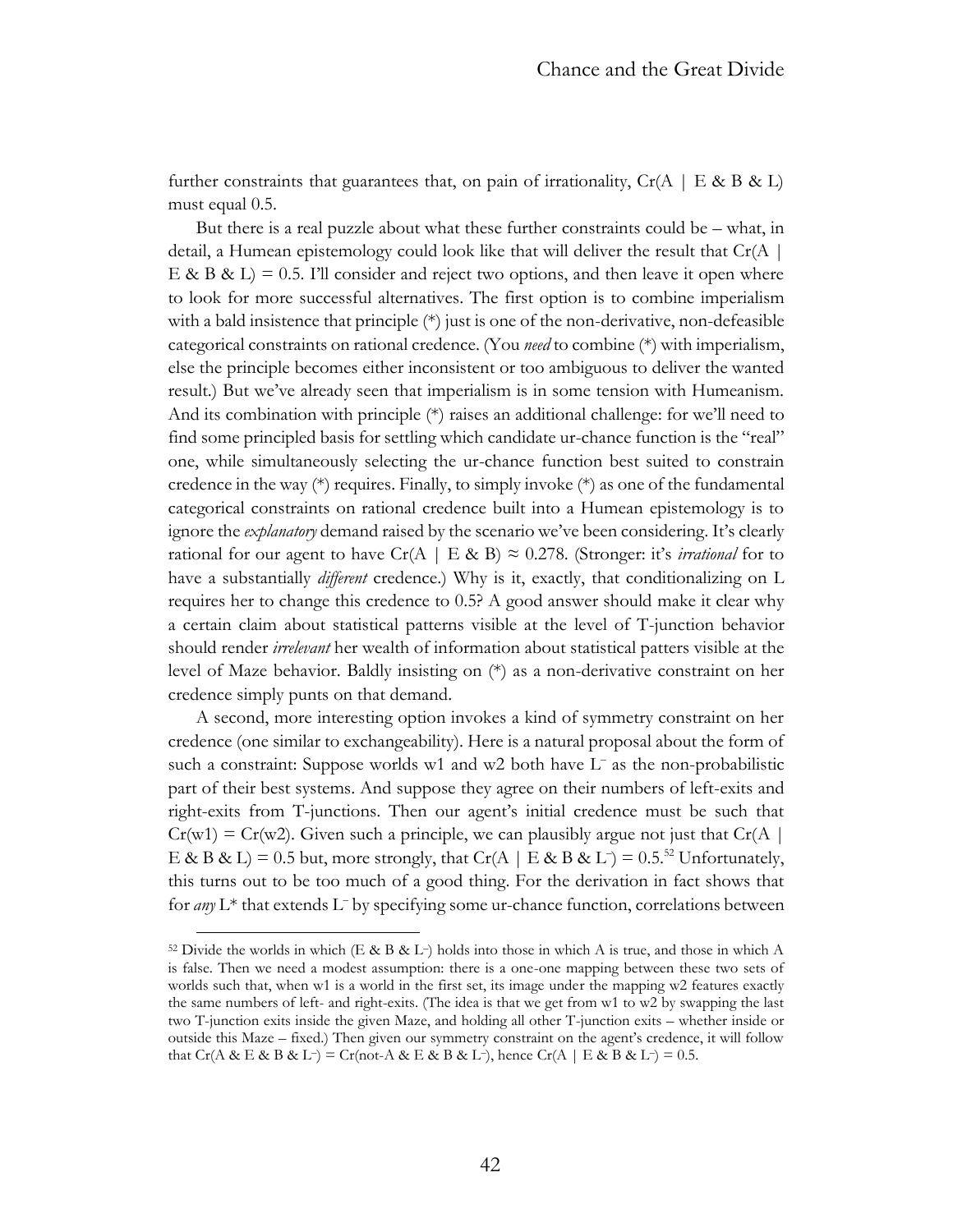further constraints that guarantees that, on pain of irrationality,  $Cr(A \mid E \& B \& L)$ must equal 0.5.

But there is a real puzzle about what these further constraints could be – what, in detail, a Humean epistemology could look like that will deliver the result that Cr(A | E & B & L) = 0.5. I'll consider and reject two options, and then leave it open where to look for more successful alternatives. The first option is to combine imperialism with a bald insistence that principle (\*) just is one of the non-derivative, non-defeasible categorical constraints on rational credence. (You *need* to combine (\*) with imperialism, else the principle becomes either inconsistent or too ambiguous to deliver the wanted result.) But we've already seen that imperialism is in some tension with Humeanism. And its combination with principle (\*) raises an additional challenge: for we'll need to find some principled basis for settling which candidate ur-chance function is the "real" one, while simultaneously selecting the ur-chance function best suited to constrain credence in the way (\*) requires. Finally, to simply invoke (\*) as one of the fundamental categorical constraints on rational credence built into a Humean epistemology is to ignore the *explanatory* demand raised by the scenario we've been considering. It's clearly rational for our agent to have  $Cr(A \mid E \& B) \approx 0.278$ . (Stronger: it's *irrational* for to have a substantially *different* credence.) Why is it, exactly, that conditionalizing on L requires her to change this credence to 0.5? A good answer should make it clear why a certain claim about statistical patterns visible at the level of T-junction behavior should render *irrelevant* her wealth of information about statistical patters visible at the level of Maze behavior. Baldly insisting on (\*) as a non-derivative constraint on her credence simply punts on that demand.

A second, more interesting option invokes a kind of symmetry constraint on her credence (one similar to exchangeability). Here is a natural proposal about the form of such a constraint: Suppose worlds w1 and w2 both have L<sup>-</sup> as the non-probabilistic part of their best systems. And suppose they agree on their numbers of left-exits and right-exits from T-junctions. Then our agent's initial credence must be such that  $Cr(w1) = Cr(w2)$ . Given such a principle, we can plausibly argue not just that  $Cr(A \mid C)$ E & B & L) = 0.5 but, more strongly, that Cr(A | E & B & L<sup>-</sup>) = 0.5.<sup>52</sup> Unfortunately, this turns out to be too much of a good thing. For the derivation in fact shows that for *any*  $L^*$  that extends  $L^-$  by specifying some ur-chance function, correlations between

<sup>&</sup>lt;sup>52</sup> Divide the worlds in which (E & B & L-) holds into those in which A is true, and those in which A is false. Then we need a modest assumption: there is a one-one mapping between these two sets of worlds such that, when w1 is a world in the first set, its image under the mapping w2 features exactly the same numbers of left- and right-exits. (The idea is that we get from w1 to w2 by swapping the last two T-junction exits inside the given Maze, and holding all other T-junction exits – whether inside or outside this Maze – fixed.) Then given our symmetry constraint on the agent's credence, it will follow that  $Cr(A \& E \& B \& L^-) = Cr(not-A \& E \& B \& L^-)$ , hence  $Cr(A \mid E \& B \& L^-) = 0.5$ .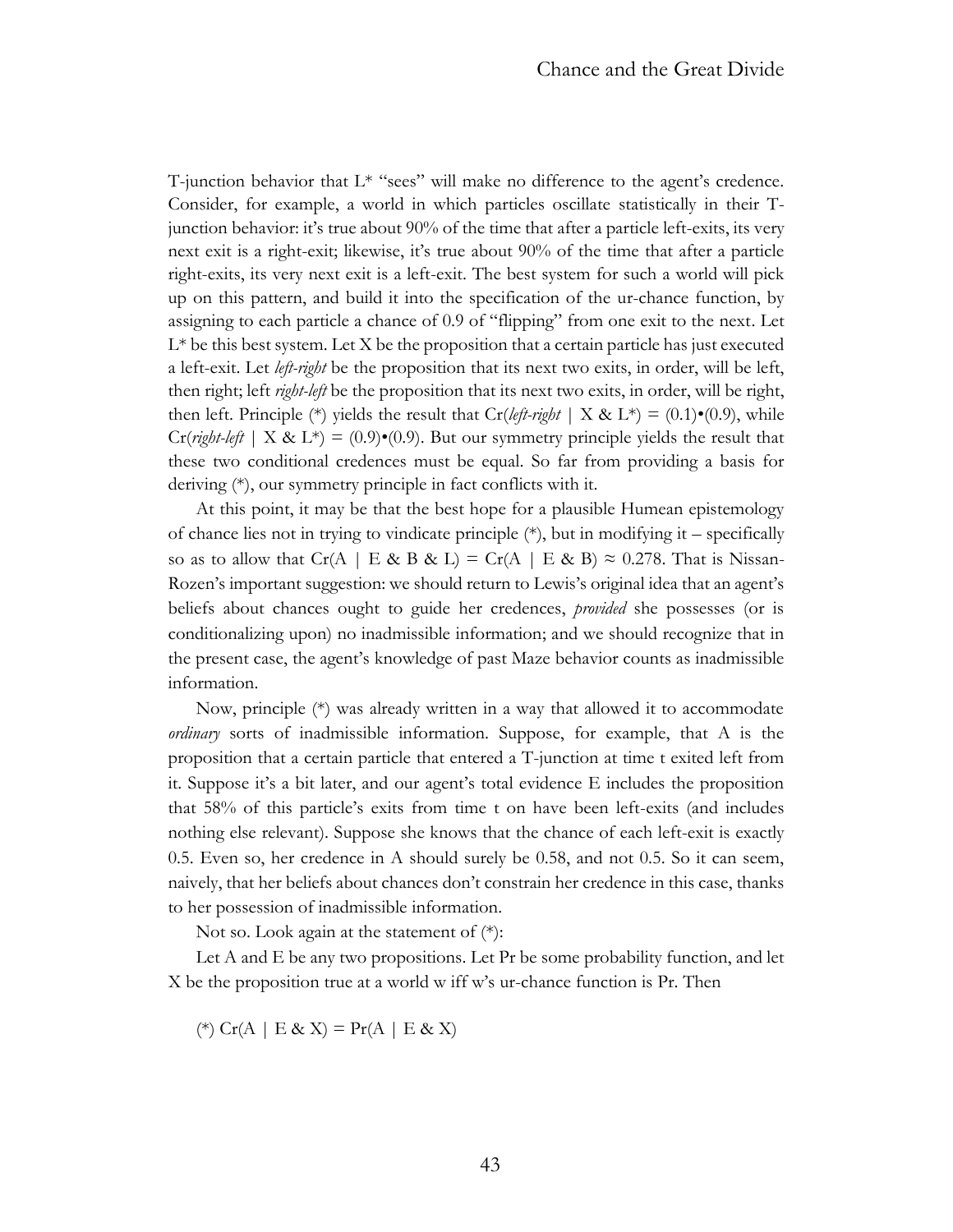T-junction behavior that L\* "sees" will make no difference to the agent's credence. Consider, for example, a world in which particles oscillate statistically in their Tjunction behavior: it's true about 90% of the time that after a particle left-exits, its very next exit is a right-exit; likewise, it's true about 90% of the time that after a particle right-exits, its very next exit is a left-exit. The best system for such a world will pick up on this pattern, and build it into the specification of the ur-chance function, by assigning to each particle a chance of 0.9 of "flipping" from one exit to the next. Let  $L^*$  be this best system. Let X be the proposition that a certain particle has just executed a left-exit. Let *left-right* be the proposition that its next two exits, in order, will be left, then right; left *right-left* be the proposition that its next two exits, in order, will be right, then left. Principle (\*) yields the result that  $Cr(\text{left-right} \mid X \& L^*) = (0.1) \cdot (0.9)$ , while  $Cr(\text{right-left} \mid X \& L^*) = (0.9) \cdot (0.9)$ . But our symmetry principle yields the result that these two conditional credences must be equal. So far from providing a basis for deriving (\*), our symmetry principle in fact conflicts with it.

At this point, it may be that the best hope for a plausible Humean epistemology of chance lies not in trying to vindicate principle (\*), but in modifying it – specifically so as to allow that  $Cr(A \mid E \& B \& L) = Cr(A \mid E \& B) \approx 0.278$ . That is Nissan-Rozen's important suggestion: we should return to Lewis's original idea that an agent's beliefs about chances ought to guide her credences, *provided* she possesses (or is conditionalizing upon) no inadmissible information; and we should recognize that in the present case, the agent's knowledge of past Maze behavior counts as inadmissible information.

Now, principle (\*) was already written in a way that allowed it to accommodate *ordinary* sorts of inadmissible information. Suppose, for example, that A is the proposition that a certain particle that entered a T-junction at time t exited left from it. Suppose it's a bit later, and our agent's total evidence E includes the proposition that 58% of this particle's exits from time t on have been left-exits (and includes nothing else relevant). Suppose she knows that the chance of each left-exit is exactly 0.5. Even so, her credence in A should surely be 0.58, and not 0.5. So it can seem, naively, that her beliefs about chances don't constrain her credence in this case, thanks to her possession of inadmissible information.

Not so. Look again at the statement of (\*):

Let A and E be any two propositions. Let Pr be some probability function, and let X be the proposition true at a world w iff w's ur-chance function is Pr. Then

(\*)  $Cr(A \mid E \& X) = Pr(A \mid E \& X)$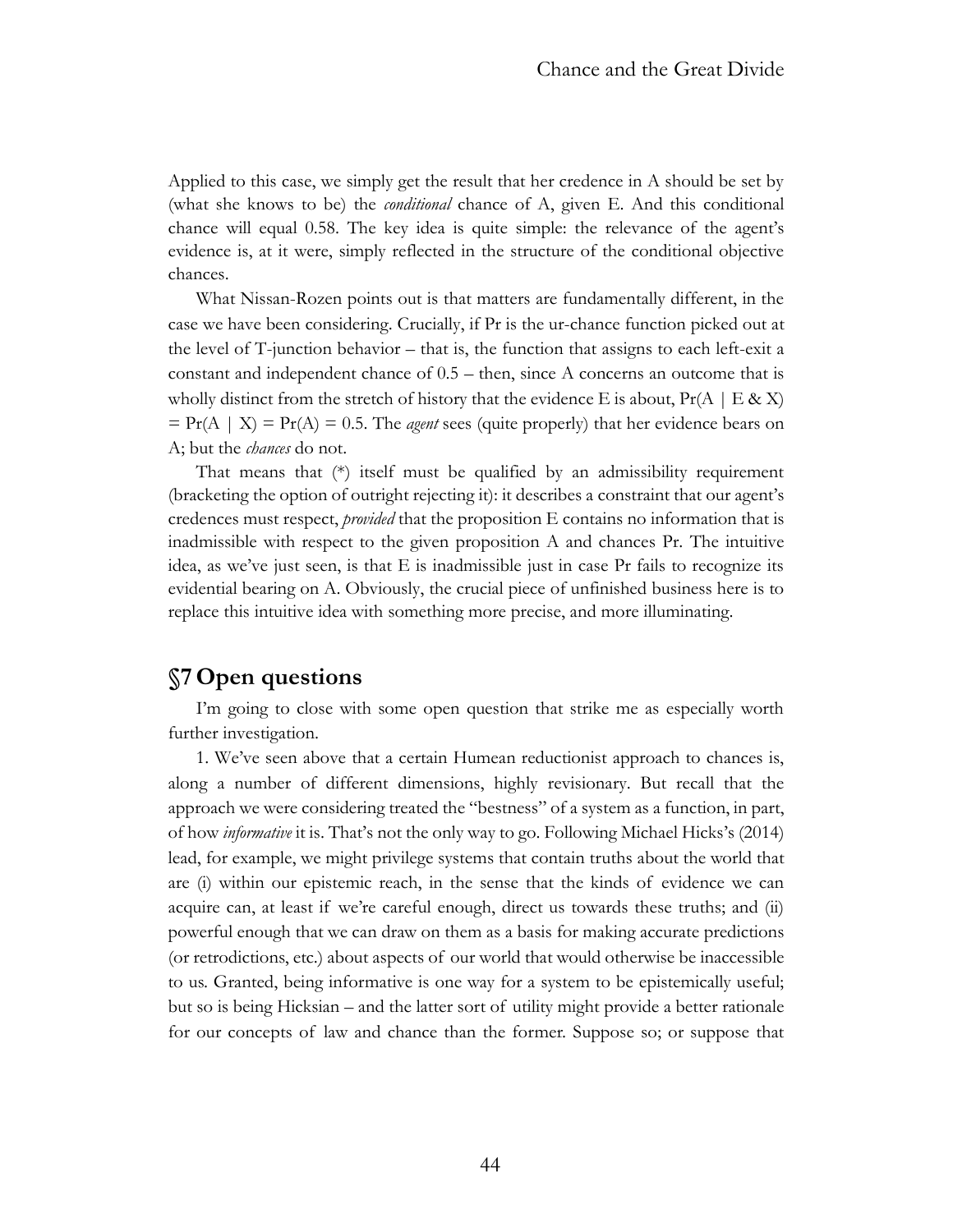Applied to this case, we simply get the result that her credence in A should be set by (what she knows to be) the *conditional* chance of A, given E. And this conditional chance will equal 0.58. The key idea is quite simple: the relevance of the agent's evidence is, at it were, simply reflected in the structure of the conditional objective chances.

What Nissan-Rozen points out is that matters are fundamentally different, in the case we have been considering. Crucially, if Pr is the ur-chance function picked out at the level of T-junction behavior – that is, the function that assigns to each left-exit a constant and independent chance of 0.5 – then, since A concerns an outcome that is wholly distinct from the stretch of history that the evidence E is about,  $Pr(A | E \& X)$  $= Pr(A \mid X) = Pr(A) = 0.5$ . The *agent* sees (quite properly) that her evidence bears on A; but the *chances* do not.

That means that  $(*)$  itself must be qualified by an admissibility requirement (bracketing the option of outright rejecting it): it describes a constraint that our agent's credences must respect, *provided* that the proposition E contains no information that is inadmissible with respect to the given proposition A and chances Pr. The intuitive idea, as we've just seen, is that E is inadmissible just in case Pr fails to recognize its evidential bearing on A. Obviously, the crucial piece of unfinished business here is to replace this intuitive idea with something more precise, and more illuminating.

# **§7Open questions**

I'm going to close with some open question that strike me as especially worth further investigation.

1. We've seen above that a certain Humean reductionist approach to chances is, along a number of different dimensions, highly revisionary. But recall that the approach we were considering treated the "bestness" of a system as a function, in part, of how *informative* it is. That's not the only way to go. Following Michael Hicks's (2014) lead, for example, we might privilege systems that contain truths about the world that are (i) within our epistemic reach, in the sense that the kinds of evidence we can acquire can, at least if we're careful enough, direct us towards these truths; and (ii) powerful enough that we can draw on them as a basis for making accurate predictions (or retrodictions, etc.) about aspects of our world that would otherwise be inaccessible to us. Granted, being informative is one way for a system to be epistemically useful; but so is being Hicksian – and the latter sort of utility might provide a better rationale for our concepts of law and chance than the former. Suppose so; or suppose that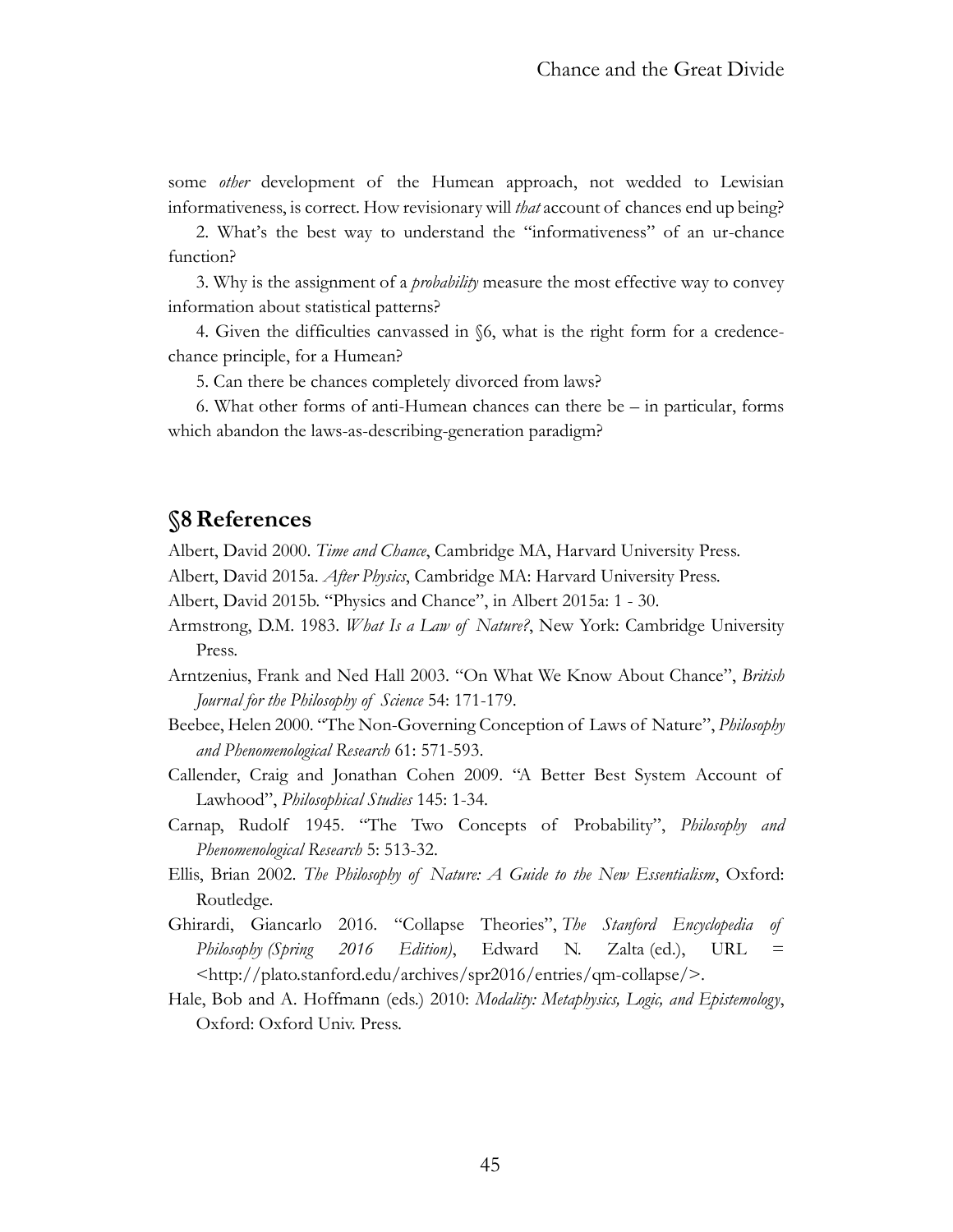some *other* development of the Humean approach, not wedded to Lewisian informativeness, is correct. How revisionary will *that* account of chances end up being?

2. What's the best way to understand the "informativeness" of an ur-chance function?

3. Why is the assignment of a *probability* measure the most effective way to convey information about statistical patterns?

4. Given the difficulties canvassed in §6, what is the right form for a credencechance principle, for a Humean?

5. Can there be chances completely divorced from laws?

6. What other forms of anti-Humean chances can there be – in particular, forms which abandon the laws-as-describing-generation paradigm?

# **§8References**

Albert, David 2000. *Time and Chance*, Cambridge MA, Harvard University Press.

Albert, David 2015a. *After Physics*, Cambridge MA: Harvard University Press.

Albert, David 2015b. "Physics and Chance", in Albert 2015a: 1 - 30.

Armstrong, D.M. 1983. *What Is a Law of Nature?*, New York: Cambridge University Press.

Arntzenius, Frank and Ned Hall 2003. "On What We Know About Chance", *British Journal for the Philosophy of Science* 54: 171-179.

- Beebee, Helen 2000. "The Non-Governing Conception of Laws of Nature", *Philosophy and Phenomenological Research* 61: 571-593.
- Callender, Craig and Jonathan Cohen 2009. "A Better Best System Account of Lawhood", *Philosophical Studies* 145: 1-34.
- Carnap, Rudolf 1945. "The Two Concepts of Probability", *Philosophy and Phenomenological Research* 5: 513-32.
- Ellis, Brian 2002. *The Philosophy of Nature: A Guide to the New Essentialism*, Oxford: Routledge.
- Ghirardi, Giancarlo 2016. "Collapse Theories", *The Stanford Encyclopedia of Philosophy (Spring 2016 Edition)*, Edward N. Zalta (ed.), URL = <http://plato.stanford.edu/archives/spr2016/entries/qm-collapse/>.
- Hale, Bob and A. Hoffmann (eds.) 2010: *Modality: Metaphysics, Logic, and Epistemology*, Oxford: Oxford Univ. Press.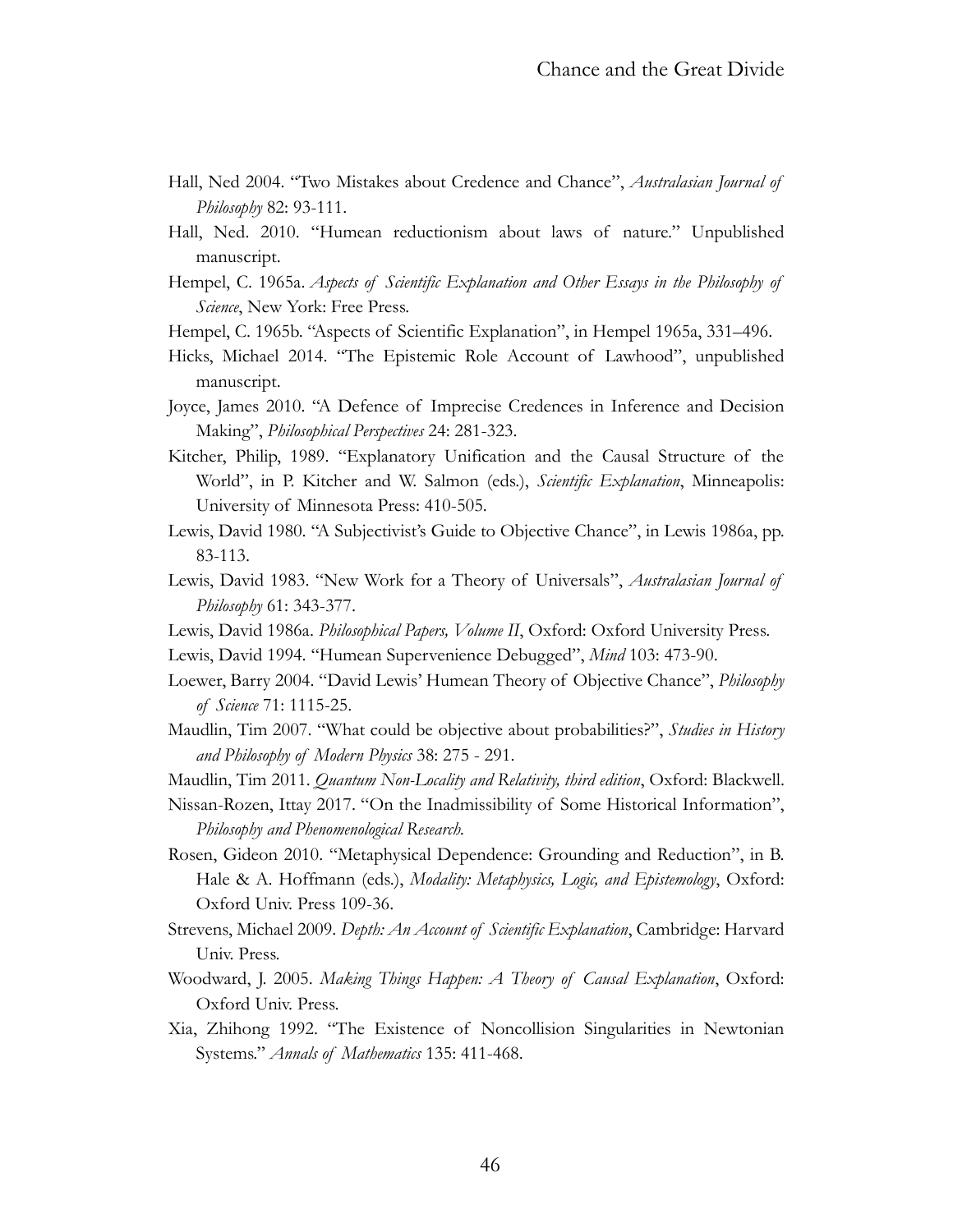- Hall, Ned 2004. "Two Mistakes about Credence and Chance", *Australasian Journal of Philosophy* 82: 93-111.
- Hall, Ned. 2010. "Humean reductionism about laws of nature." Unpublished manuscript.
- Hempel, C. 1965a. *Aspects of Scientific Explanation and Other Essays in the Philosophy of Science*, New York: Free Press.
- Hempel, C. 1965b. "Aspects of Scientific Explanation", in Hempel 1965a, 331–496.
- Hicks, Michael 2014. "The Epistemic Role Account of Lawhood", unpublished manuscript.
- Joyce, James 2010. "A Defence of Imprecise Credences in Inference and Decision Making", *Philosophical Perspectives* 24: 281-323.
- Kitcher, Philip, 1989. "Explanatory Unification and the Causal Structure of the World", in P. Kitcher and W. Salmon (eds.), *Scientific Explanation*, Minneapolis: University of Minnesota Press: 410-505.
- Lewis, David 1980. "A Subjectivist's Guide to Objective Chance", in Lewis 1986a, pp. 83-113.
- Lewis, David 1983. "New Work for a Theory of Universals", *Australasian Journal of Philosophy* 61: 343-377.
- Lewis, David 1986a. *Philosophical Papers, Volume II*, Oxford: Oxford University Press.
- Lewis, David 1994. "Humean Supervenience Debugged", *Mind* 103: 473-90.
- Loewer, Barry 2004. "David Lewis' Humean Theory of Objective Chance", *Philosophy of Science* 71: 1115-25.
- Maudlin, Tim 2007. "What could be objective about probabilities?", *Studies in History and Philosophy of Modern Physics* 38: 275 - 291.
- Maudlin, Tim 2011. *Quantum Non-Locality and Relativity, third edition*, Oxford: Blackwell.
- Nissan-Rozen, Ittay 2017. "On the Inadmissibility of Some Historical Information", *Philosophy and Phenomenological Research.*
- Rosen, Gideon 2010. "Metaphysical Dependence: Grounding and Reduction", in B. Hale & A. Hoffmann (eds.), *Modality: Metaphysics, Logic, and Epistemology*, Oxford: Oxford Univ. Press 109-36.
- Strevens, Michael 2009. *Depth: An Account of Scientific Explanation*, Cambridge: Harvard Univ. Press.
- Woodward, J. 2005. *Making Things Happen: A Theory of Causal Explanation*, Oxford: Oxford Univ. Press.
- Xia, Zhihong 1992. "The Existence of Noncollision Singularities in Newtonian Systems." *Annals of Mathematics* 135: 411-468.